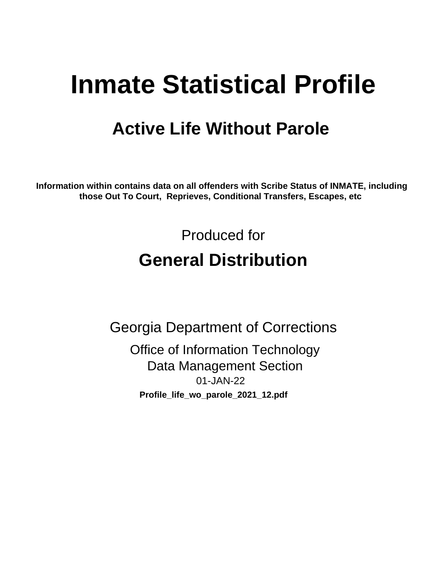# **Inmate Statistical Profile**

## **Active Life Without Parole**

Information within contains data on all offenders with Scribe Status of INMATE, including those Out To Court, Reprieves, Conditional Transfers, Escapes, etc

> Produced for **General Distribution**

**Georgia Department of Corrections Office of Information Technology Data Management Section** 01-JAN-22 Profile\_life\_wo\_parole\_2021\_12.pdf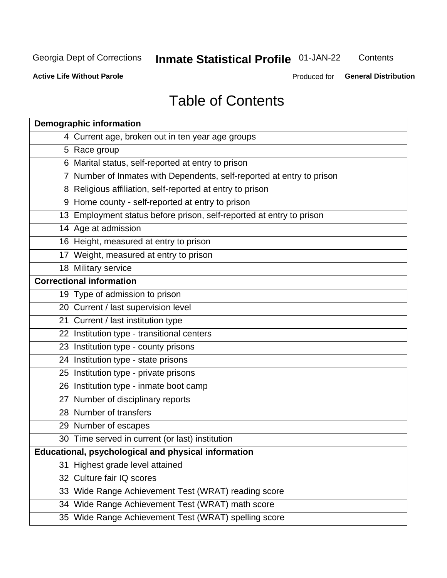## **Inmate Statistical Profile 01-JAN-22**

Contents

**Active Life Without Parole** 

Produced for General Distribution

## **Table of Contents**

|    | <b>Demographic information</b>                                        |
|----|-----------------------------------------------------------------------|
|    | 4 Current age, broken out in ten year age groups                      |
|    | 5 Race group                                                          |
|    | 6 Marital status, self-reported at entry to prison                    |
|    | 7 Number of Inmates with Dependents, self-reported at entry to prison |
|    | 8 Religious affiliation, self-reported at entry to prison             |
|    | 9 Home county - self-reported at entry to prison                      |
|    | 13 Employment status before prison, self-reported at entry to prison  |
|    | 14 Age at admission                                                   |
|    | 16 Height, measured at entry to prison                                |
|    | 17 Weight, measured at entry to prison                                |
|    | 18 Military service                                                   |
|    | <b>Correctional information</b>                                       |
|    | 19 Type of admission to prison                                        |
|    | 20 Current / last supervision level                                   |
|    | 21 Current / last institution type                                    |
|    | 22 Institution type - transitional centers                            |
|    | 23 Institution type - county prisons                                  |
|    | 24 Institution type - state prisons                                   |
|    | 25 Institution type - private prisons                                 |
|    | 26 Institution type - inmate boot camp                                |
|    | 27 Number of disciplinary reports                                     |
|    | 28 Number of transfers                                                |
|    | 29 Number of escapes                                                  |
|    | 30 Time served in current (or last) institution                       |
|    | Educational, psychological and physical information                   |
| 31 | Highest grade level attained                                          |
|    | 32 Culture fair IQ scores                                             |
|    | 33 Wide Range Achievement Test (WRAT) reading score                   |
|    | 34 Wide Range Achievement Test (WRAT) math score                      |
|    | 35 Wide Range Achievement Test (WRAT) spelling score                  |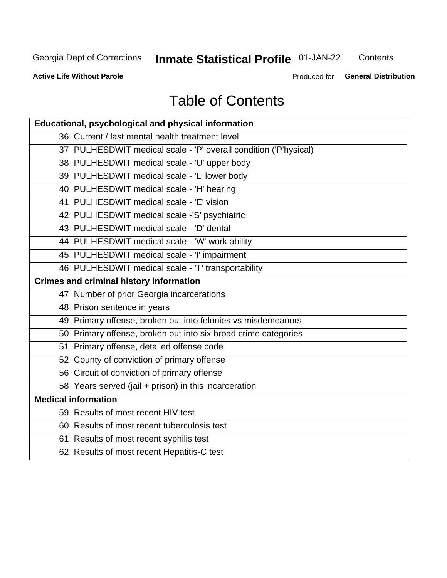## **Inmate Statistical Profile 01-JAN-22**

Contents

**Active Life Without Parole** 

Produced for General Distribution

## **Table of Contents**

| Educational, psychological and physical information              |
|------------------------------------------------------------------|
| 36 Current / last mental health treatment level                  |
| 37 PULHESDWIT medical scale - 'P' overall condition ('P'hysical) |
| 38 PULHESDWIT medical scale - 'U' upper body                     |
| 39 PULHESDWIT medical scale - 'L' lower body                     |
| 40 PULHESDWIT medical scale - 'H' hearing                        |
| 41 PULHESDWIT medical scale - 'E' vision                         |
| 42 PULHESDWIT medical scale -'S' psychiatric                     |
| 43 PULHESDWIT medical scale - 'D' dental                         |
| 44 PULHESDWIT medical scale - 'W' work ability                   |
| 45 PULHESDWIT medical scale - 'I' impairment                     |
| 46 PULHESDWIT medical scale - 'T' transportability               |
| <b>Crimes and criminal history information</b>                   |
| 47 Number of prior Georgia incarcerations                        |
| 48 Prison sentence in years                                      |
| 49 Primary offense, broken out into felonies vs misdemeanors     |
| 50 Primary offense, broken out into six broad crime categories   |
| 51 Primary offense, detailed offense code                        |
| 52 County of conviction of primary offense                       |
| 56 Circuit of conviction of primary offense                      |
| 58 Years served (jail + prison) in this incarceration            |
| <b>Medical information</b>                                       |
| 59 Results of most recent HIV test                               |
| 60 Results of most recent tuberculosis test                      |
| 61 Results of most recent syphilis test                          |
| 62 Results of most recent Hepatitis-C test                       |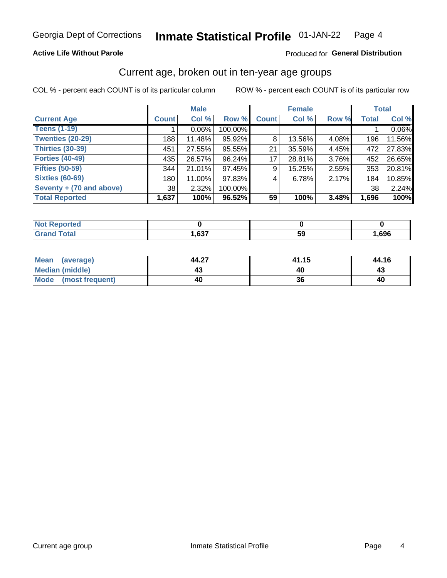### **Active Life Without Parole**

### Produced for General Distribution

## Current age, broken out in ten-year age groups

COL % - percent each COUNT is of its particular column

|                          | <b>Male</b>     |          |         | <b>Female</b> |        |       |              | <b>Total</b> |
|--------------------------|-----------------|----------|---------|---------------|--------|-------|--------------|--------------|
| <b>Current Age</b>       | <b>Count</b>    | Col %    | Row %   | <b>Count</b>  | Col %  | Row % | <b>Total</b> | Col %        |
| <b>Teens (1-19)</b>      |                 | $0.06\%$ | 100.00% |               |        |       |              | 0.06%        |
| <b>Twenties (20-29)</b>  | 188             | 11.48%   | 95.92%  | 8             | 13.56% | 4.08% | 196          | 11.56%       |
| Thirties (30-39)         | 451             | 27.55%   | 95.55%  | 21            | 35.59% | 4.45% | 472          | 27.83%       |
| <b>Forties (40-49)</b>   | 435             | 26.57%   | 96.24%  | 17            | 28.81% | 3.76% | 452          | 26.65%       |
| <b>Fifties (50-59)</b>   | 344             | 21.01%   | 97.45%  | 9             | 15.25% | 2.55% | 353          | 20.81%       |
| <b>Sixties (60-69)</b>   | 180             | 11.00%   | 97.83%  | 4             | 6.78%  | 2.17% | 184          | 10.85%       |
| Seventy + (70 and above) | 38 <sup>1</sup> | 2.32%    | 100.00% |               |        |       | 38           | 2.24%        |
| <b>Total Reported</b>    | 1,637           | 100%     | 96.52%  | 59            | 100%   | 3.48% | 1,696        | 100%         |

| <b>Reported</b><br>NOT.<br>$\sim$ |             |    |      |
|-----------------------------------|-------------|----|------|
| <b>Total</b>                      | 627<br>וכס, | JJ | ,696 |

| Mean (average)         | 44.27 | 41.15 | 44.16 |
|------------------------|-------|-------|-------|
| <b>Median (middle)</b> |       |       | 43    |
| Mode (most frequent)   | 40    | 36    | 40    |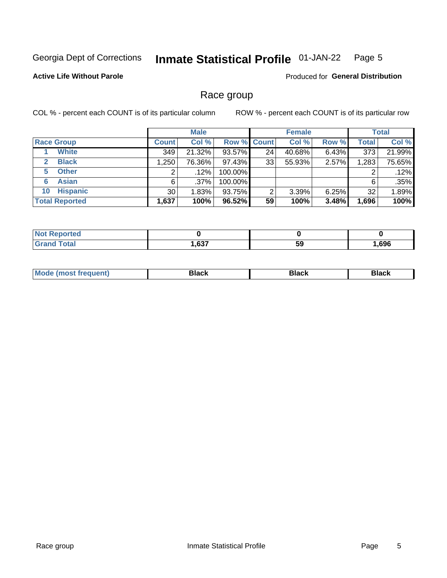#### **Inmate Statistical Profile 01-JAN-22** Page 5

### **Active Life Without Parole**

Produced for General Distribution

## Race group

COL % - percent each COUNT is of its particular column

|                              | <b>Male</b>  |         |                    | <b>Female</b> |        |       | <b>Total</b> |        |
|------------------------------|--------------|---------|--------------------|---------------|--------|-------|--------------|--------|
| <b>Race Group</b>            | <b>Count</b> | Col %   | <b>Row % Count</b> |               | Col %  | Row % | <b>Total</b> | Col %  |
| <b>White</b>                 | 349          | 21.32%  | 93.57%             | 24            | 40.68% | 6.43% | 373          | 21.99% |
| <b>Black</b><br>$\mathbf{2}$ | 1,250        | 76.36%  | 97.43%             | 33            | 55.93% | 2.57% | 1,283        | 75.65% |
| <b>Other</b><br>5.           |              | $.12\%$ | 100.00%            |               |        |       | 2            | .12%   |
| <b>Asian</b><br>6            | 6            | $.37\%$ | 100.00%            |               |        |       | 6            | .35%   |
| <b>Hispanic</b><br>10        | 30           | 1.83%   | 93.75%             | 2             | 3.39%  | 6.25% | 32           | 1.89%  |
| <b>Total Reported</b>        | 1,637        | 100%    | 96.52%             | 59            | 100%   | 3.48% | 1,696        | 100%   |

| <b>rted</b>  |                |     |      |
|--------------|----------------|-----|------|
| <b>Total</b> | 027<br>י כס. י | -59 | ,696 |

| –•••• |  | M |  |  |  |
|-------|--|---|--|--|--|
|-------|--|---|--|--|--|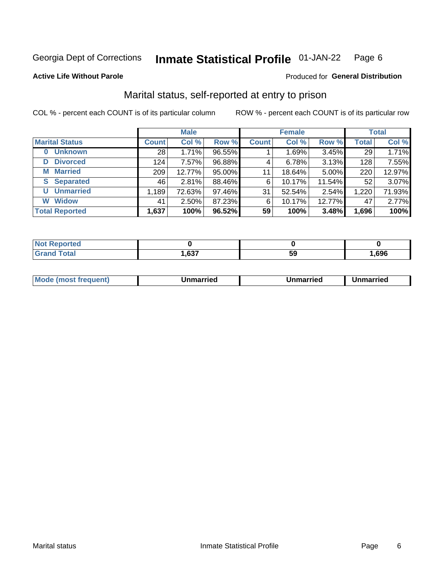#### **Inmate Statistical Profile 01-JAN-22** Page 6

**Active Life Without Parole** 

### Produced for General Distribution

## Marital status, self-reported at entry to prison

COL % - percent each COUNT is of its particular column

| <b>Male</b>                |                 |        |        | <b>Female</b> | <b>Total</b> |        |              |        |
|----------------------------|-----------------|--------|--------|---------------|--------------|--------|--------------|--------|
| <b>Marital Status</b>      | <b>Count</b>    | Col %  | Row %  | <b>Count</b>  | Col %        | Row %  | <b>Total</b> | Col %  |
| <b>Unknown</b><br>$\bf{0}$ | 28 <sub>1</sub> | 1.71%  | 96.55% |               | 1.69%        | 3.45%  | 29           | 1.71%  |
| <b>Divorced</b><br>D       | 124             | 7.57%  | 96.88% | 4             | 6.78%        | 3.13%  | 128          | 7.55%  |
| <b>Married</b><br>М        | 209             | 12.77% | 95.00% | 11            | 18.64%       | 5.00%  | 220          | 12.97% |
| <b>Separated</b><br>S.     | 46              | 2.81%  | 88.46% | 6             | 10.17%       | 11.54% | 52           | 3.07%  |
| <b>Unmarried</b><br>U      | 1,189           | 72.63% | 97.46% | 31            | 52.54%       | 2.54%  | 1,220        | 71.93% |
| <b>Widow</b><br>W          | 41              | 2.50%  | 87.23% | 6             | 10.17%       | 12.77% | 47           | 2.77%  |
| <b>Total Reported</b>      | 1,637           | 100%   | 96.52% | 59            | 100%         | 3.48%  | 1,696        | 100%   |

| orteo<br>NOT |              |    |      |
|--------------|--------------|----|------|
|              | 627<br>וכס,⊧ | 59 | .696 |

|  | M | . | Unmarried | າmarried<br>______ |
|--|---|---|-----------|--------------------|
|--|---|---|-----------|--------------------|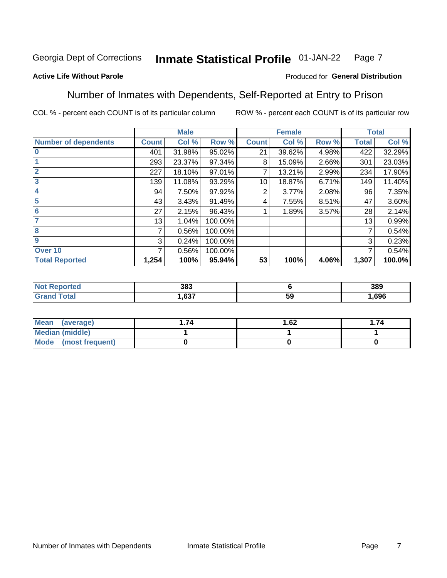#### Inmate Statistical Profile 01-JAN-22 Page 7

### **Active Life Without Parole**

### Produced for General Distribution

## Number of Inmates with Dependents, Self-Reported at Entry to Prison

COL % - percent each COUNT is of its particular column

|                             |              | <b>Male</b> |         |              | <b>Female</b> |       |              | <b>Total</b> |
|-----------------------------|--------------|-------------|---------|--------------|---------------|-------|--------------|--------------|
| <b>Number of dependents</b> | <b>Count</b> | Col %       | Row %   | <b>Count</b> | Col %         | Row % | <b>Total</b> | Col %        |
| $\bf{0}$                    | 401          | 31.98%      | 95.02%  | 21           | 39.62%        | 4.98% | 422          | 32.29%       |
|                             | 293          | 23.37%      | 97.34%  | 8            | 15.09%        | 2.66% | 301          | 23.03%       |
| $\overline{2}$              | 227          | 18.10%      | 97.01%  |              | 13.21%        | 2.99% | 234          | 17.90%       |
| 3                           | 139          | 11.08%      | 93.29%  | 10           | 18.87%        | 6.71% | 149          | 11.40%       |
| 4                           | 94           | 7.50%       | 97.92%  | 2            | 3.77%         | 2.08% | 96           | 7.35%        |
| 5                           | 43           | 3.43%       | 91.49%  | 4            | 7.55%         | 8.51% | 47           | 3.60%        |
| 6                           | 27           | 2.15%       | 96.43%  |              | 1.89%         | 3.57% | 28           | 2.14%        |
| 7                           | 13           | 1.04%       | 100.00% |              |               |       | 13           | 0.99%        |
| 8                           | 7            | 0.56%       | 100.00% |              |               |       | 7            | 0.54%        |
| 9                           | 3            | 0.24%       | 100.00% |              |               |       | 3            | 0.23%        |
| Over 10                     | 7            | 0.56%       | 100.00% |              |               |       | 7            | 0.54%        |
| <b>Total Reported</b>       | 1,254        | 100%        | 95.94%  | 53           | 100%          | 4.06% | 1,307        | 100.0%       |

| 383          |         | 389  |
|--------------|---------|------|
| 0.27<br>. כס | …<br>Ji | .696 |

| <b>Mean</b><br>(average) | 1.62 | .74 |
|--------------------------|------|-----|
| Median (middle)          |      |     |
| Mode<br>(most frequent)  |      |     |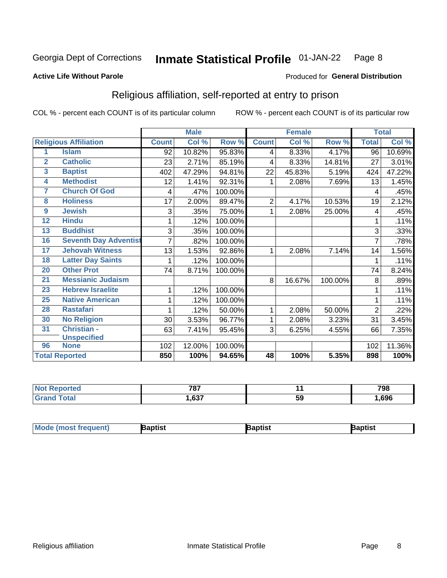#### **Inmate Statistical Profile 01-JAN-22** Page 8

#### **Active Life Without Parole**

### Produced for General Distribution

## Religious affiliation, self-reported at entry to prison

COL % - percent each COUNT is of its particular column

|                         |                              |              | <b>Male</b> |         |                | <b>Female</b> |         |                | <b>Total</b> |
|-------------------------|------------------------------|--------------|-------------|---------|----------------|---------------|---------|----------------|--------------|
|                         | <b>Religious Affiliation</b> | <b>Count</b> | Col %       | Row %   | <b>Count</b>   | Col %         | Row %   | <b>Total</b>   | Col %        |
| 1                       | <b>Islam</b>                 | 92           | 10.82%      | 95.83%  | $\overline{4}$ | 8.33%         | 4.17%   | 96             | 10.69%       |
| $\overline{\mathbf{2}}$ | <b>Catholic</b>              | 23           | 2.71%       | 85.19%  | 4              | 8.33%         | 14.81%  | 27             | 3.01%        |
| $\overline{3}$          | <b>Baptist</b>               | 402          | 47.29%      | 94.81%  | 22             | 45.83%        | 5.19%   | 424            | 47.22%       |
| 4                       | <b>Methodist</b>             | 12           | 1.41%       | 92.31%  |                | 2.08%         | 7.69%   | 13             | 1.45%        |
| 7                       | <b>Church Of God</b>         | 4            | .47%        | 100.00% |                |               |         | 4              | .45%         |
| 8                       | <b>Holiness</b>              | 17           | 2.00%       | 89.47%  | $\overline{2}$ | 4.17%         | 10.53%  | 19             | 2.12%        |
| 9                       | <b>Jewish</b>                | 3            | .35%        | 75.00%  | 1              | 2.08%         | 25.00%  | 4              | .45%         |
| $\overline{12}$         | <b>Hindu</b>                 |              | .12%        | 100.00% |                |               |         | 1              | .11%         |
| 13                      | <b>Buddhist</b>              | 3            | .35%        | 100.00% |                |               |         | 3              | .33%         |
| 16                      | <b>Seventh Day Adventist</b> | 7            | .82%        | 100.00% |                |               |         |                | .78%         |
| 17                      | <b>Jehovah Witness</b>       | 13           | 1.53%       | 92.86%  | 1              | 2.08%         | 7.14%   | 14             | 1.56%        |
| 18                      | <b>Latter Day Saints</b>     |              | .12%        | 100.00% |                |               |         | 1              | .11%         |
| 20                      | <b>Other Prot</b>            | 74           | 8.71%       | 100.00% |                |               |         | 74             | 8.24%        |
| 21                      | <b>Messianic Judaism</b>     |              |             |         | 8              | 16.67%        | 100.00% | 8              | .89%         |
| 23                      | <b>Hebrew Israelite</b>      | 1            | .12%        | 100.00% |                |               |         | 1              | .11%         |
| 25                      | <b>Native American</b>       |              | .12%        | 100.00% |                |               |         |                | .11%         |
| 28                      | <b>Rastafari</b>             |              | .12%        | 50.00%  | 1              | 2.08%         | 50.00%  | $\overline{2}$ | .22%         |
| 30                      | <b>No Religion</b>           | 30           | 3.53%       | 96.77%  | 1              | 2.08%         | 3.23%   | 31             | 3.45%        |
| 31                      | Christian -                  | 63           | 7.41%       | 95.45%  | 3              | 6.25%         | 4.55%   | 66             | 7.35%        |
|                         | <b>Unspecified</b>           |              |             |         |                |               |         |                |              |
| 96                      | <b>None</b>                  | 102          | 12.00%      | 100.00% |                |               |         | 102            | 11.36%       |
|                         | <b>Total Reported</b>        | 850          | 100%        | 94.65%  | 48             | 100%          | 5.35%   | 898            | 100%         |

| τeα | 707           |    | 798  |
|-----|---------------|----|------|
|     | $\sim$<br>.טט | აა | .696 |

| <b>Mode (most frequent)</b><br>Baptist<br><b>Japtist</b><br>Baptist |
|---------------------------------------------------------------------|
|---------------------------------------------------------------------|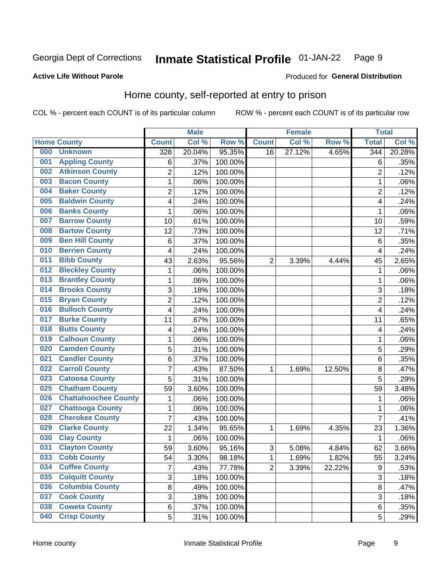#### Inmate Statistical Profile 01-JAN-22 Page 9

Produced for General Distribution

### **Active Life Without Parole**

## Home county, self-reported at entry to prison

COL % - percent each COUNT is of its particular column

|     |                             |                | <b>Male</b> |         |                | <b>Female</b> |        | <b>Total</b>     |        |
|-----|-----------------------------|----------------|-------------|---------|----------------|---------------|--------|------------------|--------|
|     | <b>Home County</b>          | <b>Count</b>   | Col %       | Row %   | <b>Count</b>   | Col %         | Row %  | <b>Total</b>     | Col %  |
| 000 | <b>Unknown</b>              | 328            | 20.04%      | 95.35%  | 16             | 27.12%        | 4.65%  | 344              | 20.28% |
| 001 | <b>Appling County</b>       | 6              | .37%        | 100.00% |                |               |        | 6                | .35%   |
| 002 | <b>Atkinson County</b>      | $\overline{2}$ | .12%        | 100.00% |                |               |        | $\overline{2}$   | .12%   |
| 003 | <b>Bacon County</b>         | $\mathbf 1$    | .06%        | 100.00% |                |               |        | 1                | .06%   |
| 004 | <b>Baker County</b>         | $\overline{2}$ | .12%        | 100.00% |                |               |        | $\overline{2}$   | .12%   |
| 005 | <b>Baldwin County</b>       | 4              | .24%        | 100.00% |                |               |        | 4                | .24%   |
| 006 | <b>Banks County</b>         | 1              | .06%        | 100.00% |                |               |        | 1                | .06%   |
| 007 | <b>Barrow County</b>        | 10             | .61%        | 100.00% |                |               |        | 10               | .59%   |
| 008 | <b>Bartow County</b>        | 12             | .73%        | 100.00% |                |               |        | 12               | .71%   |
| 009 | <b>Ben Hill County</b>      | 6              | .37%        | 100.00% |                |               |        | 6                | .35%   |
| 010 | <b>Berrien County</b>       | 4              | .24%        | 100.00% |                |               |        | 4                | .24%   |
| 011 | <b>Bibb County</b>          | 43             | 2.63%       | 95.56%  | $\overline{2}$ | 3.39%         | 4.44%  | 45               | 2.65%  |
| 012 | <b>Bleckley County</b>      | 1              | .06%        | 100.00% |                |               |        | 1                | .06%   |
| 013 | <b>Brantley County</b>      | $\mathbf 1$    | .06%        | 100.00% |                |               |        | 1                | .06%   |
| 014 | <b>Brooks County</b>        | 3              | .18%        | 100.00% |                |               |        | 3                | .18%   |
| 015 | <b>Bryan County</b>         | $\overline{2}$ | .12%        | 100.00% |                |               |        | $\overline{2}$   | .12%   |
| 016 | <b>Bulloch County</b>       | 4              | .24%        | 100.00% |                |               |        | 4                | .24%   |
| 017 | <b>Burke County</b>         | 11             | .67%        | 100.00% |                |               |        | 11               | .65%   |
| 018 | <b>Butts County</b>         | 4              | .24%        | 100.00% |                |               |        | 4                | .24%   |
| 019 | <b>Calhoun County</b>       | 1              | .06%        | 100.00% |                |               |        | 1                | .06%   |
| 020 | <b>Camden County</b>        | 5              | .31%        | 100.00% |                |               |        | 5                | .29%   |
| 021 | <b>Candler County</b>       | 6              | .37%        | 100.00% |                |               |        | 6                | .35%   |
| 022 | <b>Carroll County</b>       | $\overline{7}$ | .43%        | 87.50%  | 1              | 1.69%         | 12.50% | 8                | .47%   |
| 023 | <b>Catoosa County</b>       | 5              | .31%        | 100.00% |                |               |        | 5                | .29%   |
| 025 | <b>Chatham County</b>       | 59             | 3.60%       | 100.00% |                |               |        | 59               | 3.48%  |
| 026 | <b>Chattahoochee County</b> | 1              | .06%        | 100.00% |                |               |        | 1                | .06%   |
| 027 | <b>Chattooga County</b>     | $\mathbf 1$    | .06%        | 100.00% |                |               |        | 1                | .06%   |
| 028 | <b>Cherokee County</b>      | 7              | .43%        | 100.00% |                |               |        | $\overline{7}$   | .41%   |
| 029 | <b>Clarke County</b>        | 22             | 1.34%       | 95.65%  | 1              | 1.69%         | 4.35%  | 23               | 1.36%  |
| 030 | <b>Clay County</b>          | 1              | .06%        | 100.00% |                |               |        | 1                | .06%   |
| 031 | <b>Clayton County</b>       | 59             | 3.60%       | 95.16%  | 3              | 5.08%         | 4.84%  | 62               | 3.66%  |
| 033 | <b>Cobb County</b>          | 54             | 3.30%       | 98.18%  | 1              | 1.69%         | 1.82%  | 55               | 3.24%  |
| 034 | <b>Coffee County</b>        | $\overline{7}$ | .43%        | 77.78%  | $\overline{2}$ | 3.39%         | 22.22% | $\boldsymbol{9}$ | .53%   |
| 035 | <b>Colquitt County</b>      | 3              | .18%        | 100.00% |                |               |        | 3                | .18%   |
| 036 | <b>Columbia County</b>      | 8              | .49%        | 100.00% |                |               |        | 8                | .47%   |
| 037 | <b>Cook County</b>          | 3              | .18%        | 100.00% |                |               |        | 3                | .18%   |
| 038 | <b>Coweta County</b>        | 6              | .37%        | 100.00% |                |               |        | 6                | .35%   |
| 040 | <b>Crisp County</b>         | 5              | .31%        | 100.00% |                |               |        | 5                | .29%   |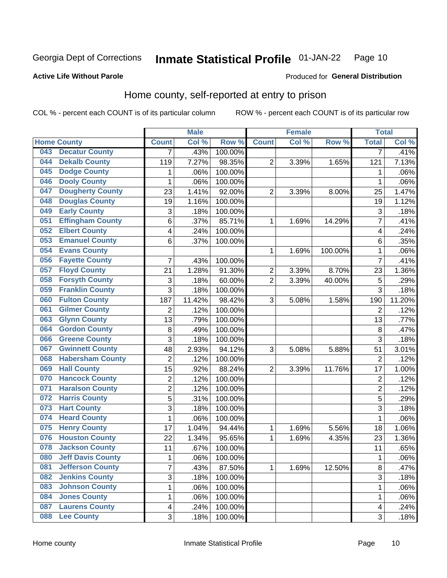#### **Inmate Statistical Profile 01-JAN-22** Page 10

Produced for General Distribution

### **Active Life Without Parole**

## Home county, self-reported at entry to prison

COL % - percent each COUNT is of its particular column

|     |                          |                         | <b>Male</b> |         |                | <b>Female</b> |         | <b>Total</b>            |        |
|-----|--------------------------|-------------------------|-------------|---------|----------------|---------------|---------|-------------------------|--------|
|     | <b>Home County</b>       | <b>Count</b>            | Col %       | Row %   | <b>Count</b>   | Col%          | Row %   | <b>Total</b>            | Col %  |
| 043 | <b>Decatur County</b>    | 7                       | .43%        | 100.00% |                |               |         | 7                       | .41%   |
| 044 | <b>Dekalb County</b>     | 119                     | 7.27%       | 98.35%  | 2              | 3.39%         | 1.65%   | 121                     | 7.13%  |
| 045 | <b>Dodge County</b>      | 1                       | .06%        | 100.00% |                |               |         | 1                       | .06%   |
| 046 | <b>Dooly County</b>      | $\mathbf 1$             | .06%        | 100.00% |                |               |         | 1                       | .06%   |
| 047 | <b>Dougherty County</b>  | 23                      | 1.41%       | 92.00%  | $\overline{2}$ | 3.39%         | 8.00%   | 25                      | 1.47%  |
| 048 | <b>Douglas County</b>    | 19                      | 1.16%       | 100.00% |                |               |         | 19                      | 1.12%  |
| 049 | <b>Early County</b>      | 3                       | .18%        | 100.00% |                |               |         | 3                       | .18%   |
| 051 | <b>Effingham County</b>  | 6                       | .37%        | 85.71%  | 1              | 1.69%         | 14.29%  | $\overline{7}$          | .41%   |
| 052 | <b>Elbert County</b>     | 4                       | .24%        | 100.00% |                |               |         | $\overline{\mathbf{4}}$ | .24%   |
| 053 | <b>Emanuel County</b>    | 6                       | .37%        | 100.00% |                |               |         | 6                       | .35%   |
| 054 | <b>Evans County</b>      |                         |             |         | 1              | 1.69%         | 100.00% | 1                       | .06%   |
| 056 | <b>Fayette County</b>    | $\overline{7}$          | .43%        | 100.00% |                |               |         | $\overline{7}$          | .41%   |
| 057 | <b>Floyd County</b>      | 21                      | 1.28%       | 91.30%  | 2              | 3.39%         | 8.70%   | 23                      | 1.36%  |
| 058 | <b>Forsyth County</b>    | 3                       | .18%        | 60.00%  | $\overline{2}$ | 3.39%         | 40.00%  | 5                       | .29%   |
| 059 | <b>Franklin County</b>   | 3                       | .18%        | 100.00% |                |               |         | 3                       | .18%   |
| 060 | <b>Fulton County</b>     | 187                     | 11.42%      | 98.42%  | 3              | 5.08%         | 1.58%   | 190                     | 11.20% |
| 061 | <b>Gilmer County</b>     | 2                       | .12%        | 100.00% |                |               |         | $\overline{2}$          | .12%   |
| 063 | <b>Glynn County</b>      | 13                      | .79%        | 100.00% |                |               |         | 13                      | .77%   |
| 064 | <b>Gordon County</b>     | 8                       | .49%        | 100.00% |                |               |         | 8                       | .47%   |
| 066 | <b>Greene County</b>     | 3                       | .18%        | 100.00% |                |               |         | 3                       | .18%   |
| 067 | <b>Gwinnett County</b>   | 48                      | 2.93%       | 94.12%  | 3              | 5.08%         | 5.88%   | 51                      | 3.01%  |
| 068 | <b>Habersham County</b>  | $\overline{2}$          | .12%        | 100.00% |                |               |         | $\overline{2}$          | .12%   |
| 069 | <b>Hall County</b>       | 15                      | .92%        | 88.24%  | $\overline{2}$ | 3.39%         | 11.76%  | 17                      | 1.00%  |
| 070 | <b>Hancock County</b>    | $\overline{c}$          | .12%        | 100.00% |                |               |         | $\overline{2}$          | .12%   |
| 071 | <b>Haralson County</b>   | $\overline{\mathbf{c}}$ | .12%        | 100.00% |                |               |         | $\overline{2}$          | .12%   |
| 072 | <b>Harris County</b>     | 5                       | .31%        | 100.00% |                |               |         | 5                       | .29%   |
| 073 | <b>Hart County</b>       | 3                       | .18%        | 100.00% |                |               |         | 3                       | .18%   |
| 074 | <b>Heard County</b>      | $\mathbf 1$             | .06%        | 100.00% |                |               |         | 1                       | .06%   |
| 075 | <b>Henry County</b>      | 17                      | 1.04%       | 94.44%  | 1              | 1.69%         | 5.56%   | 18                      | 1.06%  |
| 076 | <b>Houston County</b>    | 22                      | 1.34%       | 95.65%  | 1              | 1.69%         | 4.35%   | 23                      | 1.36%  |
| 078 | <b>Jackson County</b>    | 11                      | .67%        | 100.00% |                |               |         | 11                      | .65%   |
| 080 | <b>Jeff Davis County</b> | 1                       | .06%        | 100.00% |                |               |         | 1                       | .06%   |
| 081 | <b>Jefferson County</b>  | $\overline{7}$          | .43%        | 87.50%  | $\mathbf{1}$   | 1.69%         | 12.50%  | 8                       | .47%   |
| 082 | <b>Jenkins County</b>    | $\overline{3}$          | .18%        | 100.00% |                |               |         | 3                       | .18%   |
| 083 | <b>Johnson County</b>    | $\mathbf{1}$            | .06%        | 100.00% |                |               |         | 1                       | .06%   |
| 084 | <b>Jones County</b>      | $\mathbf 1$             | .06%        | 100.00% |                |               |         | 1                       | .06%   |
| 087 | <b>Laurens County</b>    | $\overline{\mathbf{4}}$ | .24%        | 100.00% |                |               |         | $\overline{\mathbf{4}}$ | .24%   |
| 088 | <b>Lee County</b>        | 3                       | .18%        | 100.00% |                |               |         | 3                       | .18%   |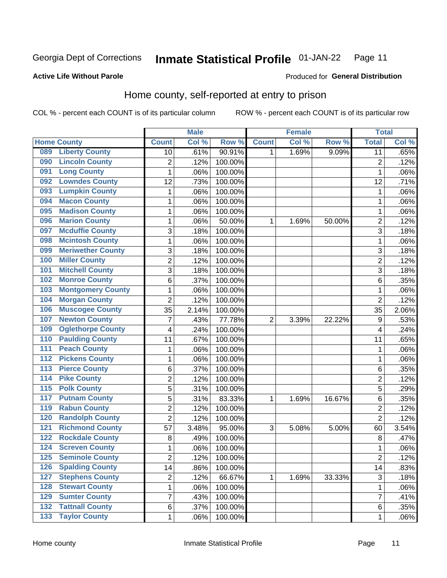#### **Inmate Statistical Profile 01-JAN-22** Page 11

Produced for General Distribution

### **Active Life Without Parole**

## Home county, self-reported at entry to prison

COL % - percent each COUNT is of its particular column

|                  |                          |                | <b>Male</b> |         |                | <b>Female</b> |        | <b>Total</b>    |       |
|------------------|--------------------------|----------------|-------------|---------|----------------|---------------|--------|-----------------|-------|
|                  | <b>Home County</b>       | <b>Count</b>   | Col %       | Row %   | <b>Count</b>   | Col %         | Row %  | <b>Total</b>    | Col % |
| 089              | <b>Liberty County</b>    | 10             | .61%        | 90.91%  | 1.             | 1.69%         | 9.09%  | $\overline{11}$ | .65%  |
| 090              | <b>Lincoln County</b>    | 2              | .12%        | 100.00% |                |               |        | $\overline{2}$  | .12%  |
| 091              | <b>Long County</b>       | $\mathbf{1}$   | .06%        | 100.00% |                |               |        | 1               | .06%  |
| 092              | <b>Lowndes County</b>    | 12             | .73%        | 100.00% |                |               |        | 12              | .71%  |
| 093              | <b>Lumpkin County</b>    | $\mathbf{1}$   | .06%        | 100.00% |                |               |        | 1               | .06%  |
| 094              | <b>Macon County</b>      | $\mathbf 1$    | .06%        | 100.00% |                |               |        | 1               | .06%  |
| 095              | <b>Madison County</b>    | $\mathbf{1}$   | .06%        | 100.00% |                |               |        | 1               | .06%  |
| 096              | <b>Marion County</b>     | 1              | .06%        | 50.00%  | 1              | 1.69%         | 50.00% | $\overline{2}$  | .12%  |
| 097              | <b>Mcduffie County</b>   | 3              | .18%        | 100.00% |                |               |        | 3               | .18%  |
| 098              | <b>Mcintosh County</b>   | $\mathbf 1$    | .06%        | 100.00% |                |               |        | 1               | .06%  |
| 099              | <b>Meriwether County</b> | 3              | .18%        | 100.00% |                |               |        | 3               | .18%  |
| 100              | <b>Miller County</b>     | $\overline{c}$ | .12%        | 100.00% |                |               |        | $\overline{2}$  | .12%  |
| 101              | <b>Mitchell County</b>   | 3              | .18%        | 100.00% |                |               |        | 3               | .18%  |
| 102              | <b>Monroe County</b>     | 6              | .37%        | 100.00% |                |               |        | 6               | .35%  |
| 103              | <b>Montgomery County</b> | $\mathbf{1}$   | .06%        | 100.00% |                |               |        | 1               | .06%  |
| 104              | <b>Morgan County</b>     | $\overline{2}$ | .12%        | 100.00% |                |               |        | $\overline{2}$  | .12%  |
| 106              | <b>Muscogee County</b>   | 35             | 2.14%       | 100.00% |                |               |        | 35              | 2.06% |
| 107              | <b>Newton County</b>     | 7              | .43%        | 77.78%  | $\overline{2}$ | 3.39%         | 22.22% | 9               | .53%  |
| 109              | <b>Oglethorpe County</b> | 4              | .24%        | 100.00% |                |               |        | $\overline{4}$  | .24%  |
| 110              | <b>Paulding County</b>   | 11             | .67%        | 100.00% |                |               |        | 11              | .65%  |
| 111              | <b>Peach County</b>      | $\mathbf 1$    | .06%        | 100.00% |                |               |        | 1               | .06%  |
| $\overline{112}$ | <b>Pickens County</b>    | $\mathbf 1$    | .06%        | 100.00% |                |               |        | 1               | .06%  |
| 113              | <b>Pierce County</b>     | 6              | .37%        | 100.00% |                |               |        | 6               | .35%  |
| 114              | <b>Pike County</b>       | $\overline{2}$ | .12%        | 100.00% |                |               |        | $\overline{2}$  | .12%  |
| $\overline{115}$ | <b>Polk County</b>       | 5              | .31%        | 100.00% |                |               |        | 5               | .29%  |
| 117              | <b>Putnam County</b>     | 5              | .31%        | 83.33%  | 1              | 1.69%         | 16.67% | 6               | .35%  |
| 119              | <b>Rabun County</b>      | $\overline{c}$ | .12%        | 100.00% |                |               |        | $\overline{2}$  | .12%  |
| 120              | <b>Randolph County</b>   | $\overline{2}$ | .12%        | 100.00% |                |               |        | $\overline{2}$  | .12%  |
| 121              | <b>Richmond County</b>   | 57             | 3.48%       | 95.00%  | 3              | 5.08%         | 5.00%  | 60              | 3.54% |
| 122              | <b>Rockdale County</b>   | 8              | .49%        | 100.00% |                |               |        | 8               | .47%  |
| 124              | <b>Screven County</b>    | $\mathbf{1}$   | .06%        | 100.00% |                |               |        | 1               | .06%  |
| 125              | <b>Seminole County</b>   | 2              | .12%        | 100.00% |                |               |        | $\overline{2}$  | .12%  |
| 126              | <b>Spalding County</b>   | 14             | .86%        | 100.00% |                |               |        | 14              | .83%  |
| 127              | <b>Stephens County</b>   | $\overline{2}$ | .12%        | 66.67%  | 1              | 1.69%         | 33.33% | $\overline{3}$  | .18%  |
| 128              | <b>Stewart County</b>    | $\mathbf{1}$   | .06%        | 100.00% |                |               |        | 1               | .06%  |
| 129              | <b>Sumter County</b>     | 7              | .43%        | 100.00% |                |               |        | 7               | .41%  |
| 132              | <b>Tattnall County</b>   | 6              | .37%        | 100.00% |                |               |        | 6               | .35%  |
| 133              | <b>Taylor County</b>     | $\mathbf{1}$   | .06%        | 100.00% |                |               |        | 1               | .06%  |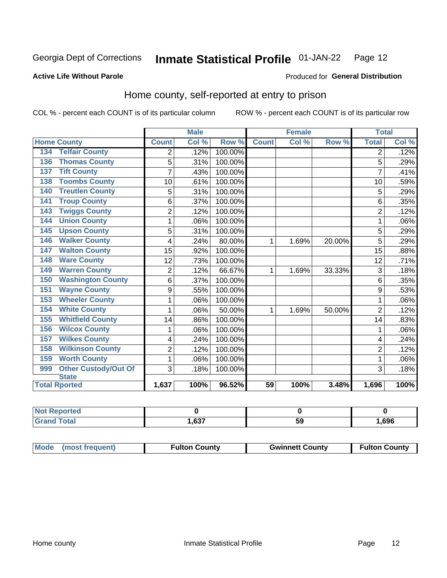#### **Inmate Statistical Profile 01-JAN-22** Page 12

Produced for General Distribution

### **Active Life Without Parole**

## Home county, self-reported at entry to prison

COL % - percent each COUNT is of its particular column

|                                    |                | <b>Male</b> |         |              | <b>Female</b> |        | <b>Total</b>   |       |
|------------------------------------|----------------|-------------|---------|--------------|---------------|--------|----------------|-------|
| <b>Home County</b>                 | <b>Count</b>   | Col %       | Row %   | <b>Count</b> | Col %         | Row %  | <b>Total</b>   | Col % |
| <b>Telfair County</b><br>134       | 2              | .12%        | 100.00% |              |               |        | 2              | .12%  |
| <b>Thomas County</b><br>136        | 5              | .31%        | 100.00% |              |               |        | 5              | .29%  |
| <b>Tift County</b><br>137          | 7              | .43%        | 100.00% |              |               |        | 7              | .41%  |
| <b>Toombs County</b><br>138        | 10             | .61%        | 100.00% |              |               |        | 10             | .59%  |
| <b>Treutlen County</b><br>140      | 5              | .31%        | 100.00% |              |               |        | 5              | .29%  |
| <b>Troup County</b><br>141         | 6              | .37%        | 100.00% |              |               |        | 6              | .35%  |
| <b>Twiggs County</b><br>143        | $\overline{c}$ | .12%        | 100.00% |              |               |        | $\overline{2}$ | .12%  |
| <b>Union County</b><br>144         | 1              | .06%        | 100.00% |              |               |        | 1              | .06%  |
| <b>Upson County</b><br>145         | 5              | .31%        | 100.00% |              |               |        | 5              | .29%  |
| <b>Walker County</b><br>146        | 4              | .24%        | 80.00%  | 1            | 1.69%         | 20.00% | 5              | .29%  |
| <b>Walton County</b><br>147        | 15             | .92%        | 100.00% |              |               |        | 15             | .88%  |
| <b>Ware County</b><br>148          | 12             | .73%        | 100.00% |              |               |        | 12             | .71%  |
| <b>Warren County</b><br>149        | $\overline{c}$ | .12%        | 66.67%  | 1            | 1.69%         | 33.33% | 3              | .18%  |
| <b>Washington County</b><br>150    | 6              | .37%        | 100.00% |              |               |        | 6              | .35%  |
| <b>Wayne County</b><br>151         | 9              | .55%        | 100.00% |              |               |        | 9              | .53%  |
| <b>Wheeler County</b><br>153       | 1              | .06%        | 100.00% |              |               |        |                | .06%  |
| <b>White County</b><br>154         | 1              | .06%        | 50.00%  | 1            | 1.69%         | 50.00% | $\overline{2}$ | .12%  |
| <b>Whitfield County</b><br>155     | 14             | .86%        | 100.00% |              |               |        | 14             | .83%  |
| <b>Wilcox County</b><br>156        | 1              | .06%        | 100.00% |              |               |        | 1              | .06%  |
| <b>Wilkes County</b><br>157        | 4              | .24%        | 100.00% |              |               |        | 4              | .24%  |
| <b>Wilkinson County</b><br>158     | $\overline{2}$ | .12%        | 100.00% |              |               |        | $\overline{2}$ | .12%  |
| <b>Worth County</b><br>159         | 1              | .06%        | 100.00% |              |               |        | 1              | .06%  |
| <b>Other Custody/Out Of</b><br>999 | 3              | .18%        | 100.00% |              |               |        | 3              | .18%  |
| <b>State</b>                       |                |             |         |              |               |        |                |       |
| <b>Total Rported</b>               | 1,637          | 100%        | 96.52%  | 59           | 100%          | 3.48%  | 1,696          | 100%  |

| <b>Not Reported</b> |     |     |      |
|---------------------|-----|-----|------|
| `otal               | 627 | ت ب | .696 |

| Mode (most frequent) | <b>Fulton County</b> | <b>Gwinnett County</b> | <b>Fulton County</b> |
|----------------------|----------------------|------------------------|----------------------|
|----------------------|----------------------|------------------------|----------------------|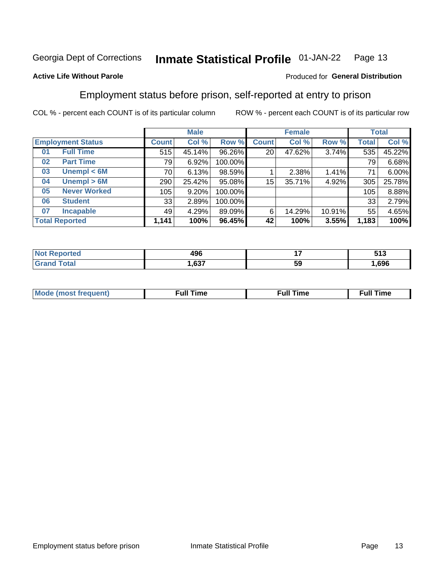#### Inmate Statistical Profile 01-JAN-22 Page 13

### **Active Life Without Parole**

## Produced for General Distribution

## Employment status before prison, self-reported at entry to prison

COL % - percent each COUNT is of its particular column

|                           | <b>Male</b>  |        |         |                 | <b>Female</b> |        |       | <b>Total</b> |  |
|---------------------------|--------------|--------|---------|-----------------|---------------|--------|-------|--------------|--|
| <b>Employment Status</b>  | <b>Count</b> | Col %  | Row %   | <b>Count</b>    | Col %         | Row %  | Total | Col %        |  |
| <b>Full Time</b><br>01    | 515          | 45.14% | 96.26%  | 20 <sub>1</sub> | 47.62%        | 3.74%  | 535   | 45.22%       |  |
| <b>Part Time</b><br>02    | 79           | 6.92%  | 100.00% |                 |               |        | 79    | 6.68%        |  |
| Unempl $<$ 6M<br>03       | 70           | 6.13%  | 98.59%  |                 | 2.38%         | 1.41%  | 71    | 6.00%        |  |
| Unempl > 6M<br>04         | 290          | 25.42% | 95.08%  | 15              | 35.71%        | 4.92%  | 305   | 25.78%       |  |
| <b>Never Worked</b><br>05 | 105          | 9.20%  | 100.00% |                 |               |        | 105   | 8.88%        |  |
| <b>Student</b><br>06      | 33           | 2.89%  | 100.00% |                 |               |        | 33    | 2.79%        |  |
| <b>Incapable</b><br>07    | 49           | 4.29%  | 89.09%  | 6               | 14.29%        | 10.91% | 55    | 4.65%        |  |
| <b>Total Reported</b>     | 1,141        | 100%   | 96.45%  | 42              | 100%          | 3.55%  | 1,183 | 100%         |  |

| лек. | "^^<br>טפו<br>__ |    | EA 2<br>JIJ |
|------|------------------|----|-------------|
|      | 627<br>ו כס.⊦    | 59 | 696         |

| Mc | ----<br>me<br>ш | nc<br>. |
|----|-----------------|---------|
|    |                 |         |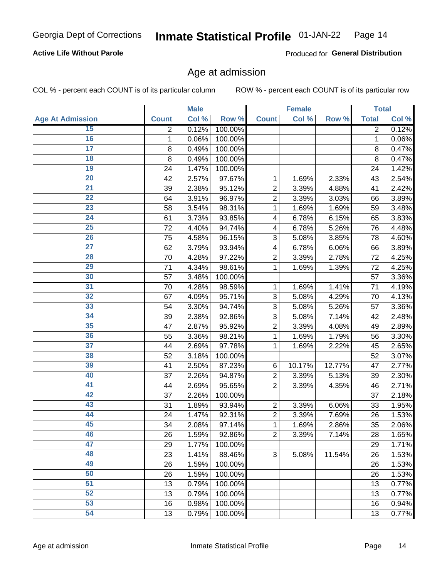### **Active Life Without Parole**

Produced for General Distribution

## Age at admission

COL % - percent each COUNT is of its particular column

|                         |              | <b>Male</b> |         |                | <b>Female</b> |        |              | <b>Total</b> |
|-------------------------|--------------|-------------|---------|----------------|---------------|--------|--------------|--------------|
| <b>Age At Admission</b> | <b>Count</b> | Col %       | Row %   | <b>Count</b>   | Col %         | Row %  | <b>Total</b> | Col %        |
| 15                      | 2            | 0.12%       | 100.00% |                |               |        | 2            | 0.12%        |
| 16                      | 1            | 0.06%       | 100.00% |                |               |        | 1            | 0.06%        |
| $\overline{17}$         | 8            | 0.49%       | 100.00% |                |               |        | 8            | 0.47%        |
| 18                      | 8            | 0.49%       | 100.00% |                |               |        | 8            | 0.47%        |
| 19                      | 24           | 1.47%       | 100.00% |                |               |        | 24           | 1.42%        |
| $\overline{20}$         | 42           | 2.57%       | 97.67%  | 1              | 1.69%         | 2.33%  | 43           | 2.54%        |
| $\overline{21}$         | 39           | 2.38%       | 95.12%  | $\overline{2}$ | 3.39%         | 4.88%  | 41           | 2.42%        |
| 22                      | 64           | 3.91%       | 96.97%  | $\overline{2}$ | 3.39%         | 3.03%  | 66           | 3.89%        |
| 23                      | 58           | 3.54%       | 98.31%  | 1              | 1.69%         | 1.69%  | 59           | 3.48%        |
| 24                      | 61           | 3.73%       | 93.85%  | 4              | 6.78%         | 6.15%  | 65           | 3.83%        |
| $\overline{25}$         | 72           | 4.40%       | 94.74%  | 4              | 6.78%         | 5.26%  | 76           | 4.48%        |
| 26                      | 75           | 4.58%       | 96.15%  | 3              | 5.08%         | 3.85%  | 78           | 4.60%        |
| $\overline{27}$         | 62           | 3.79%       | 93.94%  | 4              | 6.78%         | 6.06%  | 66           | 3.89%        |
| 28                      | 70           | 4.28%       | 97.22%  | $\overline{2}$ | 3.39%         | 2.78%  | 72           | 4.25%        |
| 29                      | 71           | 4.34%       | 98.61%  | 1              | 1.69%         | 1.39%  | 72           | 4.25%        |
| 30                      | 57           | 3.48%       | 100.00% |                |               |        | 57           | 3.36%        |
| 31                      | 70           | 4.28%       | 98.59%  | 1              | 1.69%         | 1.41%  | 71           | 4.19%        |
| 32                      | 67           | 4.09%       | 95.71%  | 3              | 5.08%         | 4.29%  | 70           | 4.13%        |
| 33                      | 54           | 3.30%       | 94.74%  | 3              | 5.08%         | 5.26%  | 57           | 3.36%        |
| 34                      | 39           | 2.38%       | 92.86%  | 3              | 5.08%         | 7.14%  | 42           | 2.48%        |
| 35                      | 47           | 2.87%       | 95.92%  | $\overline{2}$ | 3.39%         | 4.08%  | 49           | 2.89%        |
| 36                      | 55           | 3.36%       | 98.21%  | 1              | 1.69%         | 1.79%  | 56           | 3.30%        |
| $\overline{37}$         | 44           | 2.69%       | 97.78%  | 1              | 1.69%         | 2.22%  | 45           | 2.65%        |
| 38                      | 52           | 3.18%       | 100.00% |                |               |        | 52           | 3.07%        |
| 39                      | 41           | 2.50%       | 87.23%  | 6              | 10.17%        | 12.77% | 47           | 2.77%        |
| 40                      | 37           | 2.26%       | 94.87%  | $\overline{2}$ | 3.39%         | 5.13%  | 39           | 2.30%        |
| 41                      | 44           | 2.69%       | 95.65%  | $\overline{2}$ | 3.39%         | 4.35%  | 46           | 2.71%        |
| 42                      | 37           | 2.26%       | 100.00% |                |               |        | 37           | 2.18%        |
| 43                      | 31           | 1.89%       | 93.94%  | $\overline{2}$ | 3.39%         | 6.06%  | 33           | 1.95%        |
| 44                      | 24           | 1.47%       | 92.31%  | $\overline{2}$ | 3.39%         | 7.69%  | 26           | 1.53%        |
| 45                      | 34           | 2.08%       | 97.14%  | 1              | 1.69%         | 2.86%  | 35           | 2.06%        |
| 46                      | 26           | 1.59%       | 92.86%  | $\overline{2}$ | 3.39%         | 7.14%  | 28           | 1.65%        |
| 47                      | 29           | 1.77%       | 100.00% |                |               |        | 29           | 1.71%        |
| 48                      | 23           | 1.41%       | 88.46%  | 3              | 5.08%         | 11.54% | 26           | 1.53%        |
| 49                      | 26           | 1.59%       | 100.00% |                |               |        | 26           | 1.53%        |
| 50                      | 26           | 1.59%       | 100.00% |                |               |        | 26           | 1.53%        |
| $\overline{51}$         | 13           | 0.79%       | 100.00% |                |               |        | 13           | 0.77%        |
| 52                      | 13           | 0.79%       | 100.00% |                |               |        | 13           | 0.77%        |
| 53                      | 16           | 0.98%       | 100.00% |                |               |        | 16           | 0.94%        |
| 54                      | 13           | 0.79%       | 100.00% |                |               |        | 13           | 0.77%        |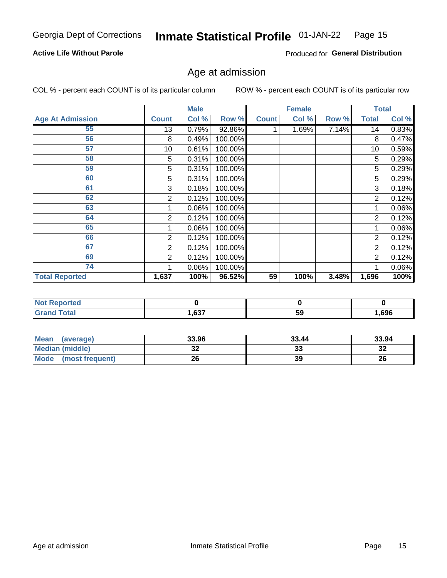#### Inmate Statistical Profile 01-JAN-22 Page 15

### **Active Life Without Parole**

Produced for General Distribution

## Age at admission

COL % - percent each COUNT is of its particular column

|                         |              | <b>Male</b> |         |              | <b>Female</b> |       |                | <b>Total</b> |
|-------------------------|--------------|-------------|---------|--------------|---------------|-------|----------------|--------------|
| <b>Age At Admission</b> | <b>Count</b> | Col %       | Row %   | <b>Count</b> | Col %         | Row % | <b>Total</b>   | Col %        |
| 55                      | 13           | 0.79%       | 92.86%  |              | 1.69%         | 7.14% | 14             | 0.83%        |
| 56                      | 8            | 0.49%       | 100.00% |              |               |       | 8              | 0.47%        |
| 57                      | 10           | 0.61%       | 100.00% |              |               |       | 10             | 0.59%        |
| 58                      | 5            | 0.31%       | 100.00% |              |               |       | 5              | 0.29%        |
| 59                      | 5            | 0.31%       | 100.00% |              |               |       | 5              | 0.29%        |
| 60                      | 5            | 0.31%       | 100.00% |              |               |       | 5              | 0.29%        |
| 61                      | 3            | 0.18%       | 100.00% |              |               |       | 3              | 0.18%        |
| 62                      | 2            | 0.12%       | 100.00% |              |               |       | 2              | 0.12%        |
| 63                      |              | 0.06%       | 100.00% |              |               |       |                | 0.06%        |
| 64                      | 2            | 0.12%       | 100.00% |              |               |       | 2              | 0.12%        |
| 65                      |              | 0.06%       | 100.00% |              |               |       |                | 0.06%        |
| 66                      | 2            | 0.12%       | 100.00% |              |               |       | 2              | 0.12%        |
| 67                      | 2            | 0.12%       | 100.00% |              |               |       | 2              | 0.12%        |
| 69                      | 2            | 0.12%       | 100.00% |              |               |       | $\overline{2}$ | 0.12%        |
| 74                      |              | 0.06%       | 100.00% |              |               |       |                | 0.06%        |
| <b>Total Reported</b>   | 1,637        | 100%        | 96.52%  | 59           | 100%          | 3.48% | 1,696          | 100%         |

| <b>Not Reported</b> |       |    |        |
|---------------------|-------|----|--------|
| <b>cotal</b>        | .,637 | 59 | 696, ا |

| Mean<br>(average)              | 33.96    | 33.44 | 33.94    |
|--------------------------------|----------|-------|----------|
| <b>Median (middle)</b>         | ^^<br>JZ | 33    | ົ<br>-52 |
| <b>Mode</b><br>(most frequent) | 26       | 39    | 26       |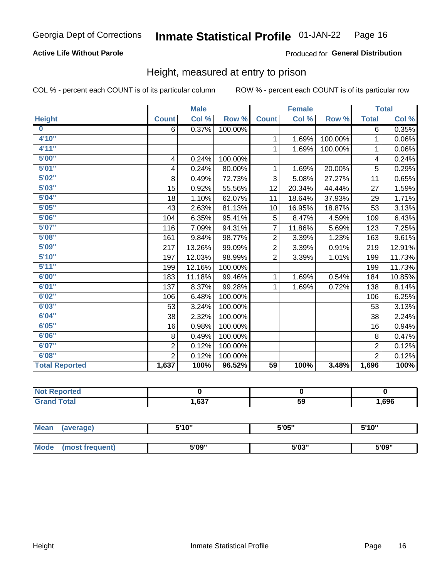## **Active Life Without Parole**

### Produced for General Distribution

## Height, measured at entry to prison

COL % - percent each COUNT is of its particular column

|                       |                         | <b>Male</b> |         |                 | <b>Female</b>              |         |                | <b>Total</b>               |
|-----------------------|-------------------------|-------------|---------|-----------------|----------------------------|---------|----------------|----------------------------|
| <b>Height</b>         | <b>Count</b>            | Col %       | Row %   | <b>Count</b>    | $\overline{\text{Col }^9}$ | Row %   | <b>Total</b>   | $\overline{\text{Col }\%}$ |
| $\bf{0}$              | 6                       | 0.37%       | 100.00% |                 |                            |         | 6              | 0.35%                      |
| 4'10"                 |                         |             |         | 1               | 1.69%                      | 100.00% | 1              | 0.06%                      |
| 4'11''                |                         |             |         | $\mathbf{1}$    | 1.69%                      | 100.00% | 1              | 0.06%                      |
| 5'00''                | $\overline{\mathbf{4}}$ | 0.24%       | 100.00% |                 |                            |         | 4              | 0.24%                      |
| 5'01"                 | 4                       | 0.24%       | 80.00%  | 1.              | 1.69%                      | 20.00%  | 5              | 0.29%                      |
| 5'02"                 | 8                       | 0.49%       | 72.73%  | 3               | 5.08%                      | 27.27%  | 11             | 0.65%                      |
| 5'03''                | 15                      | 0.92%       | 55.56%  | 12              | 20.34%                     | 44.44%  | 27             | 1.59%                      |
| 5'04"                 | 18                      | 1.10%       | 62.07%  | 11              | 18.64%                     | 37.93%  | 29             | 1.71%                      |
| 5'05"                 | 43                      | 2.63%       | 81.13%  | 10              | 16.95%                     | 18.87%  | 53             | 3.13%                      |
| 5'06''                | 104                     | 6.35%       | 95.41%  | 5               | 8.47%                      | 4.59%   | 109            | 6.43%                      |
| 5'07''                | 116                     | 7.09%       | 94.31%  | $\overline{7}$  | 11.86%                     | 5.69%   | 123            | 7.25%                      |
| 5'08''                | 161                     | 9.84%       | 98.77%  | $\overline{2}$  | 3.39%                      | 1.23%   | 163            | 9.61%                      |
| 5'09''                | 217                     | 13.26%      | 99.09%  | $\overline{2}$  | 3.39%                      | 0.91%   | 219            | 12.91%                     |
| 5'10''                | 197                     | 12.03%      | 98.99%  | $\overline{2}$  | 3.39%                      | 1.01%   | 199            | 11.73%                     |
| 5'11"                 | 199                     | 12.16%      | 100.00% |                 |                            |         | 199            | 11.73%                     |
| 6'00''                | 183                     | 11.18%      | 99.46%  | $\mathbf{1}$    | 1.69%                      | 0.54%   | 184            | 10.85%                     |
| 6'01''                | 137                     | 8.37%       | 99.28%  | 1               | 1.69%                      | 0.72%   | 138            | 8.14%                      |
| 6'02"                 | 106                     | 6.48%       | 100.00% |                 |                            |         | 106            | 6.25%                      |
| 6'03''                | 53                      | 3.24%       | 100.00% |                 |                            |         | 53             | 3.13%                      |
| 6'04"                 | 38                      | 2.32%       | 100.00% |                 |                            |         | 38             | 2.24%                      |
| 6'05"                 | 16                      | 0.98%       | 100.00% |                 |                            |         | 16             | 0.94%                      |
| 6'06''                | 8                       | 0.49%       | 100.00% |                 |                            |         | 8              | 0.47%                      |
| 6'07''                | $\overline{2}$          | 0.12%       | 100.00% |                 |                            |         | $\overline{2}$ | 0.12%                      |
| 6'08''                | $\overline{2}$          | 0.12%       | 100.00% |                 |                            |         | $\overline{2}$ | 0.12%                      |
| <b>Total Reported</b> | 1,637                   | 100%        | 96.52%  | $\overline{59}$ | 100%                       | 3.48%   | 1,696          | 100%                       |

| <b>orted</b><br>NOT |       |    |      |
|---------------------|-------|----|------|
| <b>Total</b>        | 1,637 | 59 | ,696 |

| <b>Mean</b> | (average)       | 5'10" | 5'05"           | 5'10" |
|-------------|-----------------|-------|-----------------|-------|
|             |                 |       |                 |       |
| <b>Mode</b> | (most frequent) | 5'09" | EINO !!<br>ა სა | 5'09" |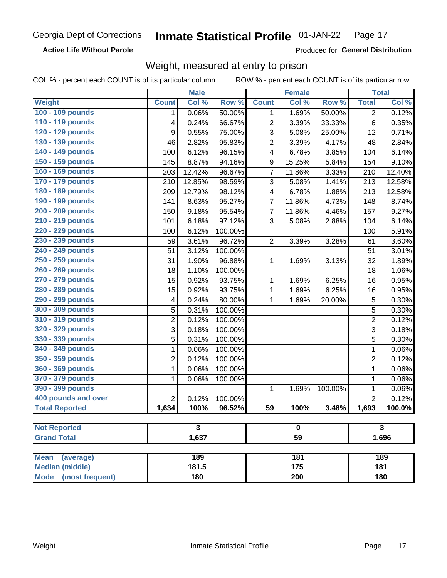**Active Life Without Parole** 

Produced for General Distribution

## Weight, measured at entry to prison

COL % - percent each COUNT is of its particular column

|                          |                | <b>Male</b>             |                  |                  | <b>Female</b>   |         |                | <b>Total</b>         |
|--------------------------|----------------|-------------------------|------------------|------------------|-----------------|---------|----------------|----------------------|
| <b>Weight</b>            | <b>Count</b>   | Col %                   | Row <sup>%</sup> | <b>Count</b>     | Col %           | Row %   | <b>Total</b>   | Col %                |
| 100 - 109 pounds         | 1              | 0.06%                   | 50.00%           | 1                | 1.69%           | 50.00%  | $\overline{2}$ | 0.12%                |
| 110 - 119 pounds         | 4              | 0.24%                   | 66.67%           | $\overline{2}$   | 3.39%           | 33.33%  | 6              | 0.35%                |
| 120 - 129 pounds         | 9              | 0.55%                   | 75.00%           | 3                | 5.08%           | 25.00%  | 12             | 0.71%                |
| 130 - 139 pounds         | 46             | 2.82%                   | 95.83%           | $\overline{c}$   | 3.39%           | 4.17%   | 48             | 2.84%                |
| 140 - 149 pounds         | 100            | 6.12%                   | 96.15%           | 4                | 6.78%           | 3.85%   | 104            | 6.14%                |
| 150 - 159 pounds         | 145            | 8.87%                   | 94.16%           | $\boldsymbol{9}$ | 15.25%          | 5.84%   | 154            | 9.10%                |
| 160 - 169 pounds         | 203            | 12.42%                  | 96.67%           | 7                | 11.86%          | 3.33%   | 210            | 12.40%               |
| 170 - 179 pounds         | 210            | 12.85%                  | 98.59%           | 3                | 5.08%           | 1.41%   | 213            | 12.58%               |
| 180 - 189 pounds         | 209            | 12.79%                  | 98.12%           | 4                | 6.78%           | 1.88%   | 213            | 12.58%               |
| 190 - 199 pounds         | 141            | 8.63%                   | 95.27%           | 7                | 11.86%          | 4.73%   | 148            | 8.74%                |
| 200 - 209 pounds         | 150            | 9.18%                   | 95.54%           | 7                | 11.86%          | 4.46%   | 157            | 9.27%                |
| 210 - 219 pounds         | 101            | 6.18%                   | 97.12%           | 3                | 5.08%           | 2.88%   | 104            | 6.14%                |
| 220 - 229 pounds         | 100            | 6.12%                   | 100.00%          |                  |                 |         | 100            | 5.91%                |
| 230 - 239 pounds         | 59             | 3.61%                   | 96.72%           | $\overline{2}$   | 3.39%           | 3.28%   | 61             | 3.60%                |
| 240 - 249 pounds         | 51             | 3.12%                   | 100.00%          |                  |                 |         | 51             | 3.01%                |
| 250 - 259 pounds         | 31             | 1.90%                   | 96.88%           | 1                | 1.69%           | 3.13%   | 32             | 1.89%                |
| 260 - 269 pounds         | 18             | 1.10%                   | 100.00%          |                  |                 |         | 18             | 1.06%                |
| 270 - 279 pounds         | 15             | 0.92%                   | 93.75%           | 1                | 1.69%           | 6.25%   | 16             | 0.95%                |
| 280 - 289 pounds         | 15             | 0.92%                   | 93.75%           | 1                | 1.69%           | 6.25%   | 16             | 0.95%                |
| 290 - 299 pounds         | 4              | 0.24%                   | 80.00%           | 1                | 1.69%           | 20.00%  | 5              | 0.30%                |
| 300 - 309 pounds         | 5              | 0.31%                   | 100.00%          |                  |                 |         | 5              | 0.30%                |
| 310 - 319 pounds         | $\overline{2}$ | 0.12%                   | 100.00%          |                  |                 |         | $\overline{c}$ | 0.12%                |
| 320 - 329 pounds         | 3              | 0.18%                   | 100.00%          |                  |                 |         | 3              | 0.18%                |
| 330 - 339 pounds         | 5              | 0.31%                   | 100.00%          |                  |                 |         | 5              | 0.30%                |
| 340 - 349 pounds         | 1              | 0.06%                   | 100.00%          |                  |                 |         | $\mathbf{1}$   | 0.06%                |
| 350 - 359 pounds         | $\overline{2}$ | 0.12%                   | 100.00%          |                  |                 |         | $\overline{2}$ | 0.12%                |
| 360 - 369 pounds         | 1              | 0.06%                   | 100.00%          |                  |                 |         | $\mathbf 1$    | 0.06%                |
| 370 - 379 pounds         | 1              | 0.06%                   | 100.00%          |                  |                 |         | $\mathbf 1$    | 0.06%                |
| 390 - 399 pounds         |                |                         |                  | $\mathbf{1}$     | 1.69%           | 100.00% | $\mathbf 1$    | 0.06%                |
| 400 pounds and over      | $\overline{2}$ | 0.12%                   | 100.00%          |                  |                 |         | $\overline{2}$ | 0.12%                |
| <b>Total Reported</b>    | 1,634          | 100%                    | 96.52%           | 59               | 100%            | 3.48%   | 1,693          | $\overline{100.0\%}$ |
|                          |                |                         |                  |                  |                 |         |                |                      |
| <b>Not Reported</b>      |                | $\overline{\mathbf{3}}$ |                  |                  | $\bf{0}$        |         |                | $\overline{3}$       |
| <b>Grand Total</b>       |                | 1,637                   |                  |                  | $\overline{59}$ |         |                | 1,696                |
| <b>Mean</b><br>(average) |                | 189                     |                  |                  | 181             |         |                | 189                  |
| <b>Median (middle)</b>   |                | 181.5                   |                  |                  | 175             |         |                | 181                  |
| Mode (most frequent)     |                | 180                     |                  | 200              |                 |         | <b>180</b>     |                      |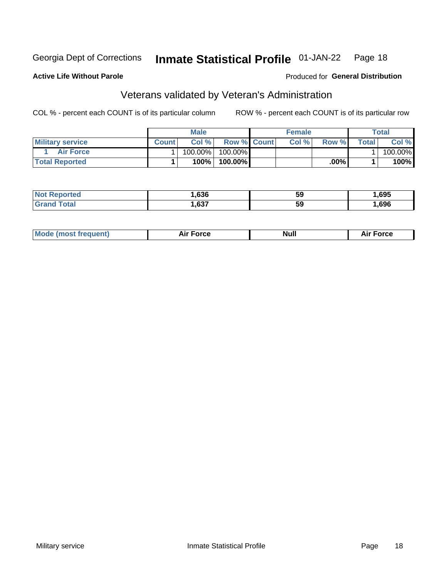#### **Inmate Statistical Profile 01-JAN-22** Page 18

### **Active Life Without Parole**

### Produced for General Distribution

## Veterans validated by Veteran's Administration

COL % - percent each COUNT is of its particular column

|                         |              | <b>Male</b> |                    | <b>Female</b> |       |             | Total   |
|-------------------------|--------------|-------------|--------------------|---------------|-------|-------------|---------|
| <b>Military service</b> | <b>Count</b> | Col%        | <b>Row % Count</b> | Col %         | Row % | $\tau$ otal | Col %   |
| <b>Air Force</b>        |              | 100.00%     | 100.00%            |               |       |             | 100.00% |
| <b>Total Reported</b>   |              | 100%        | 100.00%            |               | .00%  |             | $100\%$ |

| тео | .636 | 59 | ,695 |
|-----|------|----|------|
|     | ,637 | 59 | .696 |

| Mc | <b>Orco</b> | Nui. | $\cdots$<br>nce |
|----|-------------|------|-----------------|
|----|-------------|------|-----------------|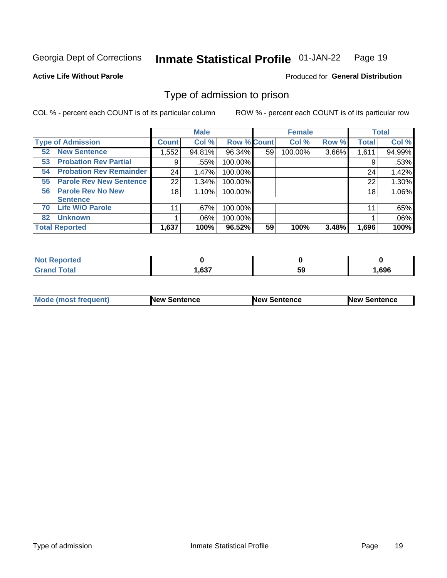#### **Inmate Statistical Profile 01-JAN-22** Page 19

**Active Life Without Parole** 

Produced for General Distribution

## Type of admission to prison

COL % - percent each COUNT is of its particular column

|                                      |              | <b>Male</b> |                    |    | <b>Female</b> |       |              | <b>Total</b> |
|--------------------------------------|--------------|-------------|--------------------|----|---------------|-------|--------------|--------------|
| <b>Type of Admission</b>             | <b>Count</b> | Col %       | <b>Row % Count</b> |    | Col %         | Row % | <b>Total</b> | Col %        |
| <b>New Sentence</b><br>52            | 1,552        | 94.81%      | 96.34%             | 59 | 100.00%       | 3.66% | 1,611        | 94.99%       |
| <b>Probation Rev Partial</b><br>53   | 9            | .55%        | 100.00%            |    |               |       | 9            | .53%         |
| <b>Probation Rev Remainder</b><br>54 | 24           | 1.47%       | 100.00%            |    |               |       | 24           | 1.42%        |
| <b>Parole Rev New Sentence</b><br>55 | 22           | 1.34%       | 100.00%            |    |               |       | 22           | 1.30%        |
| <b>Parole Rev No New</b><br>56       | 18           | 1.10%       | 100.00%            |    |               |       | 18           | 1.06%        |
| <b>Sentence</b>                      |              |             |                    |    |               |       |              |              |
| <b>Life W/O Parole</b><br>70         | 11           | .67%        | 100.00%            |    |               |       | 11           | .65%         |
| <b>Unknown</b><br>82                 |              | $.06\%$     | 100.00%            |    |               |       |              | .06%         |
| <b>Total Reported</b>                | 1,637        | 100%        | 96.52%             | 59 | 100%          | 3.48% | 1,696        | 100%         |

| <b>Not Reported</b>   |       |    |      |
|-----------------------|-------|----|------|
| <b>Total</b><br>Grand | .,637 | 59 | ,696 |

| <b>Mode (most frequent)</b> | <b>New Sentence</b> | <b>New Sentence</b> | <b>New Sentence</b> |
|-----------------------------|---------------------|---------------------|---------------------|
|                             |                     |                     |                     |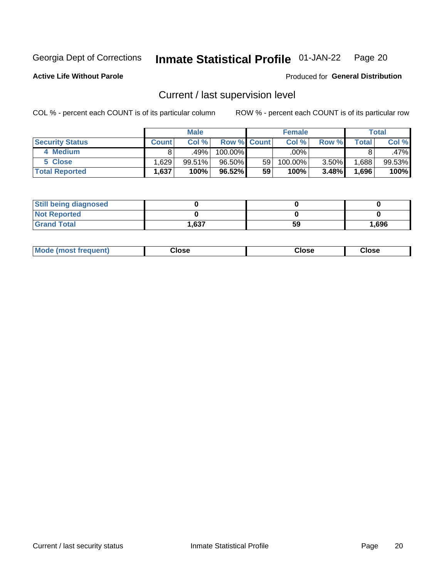#### Inmate Statistical Profile 01-JAN-22 Page 20

**Active Life Without Parole** 

Produced for General Distribution

## Current / last supervision level

COL % - percent each COUNT is of its particular column

|                        |              | <b>Male</b> |                    |    | <b>Female</b> |       |       | <b>Total</b> |
|------------------------|--------------|-------------|--------------------|----|---------------|-------|-------|--------------|
| <b>Security Status</b> | <b>Count</b> | Col%        | <b>Row % Count</b> |    | Col %         | Row % | Total | Col %        |
| 4 Medium               | 8            | .49%        | 100.00%            |    | .00%          |       |       | .47%         |
| 5 Close                | .629         | 99.51%      | 96.50%             | 59 | 100.00%       | 3.50% | .688  | 99.53%       |
| <b>Total Reported</b>  | ٰ 637، ،     | 100%        | $96.52\%$          | 59 | 100%          | 3.48% | .696  | 100%         |

| <b>Still being diagnosed</b> |      |    |       |
|------------------------------|------|----|-------|
| <b>Not Reported</b>          |      |    |       |
| <b>Grand Total</b>           | .637 | 59 | 1,696 |

| <b>AhoM</b><br>rreauent) | <b>Close</b> | Close | Close |
|--------------------------|--------------|-------|-------|
|                          |              |       |       |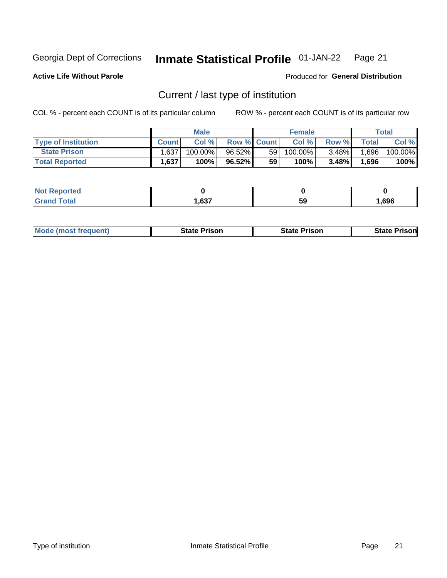#### Inmate Statistical Profile 01-JAN-22 Page 21

**Active Life Without Parole** 

Produced for General Distribution

## Current / last type of institution

COL % - percent each COUNT is of its particular column

|                            |              | <b>Male</b> |                    |    | <b>Female</b> |          |         | Total   |
|----------------------------|--------------|-------------|--------------------|----|---------------|----------|---------|---------|
| <b>Type of Institution</b> | <b>Count</b> | Col %       | <b>Row % Count</b> |    | Col %         | Row %    | Total I | Col %   |
| <b>State Prison</b>        | 1,637        | 100.00%     | 96.52%             | 59 | 100.00%       | $3.48\%$ | ا 696.  | 100.00% |
| <b>Total Reported</b>      | 1,637        | 100%        | 96.52%             | 59 | 100%          | $3.48\%$ | 1,696   | 100%    |

| τeα<br>$\sim$ |             |    |      |
|---------------|-------------|----|------|
|               | 0.27<br>vv. | 59 | .696 |

|  | <b>Mode (most frequent)</b> | State Prison | <b>State Prison</b> | <b>State Prison</b> |
|--|-----------------------------|--------------|---------------------|---------------------|
|--|-----------------------------|--------------|---------------------|---------------------|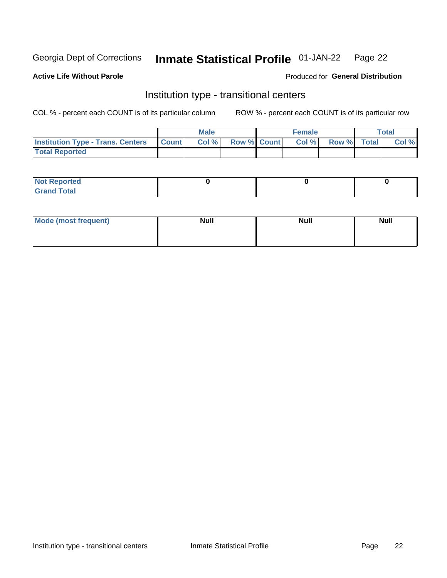#### **Inmate Statistical Profile 01-JAN-22** Page 22

### **Active Life Without Parole**

## Produced for General Distribution

## Institution type - transitional centers

COL % - percent each COUNT is of its particular column

|                                                | Male  |                    | <b>Female</b> |                   | Total |
|------------------------------------------------|-------|--------------------|---------------|-------------------|-------|
| <b>Institution Type - Trans. Centers Count</b> | Col % | <b>Row % Count</b> |               | Col % Row % Total | Col % |
| <b>Total Reported</b>                          |       |                    |               |                   |       |

| <b>Reported</b><br><b>NOT</b><br>$\sim$            |  |  |
|----------------------------------------------------|--|--|
| $f$ $f \circ f \circ f$<br>$C = 1$<br><b>TULAI</b> |  |  |

| Mode (most frequent) | <b>Null</b> | <b>Null</b> | <b>Null</b> |
|----------------------|-------------|-------------|-------------|
|                      |             |             |             |
|                      |             |             |             |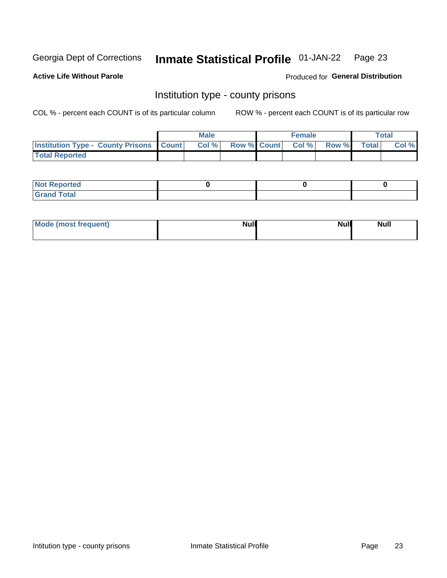#### **Inmate Statistical Profile 01-JAN-22** Page 23

**Active Life Without Parole** 

Produced for General Distribution

## Institution type - county prisons

COL % - percent each COUNT is of its particular column

|                                                    | <b>Male</b> |       |                          | <b>Female</b> |  |             | <b>Total</b> |       |
|----------------------------------------------------|-------------|-------|--------------------------|---------------|--|-------------|--------------|-------|
| <b>Institution Type - County Prisons   Count  </b> |             | Col % | <b>Row % Count Col %</b> |               |  | Row % Total |              | Col % |
| <b>Total Reported</b>                              |             |       |                          |               |  |             |              |       |

| <b>Not Reported</b>   |  |  |
|-----------------------|--|--|
| <b>Total</b><br>Granc |  |  |

| Mode (most frequent) | <b>Null</b> | <b>Null</b><br><b>Null</b> |
|----------------------|-------------|----------------------------|
|                      |             |                            |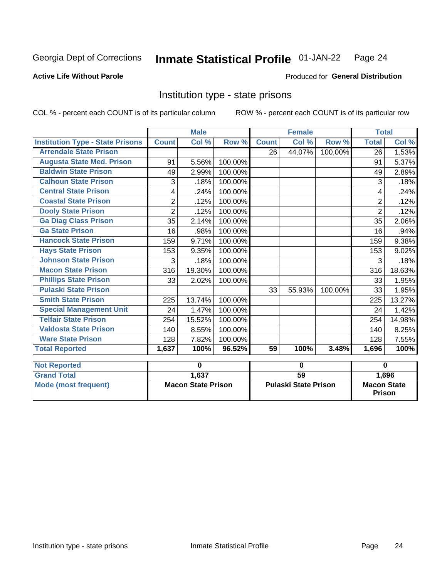#### Inmate Statistical Profile 01-JAN-22 Page 24

### **Active Life Without Parole**

### Produced for General Distribution

## Institution type - state prisons

COL % - percent each COUNT is of its particular column

|                                           | <b>Male</b><br><b>Female</b> |                           |         | <b>Total</b> |                             |         |              |                                     |
|-------------------------------------------|------------------------------|---------------------------|---------|--------------|-----------------------------|---------|--------------|-------------------------------------|
| <b>Institution Type - State Prisons</b>   | <b>Count</b>                 | Col %                     | Row %   | <b>Count</b> | Col %                       | Row %   | <b>Total</b> | Col %                               |
| <b>Arrendale State Prison</b>             |                              |                           |         | 26           | 44.07%                      | 100.00% | 26           | 1.53%                               |
| <b>Augusta State Med. Prison</b>          | 91                           | 5.56%                     | 100.00% |              |                             |         | 91           | 5.37%                               |
| <b>Baldwin State Prison</b>               | 49                           | 2.99%                     | 100.00% |              |                             |         | 49           | 2.89%                               |
| <b>Calhoun State Prison</b>               | 3                            | .18%                      | 100.00% |              |                             |         | 3            | .18%                                |
| <b>Central State Prison</b>               | 4                            | .24%                      | 100.00% |              |                             |         | 4            | .24%                                |
| <b>Coastal State Prison</b>               | $\overline{2}$               | .12%                      | 100.00% |              |                             |         | 2            | .12%                                |
| <b>Dooly State Prison</b>                 | $\overline{2}$               | .12%                      | 100.00% |              |                             |         | 2            | .12%                                |
| <b>Ga Diag Class Prison</b>               | 35                           | 2.14%                     | 100.00% |              |                             |         | 35           | 2.06%                               |
| <b>Ga State Prison</b>                    | 16                           | .98%                      | 100.00% |              |                             |         | 16           | $.94\%$                             |
| <b>Hancock State Prison</b>               | 159                          | 9.71%                     | 100.00% |              |                             |         | 159          | 9.38%                               |
| <b>Hays State Prison</b>                  | 153                          | 9.35%                     | 100.00% |              |                             |         | 153          | 9.02%                               |
| <b>Johnson State Prison</b>               | 3                            | .18%                      | 100.00% |              |                             |         | 3            | .18%                                |
| <b>Macon State Prison</b>                 | 316                          | 19.30%                    | 100.00% |              |                             |         | 316          | 18.63%                              |
| <b>Phillips State Prison</b>              | 33                           | 2.02%                     | 100.00% |              |                             |         | 33           | 1.95%                               |
| <b>Pulaski State Prison</b>               |                              |                           |         | 33           | 55.93%                      | 100.00% | 33           | 1.95%                               |
| <b>Smith State Prison</b>                 | 225                          | 13.74%                    | 100.00% |              |                             |         | 225          | 13.27%                              |
| <b>Special Management Unit</b>            | 24                           | 1.47%                     | 100.00% |              |                             |         | 24           | 1.42%                               |
| <b>Telfair State Prison</b>               | 254                          | 15.52%                    | 100.00% |              |                             |         | 254          | 14.98%                              |
| <b>Valdosta State Prison</b>              | 140                          | 8.55%                     | 100.00% |              |                             |         | 140          | 8.25%                               |
| <b>Ware State Prison</b>                  | 128                          | 7.82%                     | 100.00% |              |                             |         | 128          | 7.55%                               |
| <b>Total Reported</b>                     | 1,637                        | 100%                      | 96.52%  | 59           | 100%                        | 3.48%   | 1,696        | 100%                                |
|                                           |                              | $\mathbf 0$               |         |              | 0                           |         |              | $\bf{0}$                            |
| <b>Not Reported</b><br><b>Grand Total</b> |                              | 1,637                     |         |              | $\overline{59}$             |         |              | 1,696                               |
|                                           |                              |                           |         |              |                             |         |              |                                     |
| <b>Mode (most frequent)</b>               |                              | <b>Macon State Prison</b> |         |              | <b>Pulaski State Prison</b> |         |              | <b>Macon State</b><br><b>Prison</b> |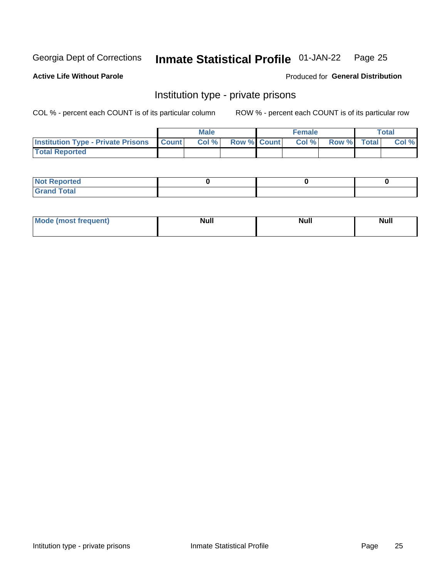#### Inmate Statistical Profile 01-JAN-22 Page 25

### **Active Life Without Parole**

### Produced for General Distribution

## Institution type - private prisons

COL % - percent each COUNT is of its particular column

|                                                     | <b>Male</b> |       |                    | <b>Female</b> |      |             | Total |       |
|-----------------------------------------------------|-------------|-------|--------------------|---------------|------|-------------|-------|-------|
| <b>Institution Type - Private Prisons   Count  </b> |             | Col % | <b>Row % Count</b> |               | Col% | Row % Total |       | Col % |
| <b>Total Reported</b>                               |             |       |                    |               |      |             |       |       |

| Reported<br>I NOT<br>$\sim$ |  |  |
|-----------------------------|--|--|
| <b>c</b> otal<br>.          |  |  |

| <b>Mo</b><br>frequent) | <b>Null</b> | <b>Null</b> | . . I *<br><b>IVUII</b> |
|------------------------|-------------|-------------|-------------------------|
|                        |             |             |                         |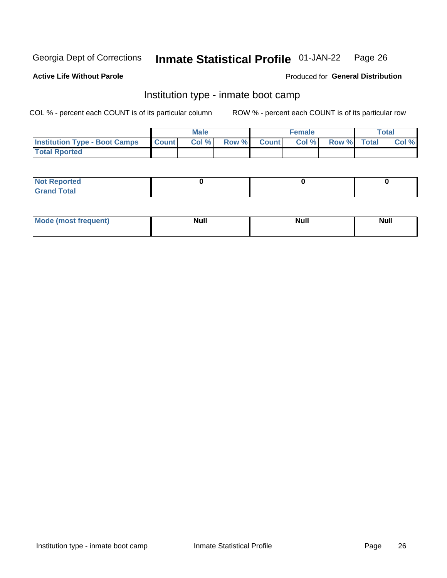#### Inmate Statistical Profile 01-JAN-22 Page 26

### **Active Life Without Parole**

### Produced for General Distribution

## Institution type - inmate boot camp

COL % - percent each COUNT is of its particular column

|                                      | <b>Male</b>     |       |              | <b>Female</b> |       |             | <b>Total</b> |       |
|--------------------------------------|-----------------|-------|--------------|---------------|-------|-------------|--------------|-------|
| <b>Institution Type - Boot Camps</b> | <b>I</b> Count⊥ | Col % | <b>Row %</b> | <b>Count</b>  | Col % | Row % Total |              | Col % |
| <b>Total Rported</b>                 |                 |       |              |               |       |             |              |       |

| <b>Not Reported</b>            |  |  |
|--------------------------------|--|--|
| <b>Total</b><br>C <sub>r</sub> |  |  |

| Mod<br>uamo | Nul.<br>$- - - - - -$ | <b>Null</b> | . .<br>uu.<br>------ |
|-------------|-----------------------|-------------|----------------------|
|             |                       |             |                      |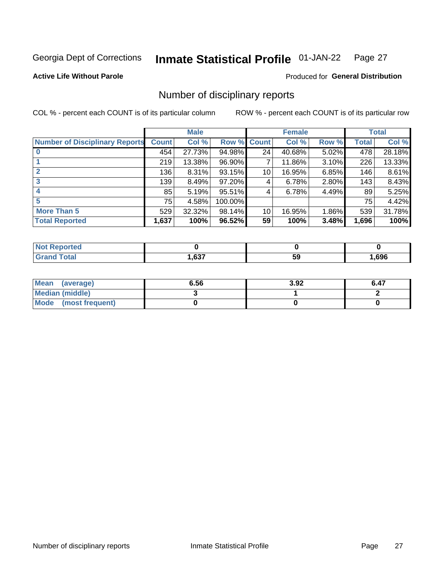#### Inmate Statistical Profile 01-JAN-22 Page 27

**Active Life Without Parole** 

Produced for General Distribution

## Number of disciplinary reports

COL % - percent each COUNT is of its particular column

|                                       | <b>Male</b>  |          |                    |    | <b>Female</b> | <b>Total</b> |       |        |
|---------------------------------------|--------------|----------|--------------------|----|---------------|--------------|-------|--------|
| <b>Number of Disciplinary Reports</b> | <b>Count</b> | Col %    | <b>Row % Count</b> |    | Col %         | Row %        | Total | Col %  |
|                                       | 454          | 27.73%   | 94.98%             | 24 | 40.68%        | 5.02%        | 478   | 28.18% |
|                                       | 219          | 13.38%   | 96.90%             |    | 11.86%        | 3.10%        | 226   | 13.33% |
|                                       | 136          | $8.31\%$ | 93.15%             | 10 | 16.95%        | 6.85%        | 146   | 8.61%  |
| 3                                     | 139          | 8.49%    | 97.20%             | 4  | 6.78%         | 2.80%        | 143   | 8.43%  |
|                                       | 85           | 5.19%    | 95.51%             | 4  | 6.78%         | 4.49%        | 89    | 5.25%  |
| 5                                     | 75           | 4.58%    | 100.00%            |    |               |              | 75    | 4.42%  |
| <b>More Than 5</b>                    | 529          | 32.32%   | 98.14%             | 10 | 16.95%        | $1.86\%$     | 539   | 31.78% |
| <b>Total Reported</b>                 | 1,637        | 100%     | 96.52%             | 59 | 100%          | 3.48%        | 1,696 | 100%   |

| NO<br>тео    |      |    |      |
|--------------|------|----|------|
| <b>Total</b> | ,637 | ວະ | .696 |

| Mean (average)       | 6.56 | 3.92 | 6.47 |
|----------------------|------|------|------|
| Median (middle)      |      |      |      |
| Mode (most frequent) |      |      |      |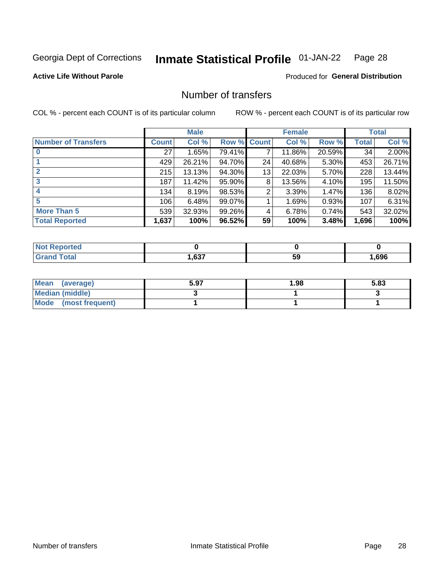#### **Inmate Statistical Profile 01-JAN-22** Page 28

### **Active Life Without Parole**

### **Produced for General Distribution**

## Number of transfers

COL % - percent each COUNT is of its particular column

|                            |         | <b>Male</b> |        |              | <b>Female</b> |          |              | <b>Total</b> |
|----------------------------|---------|-------------|--------|--------------|---------------|----------|--------------|--------------|
| <b>Number of Transfers</b> | Count l | Col %       | Row %  | <b>Count</b> | Col %         | Row %    | <b>Total</b> | Col %        |
|                            | 27      | 1.65%       | 79.41% | 7            | 11.86%        | 20.59%   | 34           | 2.00%        |
|                            | 429     | 26.21%      | 94.70% | 24           | 40.68%        | $5.30\%$ | 453          | 26.71%       |
| $\mathbf{2}$               | 215     | 13.13%      | 94.30% | 13           | 22.03%        | 5.70%    | 228          | 13.44%       |
| 3                          | 187     | 11.42%      | 95.90% | 8            | 13.56%        | $4.10\%$ | 195          | 11.50%       |
|                            | 134     | 8.19%       | 98.53% | 2            | 3.39%         | 1.47%    | 136          | 8.02%        |
| 5                          | 106     | 6.48%       | 99.07% |              | 1.69%         | 0.93%    | 107          | 6.31%        |
| <b>More Than 5</b>         | 539     | 32.93%      | 99.26% | 4            | 6.78%         | 0.74%    | 543          | 32.02%       |
| <b>Total Reported</b>      | 1,637   | 100%        | 96.52% | 59           | 100%          | 3.48%    | 1,696        | 100%         |

| prtea<br>NOT F    |      |    |      |
|-------------------|------|----|------|
| <sup>-</sup> otal | ,637 | 59 | .696 |

| Mean (average)       | 5.97 | 1.98 | 5.83 |
|----------------------|------|------|------|
| Median (middle)      |      |      |      |
| Mode (most frequent) |      |      |      |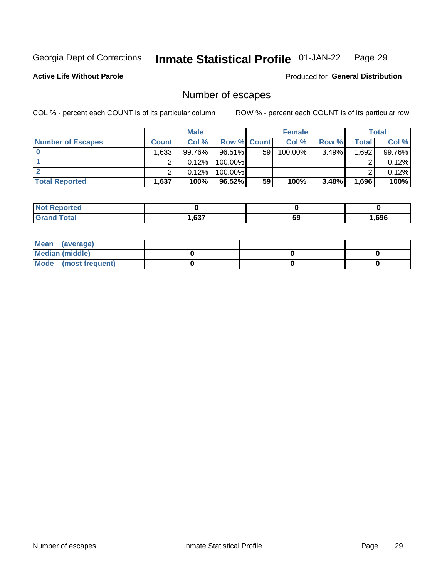#### **Inmate Statistical Profile 01-JAN-22** Page 29

**Active Life Without Parole** 

Produced for General Distribution

## Number of escapes

COL % - percent each COUNT is of its particular column

|                          |         | <b>Male</b> |                    |    | <b>Female</b> |       |       | <b>Total</b> |
|--------------------------|---------|-------------|--------------------|----|---------------|-------|-------|--------------|
| <b>Number of Escapes</b> | Count l | Col %       | <b>Row % Count</b> |    | Col %         | Row % | Total | Col %        |
|                          | ا 633.  | 99.76%      | 96.51%I            | 59 | 100.00%       | 3.49% | .692  | 99.76%       |
|                          |         | 0.12%       | 100.00%            |    |               |       |       | 0.12%        |
|                          |         | 0.12%       | $100.00\%$         |    |               |       |       | 0.12%        |
| <b>Total Reported</b>    | .637    | 100%        | 96.52%             | 59 | 100%          | 3.48% | 1,696 | 100%         |

| <b>Not Reported</b> |      |    |      |
|---------------------|------|----|------|
| <b>Grand Total</b>  | ,637 | 59 | ,696 |

| Mean (average)         |  |  |
|------------------------|--|--|
| <b>Median (middle)</b> |  |  |
| Mode (most frequent)   |  |  |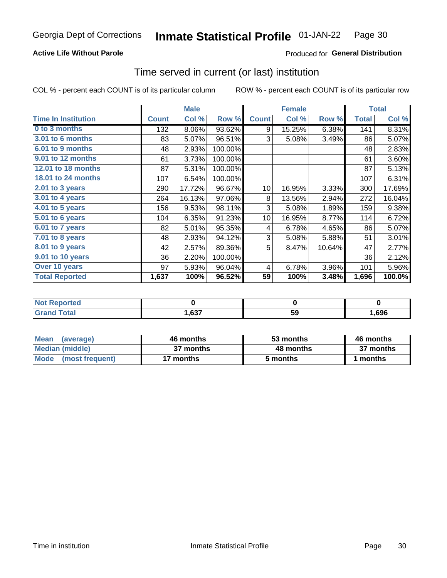## **Active Life Without Parole**

## **Produced for General Distribution**

## Time served in current (or last) institution

COL % - percent each COUNT is of its particular column

|                            |              | <b>Male</b> |         |              | <b>Female</b> |        |              | <b>Total</b> |
|----------------------------|--------------|-------------|---------|--------------|---------------|--------|--------------|--------------|
| <b>Time In Institution</b> | <b>Count</b> | Col %       | Row %   | <b>Count</b> | Col %         | Row %  | <b>Total</b> | Col %        |
| 0 to 3 months              | 132          | 8.06%       | 93.62%  | 9            | 15.25%        | 6.38%  | 141          | 8.31%        |
| <b>3.01 to 6 months</b>    | 83           | 5.07%       | 96.51%  | 3            | 5.08%         | 3.49%  | 86           | 5.07%        |
| 6.01 to 9 months           | 48           | 2.93%       | 100.00% |              |               |        | 48           | 2.83%        |
| 9.01 to 12 months          | 61           | 3.73%       | 100.00% |              |               |        | 61           | 3.60%        |
| 12.01 to 18 months         | 87           | 5.31%       | 100.00% |              |               |        | 87           | 5.13%        |
| <b>18.01 to 24 months</b>  | 107          | 6.54%       | 100.00% |              |               |        | 107          | 6.31%        |
| $2.01$ to 3 years          | 290          | 17.72%      | 96.67%  | 10           | 16.95%        | 3.33%  | 300          | 17.69%       |
| $3.01$ to 4 years          | 264          | 16.13%      | 97.06%  | 8            | 13.56%        | 2.94%  | 272          | 16.04%       |
| 4.01 to 5 years            | 156          | 9.53%       | 98.11%  | 3            | 5.08%         | 1.89%  | 159          | 9.38%        |
| 5.01 to 6 years            | 104          | 6.35%       | 91.23%  | 10           | 16.95%        | 8.77%  | 114          | 6.72%        |
| 6.01 to 7 years            | 82           | 5.01%       | 95.35%  | 4            | 6.78%         | 4.65%  | 86           | 5.07%        |
| 7.01 to 8 years            | 48           | 2.93%       | 94.12%  | 3            | 5.08%         | 5.88%  | 51           | 3.01%        |
| 8.01 to 9 years            | 42           | 2.57%       | 89.36%  | 5            | 8.47%         | 10.64% | 47           | 2.77%        |
| 9.01 to 10 years           | 36           | 2.20%       | 100.00% |              |               |        | 36           | 2.12%        |
| Over 10 years              | 97           | 5.93%       | 96.04%  | 4            | 6.78%         | 3.96%  | 101          | 5.96%        |
| <b>Total Reported</b>      | 1,637        | 100%        | 96.52%  | 59           | 100%          | 3.48%  | 1,696        | 100.0%       |

| <b>roorted</b><br>NOT |      |    |      |
|-----------------------|------|----|------|
| $C0+0$                | ,637 | ჯა | ,696 |

| <b>Mean</b><br>(average) | 46 months | 53 months | 46 months |
|--------------------------|-----------|-----------|-----------|
| Median (middle)          | 37 months | 48 months | 37 months |
| Mode (most frequent)     | 17 months | 5 months  | 1 months  |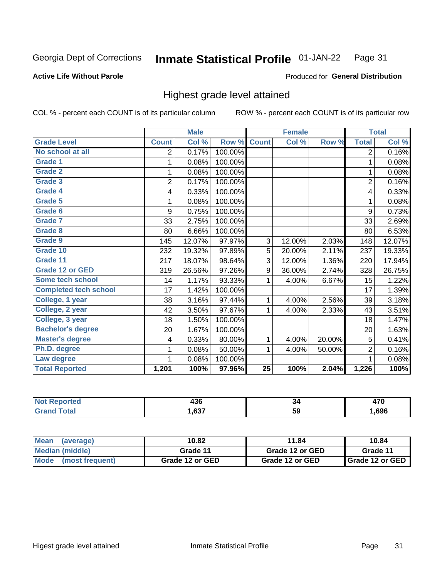#### Inmate Statistical Profile 01-JAN-22 Page 31

#### **Active Life Without Parole**

#### Produced for General Distribution

## Highest grade level attained

COL % - percent each COUNT is of its particular column

|                              |                | <b>Male</b> |         |                 | <b>Female</b> |        |                | <b>Total</b> |
|------------------------------|----------------|-------------|---------|-----------------|---------------|--------|----------------|--------------|
| <b>Grade Level</b>           | <b>Count</b>   | Col %       | Row %   | <b>Count</b>    | Col %         | Row %  | <b>Total</b>   | Col %        |
| No school at all             | 2              | 0.17%       | 100.00% |                 |               |        | $\overline{2}$ | 0.16%        |
| <b>Grade 1</b>               | 1              | 0.08%       | 100.00% |                 |               |        | 1              | 0.08%        |
| <b>Grade 2</b>               | 1              | 0.08%       | 100.00% |                 |               |        | 1              | 0.08%        |
| <b>Grade 3</b>               | $\overline{2}$ | 0.17%       | 100.00% |                 |               |        | $\overline{2}$ | 0.16%        |
| <b>Grade 4</b>               | 4              | 0.33%       | 100.00% |                 |               |        | 4              | 0.33%        |
| Grade 5                      | 1              | 0.08%       | 100.00% |                 |               |        | 1              | 0.08%        |
| Grade 6                      | 9              | 0.75%       | 100.00% |                 |               |        | 9              | 0.73%        |
| Grade 7                      | 33             | 2.75%       | 100.00% |                 |               |        | 33             | 2.69%        |
| <b>Grade 8</b>               | 80             | 6.66%       | 100.00% |                 |               |        | 80             | 6.53%        |
| Grade 9                      | 145            | 12.07%      | 97.97%  | 3               | 12.00%        | 2.03%  | 148            | 12.07%       |
| Grade 10                     | 232            | 19.32%      | 97.89%  | 5               | 20.00%        | 2.11%  | 237            | 19.33%       |
| Grade 11                     | 217            | 18.07%      | 98.64%  | 3               | 12.00%        | 1.36%  | 220            | 17.94%       |
| <b>Grade 12 or GED</b>       | 319            | 26.56%      | 97.26%  | 9               | 36.00%        | 2.74%  | 328            | 26.75%       |
| Some tech school             | 14             | 1.17%       | 93.33%  | 1               | 4.00%         | 6.67%  | 15             | 1.22%        |
| <b>Completed tech school</b> | 17             | 1.42%       | 100.00% |                 |               |        | 17             | 1.39%        |
| College, 1 year              | 38             | 3.16%       | 97.44%  | 1               | 4.00%         | 2.56%  | 39             | 3.18%        |
| College, 2 year              | 42             | 3.50%       | 97.67%  | 1               | 4.00%         | 2.33%  | 43             | 3.51%        |
| College, 3 year              | 18             | 1.50%       | 100.00% |                 |               |        | 18             | 1.47%        |
| <b>Bachelor's degree</b>     | 20             | 1.67%       | 100.00% |                 |               |        | 20             | 1.63%        |
| <b>Master's degree</b>       | 4              | 0.33%       | 80.00%  | 1               | 4.00%         | 20.00% | 5              | 0.41%        |
| Ph.D. degree                 | 1              | 0.08%       | 50.00%  | 1               | 4.00%         | 50.00% | $\overline{2}$ | 0.16%        |
| Law degree                   | 1              | 0.08%       | 100.00% |                 |               |        | 1              | 0.08%        |
| <b>Total Reported</b>        | 1,201          | 100%        | 97.96%  | $\overline{25}$ | 100%          | 2.04%  | 1,226          | 100%         |

| rted<br>NO | .<br>łЈU | ٥4  | $\rightarrow$ |
|------------|----------|-----|---------------|
|            | .637     | -59 | .696          |

| <b>Mean</b><br>(average) | 10.82           | 11.84           | 10.84                    |  |
|--------------------------|-----------------|-----------------|--------------------------|--|
| Median (middle)          | Grade 11        | Grade 12 or GED | Grade 11                 |  |
| Mode (most frequent)     | Grade 12 or GED | Grade 12 or GED | <b>I</b> Grade 12 or GED |  |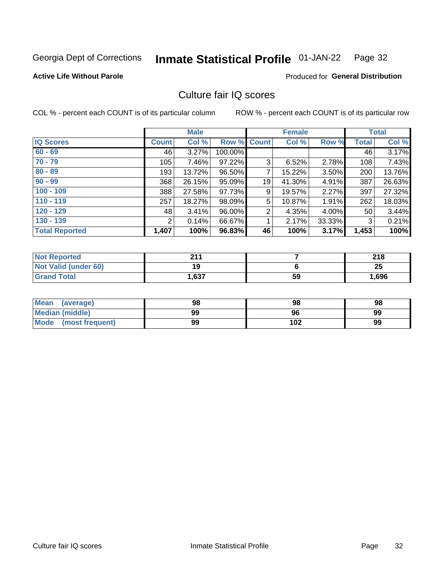#### **Inmate Statistical Profile 01-JAN-22** Page 32

#### **Active Life Without Parole**

### **Produced for General Distribution**

## Culture fair IQ scores

COL % - percent each COUNT is of its particular column

|                       |              | <b>Male</b> |                    |                | <b>Female</b> |          |              | <b>Total</b> |
|-----------------------|--------------|-------------|--------------------|----------------|---------------|----------|--------------|--------------|
| <b>IQ Scores</b>      | <b>Count</b> | Col %       | <b>Row % Count</b> |                | Col %         | Row %    | <b>Total</b> | Col %        |
| $60 - 69$             | 46           | 3.27%       | 100.00%            |                |               |          | 46           | 3.17%        |
| $70 - 79$             | 105          | 7.46%       | 97.22%             | 3              | 6.52%         | $2.78\%$ | 108          | 7.43%        |
| $80 - 89$             | 193          | 13.72%      | 96.50%             | 7              | 15.22%        | 3.50%    | 200          | 13.76%       |
| $90 - 99$             | 368          | 26.15%      | 95.09%             | 19             | 41.30%        | 4.91%    | 387          | 26.63%       |
| $100 - 109$           | 388          | 27.58%      | 97.73%             | 9              | 19.57%        | 2.27%    | 397          | 27.32%       |
| $110 - 119$           | 257          | 18.27%      | 98.09%             | 5              | 10.87%        | 1.91%    | 262          | 18.03%       |
| $120 - 129$           | 48           | 3.41%       | 96.00%             | $\overline{2}$ | 4.35%         | $4.00\%$ | 50           | 3.44%        |
| $130 - 139$           | 2            | 0.14%       | 66.67%             | 1              | 2.17%         | 33.33%   | 3            | 0.21%        |
| <b>Total Reported</b> | 1,407        | 100%        | 96.83%             | 46             | 100%          | 3.17%    | 1,453        | 100%         |

| <b>Not Reported</b>  | 944  |    | 218   |
|----------------------|------|----|-------|
| Not Valid (under 60) | 19   |    | 25    |
| <b>Grand Total</b>   | .637 | 59 | 1,696 |

| <b>Mean</b><br>(average) | 98 | 98  | 98 |
|--------------------------|----|-----|----|
| Median (middle)          | 99 | 96  | 99 |
| Mode (most frequent)     | 99 | 102 | 99 |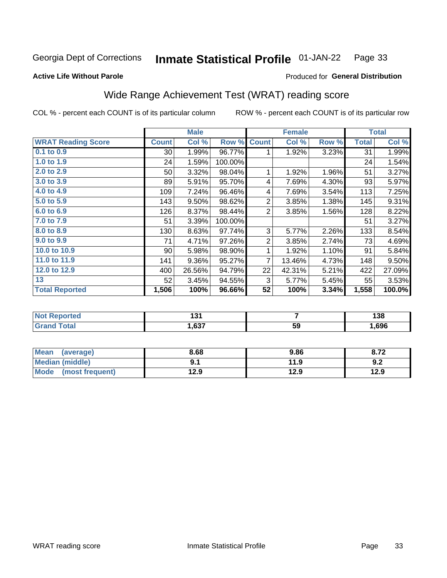#### **Inmate Statistical Profile 01-JAN-22** Page 33

#### **Active Life Without Parole**

## Produced for General Distribution

## Wide Range Achievement Test (WRAT) reading score

COL % - percent each COUNT is of its particular column

| Col %<br>1.99%<br>1.59%<br>3.32%<br>5.91%<br>7.24%<br>9.50%<br>8.37% | Row %<br>96.77%<br>100.00%<br>98.04%<br>95.70%<br>96.46%<br>98.62% | <b>Count</b><br>1<br>1<br>4<br>4<br>$\overline{2}$ | Col %<br>1.92%<br>1.92%<br>7.69%<br>7.69%<br>3.85% | Row %<br>3.23%<br>1.96%<br>4.30%<br>3.54% | <b>Total</b><br>31<br>24<br>51<br>93<br>113 | Col %<br>1.99%<br>1.54%<br>3.27%<br>5.97%<br>7.25% |
|----------------------------------------------------------------------|--------------------------------------------------------------------|----------------------------------------------------|----------------------------------------------------|-------------------------------------------|---------------------------------------------|----------------------------------------------------|
|                                                                      |                                                                    |                                                    |                                                    |                                           |                                             |                                                    |
|                                                                      |                                                                    |                                                    |                                                    |                                           |                                             |                                                    |
|                                                                      |                                                                    |                                                    |                                                    |                                           |                                             |                                                    |
|                                                                      |                                                                    |                                                    |                                                    |                                           |                                             |                                                    |
|                                                                      |                                                                    |                                                    |                                                    |                                           |                                             |                                                    |
|                                                                      |                                                                    |                                                    |                                                    |                                           |                                             |                                                    |
|                                                                      |                                                                    |                                                    |                                                    | 1.38%                                     | 145                                         | 9.31%                                              |
|                                                                      | 98.44%                                                             | $\overline{2}$                                     | 3.85%                                              | 1.56%                                     | 128                                         | 8.22%                                              |
| 3.39%                                                                | 100.00%                                                            |                                                    |                                                    |                                           | 51                                          | 3.27%                                              |
| 8.63%                                                                | 97.74%                                                             | 3                                                  | 5.77%                                              | 2.26%                                     | 133                                         | 8.54%                                              |
| 4.71%                                                                | 97.26%                                                             | $\overline{2}$                                     | 3.85%                                              | 2.74%                                     | 73                                          | 4.69%                                              |
| 5.98%                                                                | 98.90%                                                             | 1                                                  | 1.92%                                              | 1.10%                                     | 91                                          | 5.84%                                              |
| 9.36%                                                                | 95.27%                                                             | 7                                                  | 13.46%                                             | 4.73%                                     | 148                                         | 9.50%                                              |
| 26.56%                                                               | 94.79%                                                             | 22                                                 | 42.31%                                             | 5.21%                                     | 422                                         | 27.09%                                             |
| 3.45%                                                                | 94.55%                                                             | 3                                                  | 5.77%                                              | 5.45%                                     | 55                                          | 3.53%                                              |
| 100%                                                                 | 96.66%                                                             | 52                                                 | 100%                                               | 3.34%                                     | 1,558                                       | 100.0%                                             |
|                                                                      |                                                                    |                                                    |                                                    |                                           |                                             |                                                    |

| <b>Not Reported</b>   | ، د ا<br>וטו |    | 190<br>סט ו |
|-----------------------|--------------|----|-------------|
| <b>Total</b><br>Grand | 1,637        | 59 | ,696        |

| Mean (average)         | 8.68 | 9.86 | 8.72 |
|------------------------|------|------|------|
| <b>Median (middle)</b> |      | 11.9 | 9.2  |
| Mode (most frequent)   | 12.9 | 12.9 | 12.9 |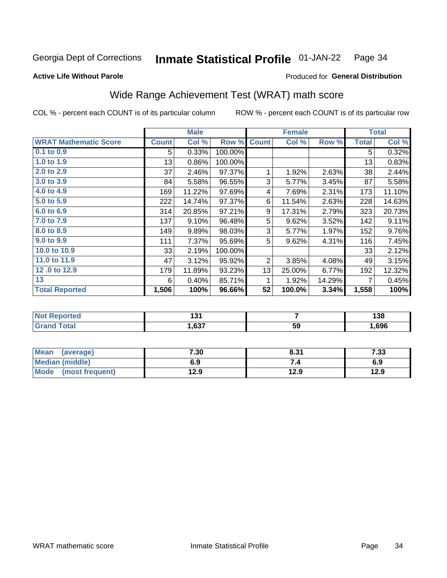#### Inmate Statistical Profile 01-JAN-22 Page 34

### **Active Life Without Parole**

### Produced for General Distribution

## Wide Range Achievement Test (WRAT) math score

COL % - percent each COUNT is of its particular column

|                                     |              | <b>Male</b>    |         |                | <b>Female</b> |        |              | <b>Total</b>     |
|-------------------------------------|--------------|----------------|---------|----------------|---------------|--------|--------------|------------------|
| <b>WRAT Mathematic Score</b>        | <b>Count</b> | Col %          | Row %   | <b>Count</b>   | Col %         | Row %  | <b>Total</b> | Col %            |
| 0.1 to 0.9                          | 5            | 0.33%          | 100.00% |                |               |        | 5            | 0.32%            |
| 1.0 to 1.9                          | 13           | 0.86%          | 100.00% |                |               |        | 13           | 0.83%            |
| 2.0 to 2.9                          | 37           | 2.46%          | 97.37%  | 1              | 1.92%         | 2.63%  | 38           | 2.44%            |
| 3.0 to 3.9                          | 84           | 5.58%          | 96.55%  | 3              | 5.77%         | 3.45%  | 87           | 5.58%            |
| 4.0 to 4.9                          | 169          | 11.22%         | 97.69%  | 4              | 7.69%         | 2.31%  | 173          | 11.10%           |
| 5.0 to 5.9                          | 222          | 14.74%         | 97.37%  | 6              | 11.54%        | 2.63%  | 228          | 14.63%           |
| 6.0 to 6.9                          | 314          | 20.85%         | 97.21%  | 9              | 17.31%        | 2.79%  | 323          | 20.73%           |
| 7.0 to 7.9                          | 137          | 9.10%          | 96.48%  | 5              | 9.62%         | 3.52%  | 142          | 9.11%            |
| 8.0 to 8.9                          | 149          | 9.89%          | 98.03%  | 3              | 5.77%         | 1.97%  | 152          | 9.76%            |
| 9.0 to 9.9                          | 111          | 7.37%          | 95.69%  | 5              | 9.62%         | 4.31%  | 116          | 7.45%            |
| 10.0 to 10.9                        | 33           | 2.19%          | 100.00% |                |               |        | 33           | 2.12%            |
| 11.0 to 11.9                        | 47           | 3.12%          | 95.92%  | $\overline{2}$ | 3.85%         | 4.08%  | 49           | 3.15%            |
| 12.0 to 12.9                        | 179          | 11.89%         | 93.23%  | 13             | 25.00%        | 6.77%  | 192          | 12.32%           |
| 13                                  | 6            | 0.40%          | 85.71%  | 1              | 1.92%         | 14.29% | 7            | 0.45%            |
| <b>Total Reported</b>               | 1,506        | 100%           | 96.66%  | 52             | 100.0%        | 3.34%  | 1,558        | 100%             |
|                                     |              |                |         |                |               |        |              |                  |
| <b><i>Charles Communication</i></b> |              | $\overline{1}$ |         |                | -             |        |              | $\overline{100}$ |

| $\blacksquare$ | . .  |    | ' ^ '<br>סכ ו |
|----------------|------|----|---------------|
|                | .637 | 59 | .696          |

| <b>Mean</b><br>(average)       | 7.30 | 8.31 | - פר<br>دد. |
|--------------------------------|------|------|-------------|
| Median (middle)                | 6.9  |      | 6.9         |
| <b>Mode</b><br>(most frequent) | 12.9 | 12.9 | 12.9        |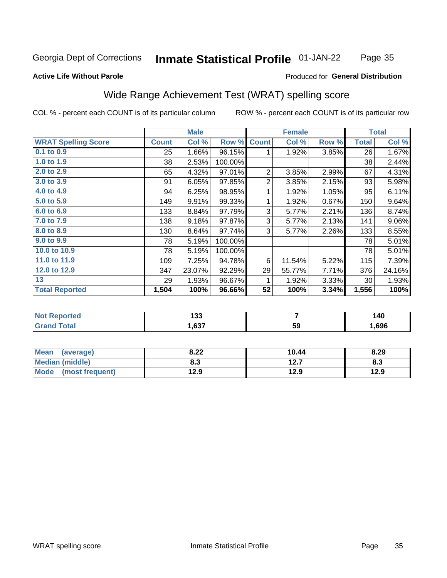#### Inmate Statistical Profile 01-JAN-22 Page 35

#### **Active Life Without Parole**

## Produced for General Distribution

## Wide Range Achievement Test (WRAT) spelling score

COL % - percent each COUNT is of its particular column

|                            |              | <b>Male</b> |         | <b>Female</b>  |        |       | <b>Total</b> |        |
|----------------------------|--------------|-------------|---------|----------------|--------|-------|--------------|--------|
| <b>WRAT Spelling Score</b> | <b>Count</b> | Col %       | Row %   | <b>Count</b>   | Col %  | Row % | <b>Total</b> | Col %  |
| 0.1 to 0.9                 | 25           | 1.66%       | 96.15%  | 1              | 1.92%  | 3.85% | 26           | 1.67%  |
| 1.0 to 1.9                 | 38           | 2.53%       | 100.00% |                |        |       | 38           | 2.44%  |
| 2.0 to 2.9                 | 65           | 4.32%       | 97.01%  | 2              | 3.85%  | 2.99% | 67           | 4.31%  |
| 3.0 to 3.9                 | 91           | 6.05%       | 97.85%  | $\overline{2}$ | 3.85%  | 2.15% | 93           | 5.98%  |
| 4.0 to 4.9                 | 94           | 6.25%       | 98.95%  | 1              | 1.92%  | 1.05% | 95           | 6.11%  |
| 5.0 to 5.9                 | 149          | 9.91%       | 99.33%  | 1              | 1.92%  | 0.67% | 150          | 9.64%  |
| 6.0 to 6.9                 | 133          | 8.84%       | 97.79%  | 3              | 5.77%  | 2.21% | 136          | 8.74%  |
| 7.0 to 7.9                 | 138          | 9.18%       | 97.87%  | 3              | 5.77%  | 2.13% | 141          | 9.06%  |
| 8.0 to 8.9                 | 130          | 8.64%       | 97.74%  | 3              | 5.77%  | 2.26% | 133          | 8.55%  |
| 9.0 to 9.9                 | 78           | 5.19%       | 100.00% |                |        |       | 78           | 5.01%  |
| 10.0 to 10.9               | 78           | 5.19%       | 100.00% |                |        |       | 78           | 5.01%  |
| 11.0 to 11.9               | 109          | 7.25%       | 94.78%  | 6              | 11.54% | 5.22% | 115          | 7.39%  |
| 12.0 to 12.9               | 347          | 23.07%      | 92.29%  | 29             | 55.77% | 7.71% | 376          | 24.16% |
| 13                         | 29           | 1.93%       | 96.67%  |                | 1.92%  | 3.33% | 30           | 1.93%  |
| <b>Total Reported</b>      | 1,504        | 100%        | 96.66%  | 52             | 100%   | 3.34% | 1,556        | 100%   |
|                            |              |             |         |                |        |       |              |        |
| <b>Not Reported</b>        |              | 133         |         | $\overline{7}$ |        |       | 140          |        |
| <b>Grand Total</b>         |              | 1,637       |         |                | 59     |       |              | 1,696  |

| <b>Mean</b><br>(average)       | 8.22       | 10.44         | 8.29 |
|--------------------------------|------------|---------------|------|
| Median (middle)                | פ ס<br>ი.ა | 12.7<br>I 4.I | ი.ა  |
| <b>Mode</b><br>(most frequent) | 12.9       | 12.9          | 12.9 |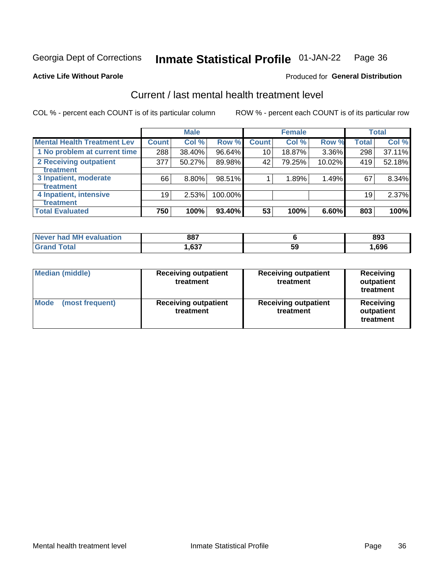#### **Inmate Statistical Profile 01-JAN-22** Page 36

#### **Active Life Without Parole**

### **Produced for General Distribution**

## Current / last mental health treatment level

COL % - percent each COUNT is of its particular column

|                                    |              | <b>Male</b> |         |              | <b>Female</b> |        |              | <b>Total</b> |
|------------------------------------|--------------|-------------|---------|--------------|---------------|--------|--------------|--------------|
| <b>Mental Health Treatment Lev</b> | <b>Count</b> | Col %       | Row %   | <b>Count</b> | Col%          | Row %  | <b>Total</b> | Col %        |
| 1 No problem at current time       | 288          | 38.40%      | 96.64%  | 10           | 18.87%        | 3.36%  | 298          | 37.11%       |
| 2 Receiving outpatient             | 377          | 50.27%      | 89.98%  | 42           | 79.25%        | 10.02% | 419          | 52.18%       |
| <b>Treatment</b>                   |              |             |         |              |               |        |              |              |
| 3 Inpatient, moderate              | 66           | 8.80%       | 98.51%  |              | 1.89%         | 1.49%  | 67           | 8.34%        |
| <b>Treatment</b>                   |              |             |         |              |               |        |              |              |
| 4 Inpatient, intensive             | 19           | 2.53%       | 100.00% |              |               |        | 19           | 2.37%        |
| Treatment                          |              |             |         |              |               |        |              |              |
| <b>Total Evaluated</b>             | 750          | 100%        | 93.40%  | 53           | 100%          | 6.60%  | 803          | 100%         |

| Never had MH evaluation | 887  |    | 893  |
|-------------------------|------|----|------|
| Total                   | ,637 | 59 | ,696 |

| <b>Median (middle)</b>         | <b>Receiving outpatient</b><br>treatment | <b>Receiving outpatient</b><br>treatment | <b>Receiving</b><br>outpatient<br>treatment |  |
|--------------------------------|------------------------------------------|------------------------------------------|---------------------------------------------|--|
| <b>Mode</b><br>(most frequent) | <b>Receiving outpatient</b><br>treatment | <b>Receiving outpatient</b><br>treatment | <b>Receiving</b><br>outpatient<br>treatment |  |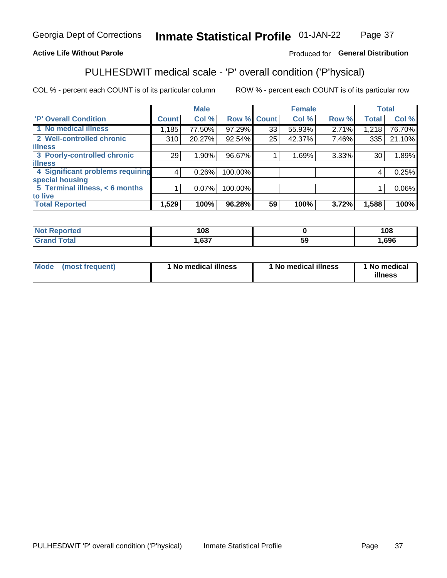#### Inmate Statistical Profile 01-JAN-22 Page 37

### **Active Life Without Parole**

### Produced for General Distribution

## PULHESDWIT medical scale - 'P' overall condition ('P'hysical)

COL % - percent each COUNT is of its particular column

|                                  |              | <b>Male</b> |             |    | <b>Female</b> |       |              | <b>Total</b> |
|----------------------------------|--------------|-------------|-------------|----|---------------|-------|--------------|--------------|
| 'P' Overall Condition            | <b>Count</b> | Col %       | Row % Count |    | Col %         | Row % | <b>Total</b> | Col %        |
| 1 No medical illness             | 1,185        | 77.50%      | 97.29%      | 33 | 55.93%        | 2.71% | 1,218        | 76.70%       |
| 2 Well-controlled chronic        | 310          | 20.27%      | 92.54%      | 25 | 42.37%        | 7.46% | 335          | 21.10%       |
| <b>lillness</b>                  |              |             |             |    |               |       |              |              |
| 3 Poorly-controlled chronic      | 291          | $1.90\%$    | 96.67%      |    | 1.69%         | 3.33% | 30           | 1.89%        |
| <b>illness</b>                   |              |             |             |    |               |       |              |              |
| 4 Significant problems requiring | 4            | 0.26%       | 100.00%     |    |               |       | 4            | 0.25%        |
| special housing                  |              |             |             |    |               |       |              |              |
| 5 Terminal illness, < 6 months   |              | 0.07%       | 100.00%     |    |               |       |              | 0.06%        |
| to live                          |              |             |             |    |               |       |              |              |
| <b>Total Reported</b>            | 1,529        | 100%        | 96.28%      | 59 | 100%          | 3.72% | 1,588        | 100%         |

| rteo<br>.          | 108            |    | 108  |
|--------------------|----------------|----|------|
| $\sim$ 40<br>_____ | 627<br>י כס, י | Jã | ,696 |

|  |  | Mode (most frequent) | 1 No medical illness | 1 No medical illness | 1 No medical<br>illness |
|--|--|----------------------|----------------------|----------------------|-------------------------|
|--|--|----------------------|----------------------|----------------------|-------------------------|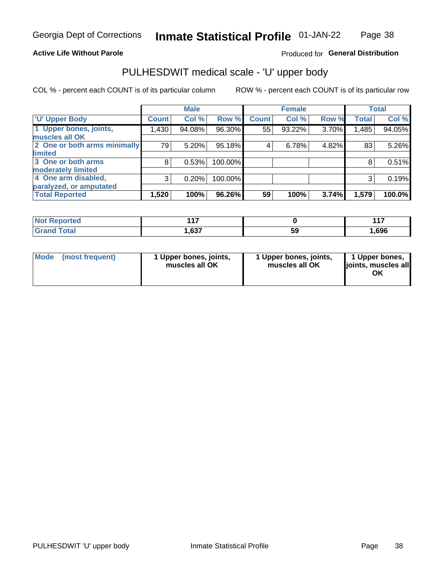### **Active Life Without Parole**

## Produced for General Distribution

## PULHESDWIT medical scale - 'U' upper body

COL % - percent each COUNT is of its particular column

|                              |              | <b>Male</b> |         |              | <b>Female</b> |       |              | <b>Total</b> |
|------------------------------|--------------|-------------|---------|--------------|---------------|-------|--------------|--------------|
| <b>'U' Upper Body</b>        | <b>Count</b> | Col %       | Row %   | <b>Count</b> | Col %         | Row % | <b>Total</b> | Col %        |
| 1 Upper bones, joints,       | 1,430        | 94.08%      | 96.30%  | 55           | 93.22%        | 3.70% | 1,485        | 94.05%       |
| muscles all OK               |              |             |         |              |               |       |              |              |
| 2 One or both arms minimally | 79           | 5.20%       | 95.18%  | 4            | 6.78%         | 4.82% | 83           | 5.26%        |
| <b>limited</b>               |              |             |         |              |               |       |              |              |
| 3 One or both arms           | 8            | 0.53%       | 100.00% |              |               |       | 8            | 0.51%        |
| <b>moderately limited</b>    |              |             |         |              |               |       |              |              |
| 4 One arm disabled,          | 3            | 0.20%       | 100.00% |              |               |       | 3            | 0.19%        |
| paralyzed, or amputated      |              |             |         |              |               |       |              |              |
| <b>Total Reported</b>        | 1,520        | 100%        | 96.26%  | 59           | 100%          | 3.74% | 1,579        | 100.0%       |

| <b>Not Reported</b> | 1 A 7 |    | 447  |
|---------------------|-------|----|------|
| <b>Grand Total</b>  | 1,637 | 59 | ,696 |

|  | Mode (most frequent) | l Upper bones, joints,<br>muscles all OK | 1 Upper bones, joints,<br>muscles all OK | 1 Upper bones,<br>ljoints, muscles all |
|--|----------------------|------------------------------------------|------------------------------------------|----------------------------------------|
|--|----------------------|------------------------------------------|------------------------------------------|----------------------------------------|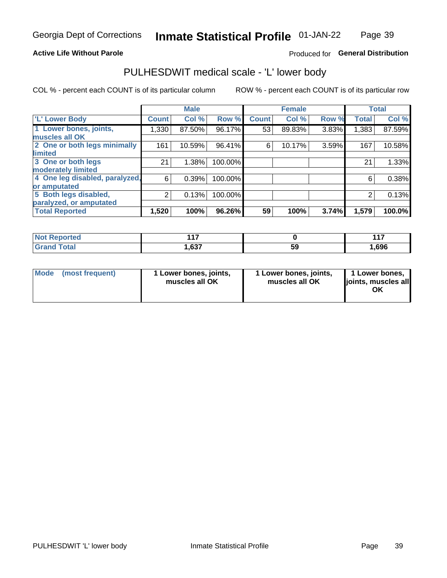### **Active Life Without Parole**

## Produced for General Distribution

## PULHESDWIT medical scale - 'L' lower body

COL % - percent each COUNT is of its particular column

|                                |              | <b>Male</b> |         |              | <b>Female</b> |       |              | <b>Total</b> |
|--------------------------------|--------------|-------------|---------|--------------|---------------|-------|--------------|--------------|
| 'L' Lower Body                 | <b>Count</b> | Col %       | Row %   | <b>Count</b> | Col %         | Row % | <b>Total</b> | Col %        |
| 1 Lower bones, joints,         | 1,330        | 87.50%      | 96.17%  | 53           | 89.83%        | 3.83% | 1,383        | 87.59%       |
| muscles all OK                 |              |             |         |              |               |       |              |              |
| 2 One or both legs minimally   | 161          | 10.59%      | 96.41%  | 6            | 10.17%        | 3.59% | 167          | 10.58%       |
| limited                        |              |             |         |              |               |       |              |              |
| 3 One or both legs             | 21           | 1.38%       | 100.00% |              |               |       | 21           | 1.33%        |
| moderately limited             |              |             |         |              |               |       |              |              |
| 4 One leg disabled, paralyzed, | 6            | 0.39%       | 100.00% |              |               |       | 6            | 0.38%        |
| or amputated                   |              |             |         |              |               |       |              |              |
| 5 Both legs disabled,          | 2            | 0.13%       | 100.00% |              |               |       | 2            | 0.13%        |
| paralyzed, or amputated        |              |             |         |              |               |       |              |              |
| <b>Total Reported</b>          | 1,520        | 100%        | 96.26%  | 59           | 100%          | 3.74% | 1,579        | 100.0%       |

| <b>Not Reported</b> | $\overline{1}$ |    | 447  |
|---------------------|----------------|----|------|
| <b>Grand Total</b>  | 637,           | JJ | .696 |

| Mode (most frequent) | I Lower bones, joints,<br>muscles all OK | 1 Lower bones, joints,<br>muscles all OK | 1 Lower bones,<br>joints, muscles all<br>ΟK |
|----------------------|------------------------------------------|------------------------------------------|---------------------------------------------|
|----------------------|------------------------------------------|------------------------------------------|---------------------------------------------|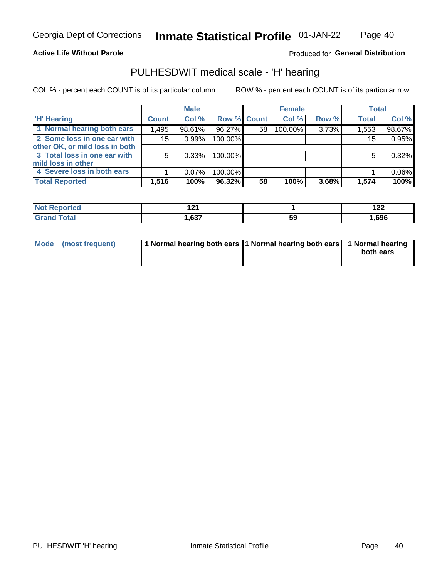**Active Life Without Parole** 

Produced for General Distribution

## PULHESDWIT medical scale - 'H' hearing

COL % - percent each COUNT is of its particular column

|                                |              | <b>Male</b> |                    |    | <b>Female</b> |       | <b>Total</b> |        |
|--------------------------------|--------------|-------------|--------------------|----|---------------|-------|--------------|--------|
| <b>H' Hearing</b>              | <b>Count</b> | Col %       | <b>Row % Count</b> |    | Col %         | Row % | <b>Total</b> | Col %  |
| 1 Normal hearing both ears     | 1,495        | 98.61%      | 96.27%             | 58 | 100.00%       | 3.73% | 1,553        | 98.67% |
| 2 Some loss in one ear with    | 15           | 0.99%       | 100.00%            |    |               |       | 15           | 0.95%  |
| other OK, or mild loss in both |              |             |                    |    |               |       |              |        |
| 3 Total loss in one ear with   | 5            | 0.33%       | 100.00%            |    |               |       | 5            | 0.32%  |
| mild loss in other             |              |             |                    |    |               |       |              |        |
| 4 Severe loss in both ears     |              | 0.07%       | 100.00%            |    |               |       |              | 0.06%  |
| <b>Total Reported</b>          | 1,516        | 100%        | 96.32%             | 58 | 100%          | 3.68% | 1,574        | 100%   |

| ported<br><b>NOT</b> |      |     | י הי<br>1 <i>ll</i> |
|----------------------|------|-----|---------------------|
| $n+n$                | 0.27 | -59 | 696,،               |

| Mode (most frequent) | 1 Normal hearing both ears 1 Normal hearing both ears 1 Normal hearing | both ears |
|----------------------|------------------------------------------------------------------------|-----------|
|                      |                                                                        |           |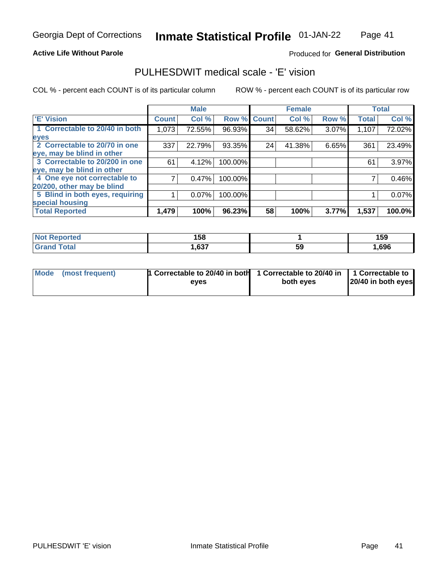### **Active Life Without Parole**

### Produced for General Distribution

## PULHESDWIT medical scale - 'E' vision

COL % - percent each COUNT is of its particular column

|                                 |                    | <b>Male</b> |         |              | <b>Female</b> |       |              | <b>Total</b> |
|---------------------------------|--------------------|-------------|---------|--------------|---------------|-------|--------------|--------------|
| <b>E' Vision</b>                | Count <sup>'</sup> | Col %       | Row %   | <b>Count</b> | Col %         | Row % | <b>Total</b> | Col %        |
| 1 Correctable to 20/40 in both  | 1,073              | 72.55%      | 96.93%  | 34           | 58.62%        | 3.07% | 1,107        | 72.02%       |
| eyes                            |                    |             |         |              |               |       |              |              |
| 2 Correctable to 20/70 in one   | 337                | 22.79%      | 93.35%  | 24           | 41.38%        | 6.65% | 361          | 23.49%       |
| eye, may be blind in other      |                    |             |         |              |               |       |              |              |
| 3 Correctable to 20/200 in one  | 61                 | 4.12%       | 100.00% |              |               |       | 61           | 3.97%        |
| eye, may be blind in other      |                    |             |         |              |               |       |              |              |
| 4 One eye not correctable to    |                    | 0.47%       | 100.00% |              |               |       |              | 0.46%        |
| 20/200, other may be blind      |                    |             |         |              |               |       |              |              |
| 5 Blind in both eyes, requiring |                    | 0.07%       | 100.00% |              |               |       |              | 0.07%        |
| special housing                 |                    |             |         |              |               |       |              |              |
| <b>Total Reported</b>           | 1,479              | 100%        | 96.23%  | 58           | 100%          | 3.77% | 1,537        | 100.0%       |

| ੋਾorted<br><b>NOT</b><br>REFE | 158            |    | 159  |
|-------------------------------|----------------|----|------|
| T <sub>ofol</sub>             | 627<br>י כס, י | 59 | ,696 |

| Mode (most frequent) | 1 Correctable to 20/40 in both<br>eves | 1 Correctable to 20/40 in   1 Correctable to  <br>both eyes | 20/40 in both eyes |
|----------------------|----------------------------------------|-------------------------------------------------------------|--------------------|
|                      |                                        |                                                             |                    |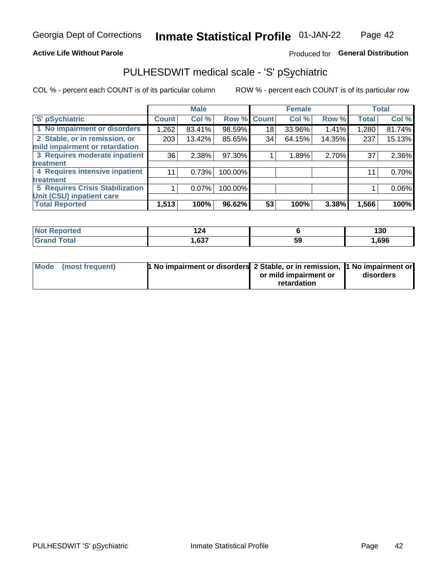### **Active Life Without Parole**

## Produced for General Distribution

## PULHESDWIT medical scale - 'S' pSychiatric

COL % - percent each COUNT is of its particular column

|                                 |              | <b>Male</b> |         |             | <b>Female</b> |        |              | <b>Total</b> |
|---------------------------------|--------------|-------------|---------|-------------|---------------|--------|--------------|--------------|
| 'S' pSychiatric                 | <b>Count</b> | Col %       |         | Row % Count | Col %         | Row %  | <b>Total</b> | Col %        |
| 1 No impairment or disorders    | 1,262        | 83.41%      | 98.59%  | 18          | 33.96%        | 1.41%  | 1,280        | 81.74%       |
| 2 Stable, or in remission, or   | 203          | 13.42%      | 85.65%  | 34          | 64.15%        | 14.35% | 237          | 15.13%       |
| mild impairment or retardation  |              |             |         |             |               |        |              |              |
| 3 Requires moderate inpatient   | 36           | 2.38%       | 97.30%  |             | 1.89%         | 2.70%  | 37           | 2.36%        |
| <b>treatment</b>                |              |             |         |             |               |        |              |              |
| 4 Requires intensive inpatient  | 11           | 0.73%       | 100.00% |             |               |        | 11           | 0.70%        |
| <b>treatment</b>                |              |             |         |             |               |        |              |              |
| 5 Requires Crisis Stabilization |              | 0.07%       | 100.00% |             |               |        |              | 0.06%        |
| Unit (CSU) inpatient care       |              |             |         |             |               |        |              |              |
| <b>Total Reported</b>           | 1,513        | 100%        | 96.62%  | 53          | 100%          | 3.38%  | 1,566        | 100%         |

| ∋orted       | 2 <sub>A</sub><br>. |    | 130  |
|--------------|---------------------|----|------|
| <b>Total</b> | ,637                | 59 | ,696 |

| Mode (most frequent) | <b>1 No impairment or disorders</b> 2 Stable, or in remission, 11 No impairment or |                       |           |
|----------------------|------------------------------------------------------------------------------------|-----------------------|-----------|
|                      |                                                                                    | or mild impairment or | disorders |
|                      |                                                                                    | retardation           |           |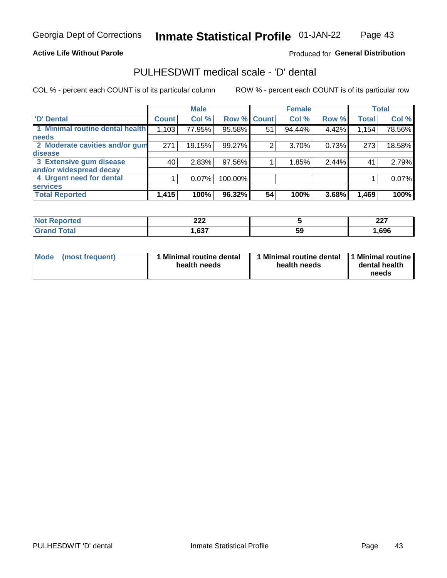### **Active Life Without Parole**

## Produced for General Distribution

## PULHESDWIT medical scale - 'D' dental

COL % - percent each COUNT is of its particular column

|                                 |              | <b>Male</b> |         |              | <b>Female</b> |       |              | <b>Total</b> |
|---------------------------------|--------------|-------------|---------|--------------|---------------|-------|--------------|--------------|
| <b>D'</b> Dental                | <b>Count</b> | Col %       | Row %   | <b>Count</b> | Col %         | Row % | <b>Total</b> | Col %        |
| 1 Minimal routine dental health | 1,103        | 77.95%      | 95.58%  | 51           | 94.44%        | 4.42% | 1,154        | 78.56%       |
| <b>needs</b>                    |              |             |         |              |               |       |              |              |
| 2 Moderate cavities and/or gum  | 271          | 19.15%      | 99.27%  | 2            | 3.70%         | 0.73% | 273          | 18.58%       |
| disease                         |              |             |         |              |               |       |              |              |
| 3 Extensive gum disease         | 40           | 2.83%       | 97.56%  |              | 1.85%         | 2.44% | 41           | 2.79%        |
| and/or widespread decay         |              |             |         |              |               |       |              |              |
| 4 Urgent need for dental        |              | $0.07\%$    | 100.00% |              |               |       |              | 0.07%        |
| <b>services</b>                 |              |             |         |              |               |       |              |              |
| <b>Total Reported</b>           | 1,415        | 100%        | 96.32%  | 54           | 100%          | 3.68% | 1,469        | 100%         |

| ິດດດ<br>LLL |    | כמה<br>22 I |
|-------------|----|-------------|
| .027        | ວະ | ,696        |

| <b>Mode</b> | (most frequent) | <b>Minimal routine dental</b><br>health needs | 1 Minimal routine dental<br>health needs | <b>11 Minimal routine I</b><br>dental health<br>needs |
|-------------|-----------------|-----------------------------------------------|------------------------------------------|-------------------------------------------------------|
|-------------|-----------------|-----------------------------------------------|------------------------------------------|-------------------------------------------------------|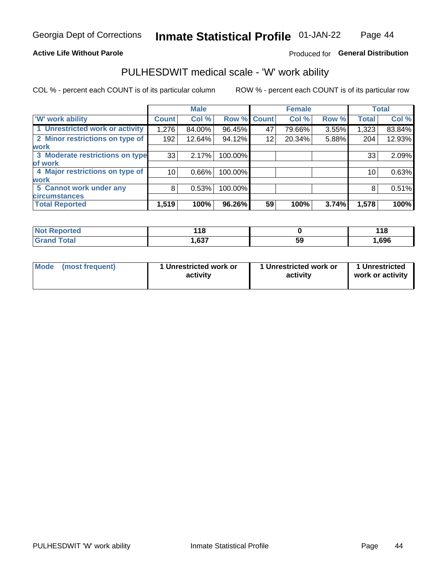### **Active Life Without Parole**

## Produced for General Distribution

## PULHESDWIT medical scale - 'W' work ability

COL % - percent each COUNT is of its particular column

|                                 |                 | <b>Male</b> |         |             | <b>Female</b> |       |              | <b>Total</b> |
|---------------------------------|-----------------|-------------|---------|-------------|---------------|-------|--------------|--------------|
| <b>W' work ability</b>          | <b>Count</b>    | Col %       |         | Row % Count | Col %         | Row % | <b>Total</b> | Col %        |
| 1 Unrestricted work or activity | 1,276           | 84.00%      | 96.45%  | 47          | 79.66%        | 3.55% | 1,323        | 83.84%       |
| 2 Minor restrictions on type of | 192             | 12.64%      | 94.12%  | 12          | 20.34%        | 5.88% | 204          | 12.93%       |
| <b>work</b>                     |                 |             |         |             |               |       |              |              |
| 3 Moderate restrictions on type | 33              | 2.17%       | 100.00% |             |               |       | 33           | 2.09%        |
| of work                         |                 |             |         |             |               |       |              |              |
| 4 Major restrictions on type of | 10 <sup>1</sup> | 0.66%       | 100.00% |             |               |       | 10           | 0.63%        |
| <b>work</b>                     |                 |             |         |             |               |       |              |              |
| 5 Cannot work under any         | 8               | 0.53%       | 100.00% |             |               |       | 8            | 0.51%        |
| <b>circumstances</b>            |                 |             |         |             |               |       |              |              |
| <b>Total Reported</b>           | 1,519           | 100%        | 96.26%  | 59          | 100%          | 3.74% | 1,578        | 100%         |

| <b>Not Reported</b>     | 44 <sup>c</sup> |    | 440<br>. |
|-------------------------|-----------------|----|----------|
| <b>Total</b><br>Grand . | ,637            | 59 | ,696     |

| <b>Mode</b>     | 1 Unrestricted work or | 1 Unrestricted work or | 1 Unrestricted   |
|-----------------|------------------------|------------------------|------------------|
| (most frequent) | activity               | activity               | work or activity |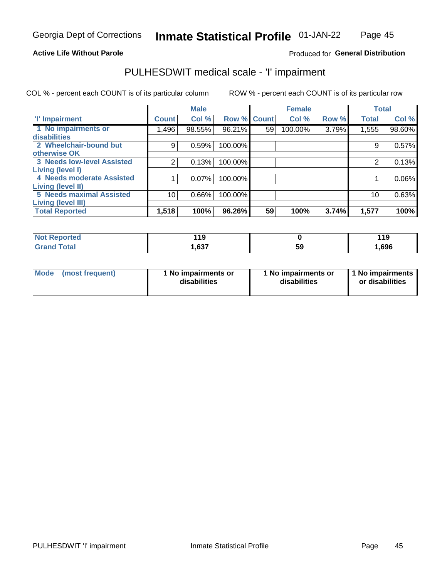### **Active Life Without Parole**

## Produced for General Distribution

## PULHESDWIT medical scale - 'I' impairment

COL % - percent each COUNT is of its particular column ROW % - percent each COUNT is of its particular row

|                                   |              | <b>Male</b> |             |    | <b>Female</b> |       |              | <b>Total</b> |
|-----------------------------------|--------------|-------------|-------------|----|---------------|-------|--------------|--------------|
| <b>T' Impairment</b>              | <b>Count</b> | Col %       | Row % Count |    | Col %         | Row % | <b>Total</b> | Col %        |
| 1 No impairments or               | .496         | 98.55%      | 96.21%      | 59 | 100.00%       | 3.79% | 1,555        | 98.60%       |
| disabilities                      |              |             |             |    |               |       |              |              |
| 2 Wheelchair-bound but            | 9            | 0.59%       | 100.00%     |    |               |       | 9            | 0.57%        |
| otherwise OK                      |              |             |             |    |               |       |              |              |
| <b>3 Needs low-level Assisted</b> | 2            | 0.13%       | 100.00%     |    |               |       | 2            | 0.13%        |
| Living (level I)                  |              |             |             |    |               |       |              |              |
| 4 Needs moderate Assisted         |              | 0.07%       | 100.00%     |    |               |       |              | 0.06%        |
| Living (level II)                 |              |             |             |    |               |       |              |              |
| <b>5 Needs maximal Assisted</b>   | 10           | 0.66%       | 100.00%     |    |               |       | 10           | 0.63%        |
| <b>Living (level III)</b>         |              |             |             |    |               |       |              |              |
| <b>Total Reported</b>             | 1,518        | 100%        | 96.26%      | 59 | 100%          | 3.74% | 1,577        | 100%         |

| orted       | 11 O<br>- 11<br>$\sim$ |    | 44 C<br>. |
|-------------|------------------------|----|-----------|
| <b>otal</b> | .637                   | 59 | 1,696     |

| Mode | (most frequent) | 1 No impairments or<br>disabilities | 1 No impairments or<br>disabilities | 1 No impairments<br>or disabilities |
|------|-----------------|-------------------------------------|-------------------------------------|-------------------------------------|
|------|-----------------|-------------------------------------|-------------------------------------|-------------------------------------|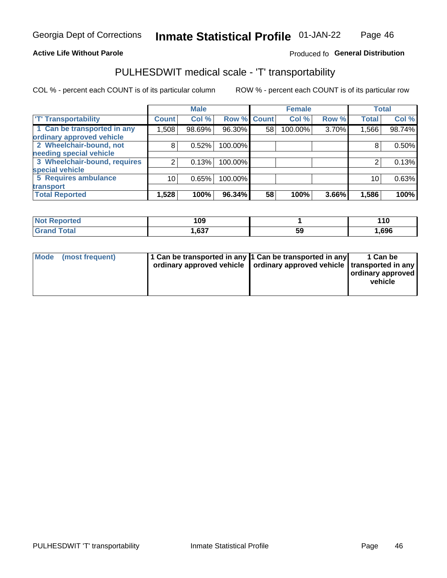### **Active Life Without Parole**

### Produced fo General Distribution

## PULHESDWIT medical scale - 'T' transportability

COL % - percent each COUNT is of its particular column

|                              |                 | <b>Male</b> |             |    | <b>Female</b> |       |              | <b>Total</b> |
|------------------------------|-----------------|-------------|-------------|----|---------------|-------|--------------|--------------|
| <b>T' Transportability</b>   | <b>Count</b>    | Col %       | Row % Count |    | Col %         | Row % | <b>Total</b> | Col %        |
| 1 Can be transported in any  | 1,508           | 98.69%      | 96.30%      | 58 | 100.00%       | 3.70% | 1,566        | 98.74%       |
| ordinary approved vehicle    |                 |             |             |    |               |       |              |              |
| 2 Wheelchair-bound, not      | 8               | 0.52%       | 100.00%     |    |               |       |              | 0.50%        |
| needing special vehicle      |                 |             |             |    |               |       |              |              |
| 3 Wheelchair-bound, requires |                 | 0.13%       | 100.00%     |    |               |       |              | 0.13%        |
| special vehicle              |                 |             |             |    |               |       |              |              |
| 5 Requires ambulance         | 10 <sub>1</sub> | 0.65%       | 100.00%     |    |               |       | 10           | 0.63%        |
| transport                    |                 |             |             |    |               |       |              |              |
| <b>Total Reported</b>        | 1,528           | 100%        | 96.34%      | 58 | 100%          | 3.66% | 1,586        | 100%         |

| rted        | na<br>vj |          | $\cdot$ IV |
|-------------|----------|----------|------------|
| <b>otal</b> | .637     | 50<br>JJ | ,696       |

| <b>Mode</b> | (most frequent) | 1 Can be transported in any 1 Can be transported in any | ordinary approved vehicle   ordinary approved vehicle   transported in any | 1 Can be<br>  ordinary approved  <br>vehicle |
|-------------|-----------------|---------------------------------------------------------|----------------------------------------------------------------------------|----------------------------------------------|
|-------------|-----------------|---------------------------------------------------------|----------------------------------------------------------------------------|----------------------------------------------|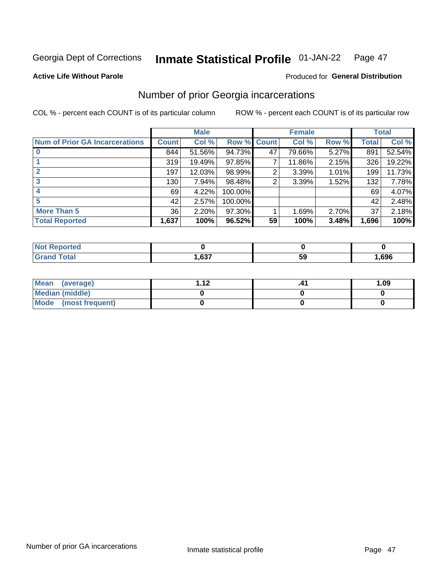#### Inmate Statistical Profile 01-JAN-22 Page 47

#### **Active Life Without Parole**

## **Produced for General Distribution**

## Number of prior Georgia incarcerations

COL % - percent each COUNT is of its particular column

|                                       |       | <b>Male</b> |             |    | <b>Female</b> |       |       | <b>Total</b> |
|---------------------------------------|-------|-------------|-------------|----|---------------|-------|-------|--------------|
| <b>Num of Prior GA Incarcerations</b> | Count | Col %       | Row % Count |    | Col %         | Row % | Total | Col %        |
|                                       | 844   | 51.56%      | 94.73%      | 47 | 79.66%        | 5.27% | 891   | 52.54%       |
|                                       | 319   | 19.49%      | $97.85\%$   |    | 11.86%        | 2.15% | 326   | 19.22%       |
|                                       | 197   | 12.03%      | 98.99%      | 2  | 3.39%         | 1.01% | 199   | 11.73%       |
| 3                                     | 130   | 7.94%       | 98.48%      | 2  | 3.39%         | 1.52% | 132   | 7.78%        |
| 4                                     | 69    | 4.22%       | 100.00%     |    |               |       | 69    | 4.07%        |
| 5                                     | 42    | 2.57%       | 100.00%     |    |               |       | 42    | 2.48%        |
| <b>More Than 5</b>                    | 36    | 2.20%       | $97.30\%$   |    | 1.69%         | 2.70% | 37    | 2.18%        |
| <b>Total Reported</b>                 | 1,637 | 100%        | 96.52%      | 59 | 100%          | 3.48% | 1,696 | 100%         |

| ortea                                     |  |   |      |
|-------------------------------------------|--|---|------|
| $\sim$<br><b>otal</b><br>$\mathbf{v}$ and |  | v | ,696 |

| Mean (average)       | 1 1 J | 1.09 |
|----------------------|-------|------|
| Median (middle)      |       |      |
| Mode (most frequent) |       |      |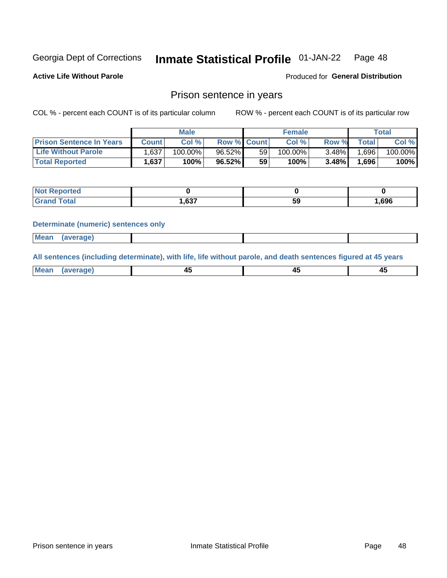#### Inmate Statistical Profile 01-JAN-22 Page 48

**Active Life Without Parole** 

Produced for General Distribution

## Prison sentence in years

COL % - percent each COUNT is of its particular column

ROW % - percent each COUNT is of its particular row

|                                 | <b>Male</b> |            |                    | <b>Female</b> |         |          | Total |         |
|---------------------------------|-------------|------------|--------------------|---------------|---------|----------|-------|---------|
| <b>Prison Sentence In Years</b> | Count l     | Col %      | <b>Row % Count</b> |               | Col %   | Row %    | Total | Col %   |
| <b>Life Without Parole</b>      | .637        | $100.00\%$ | $96.52\%$          | 59            | 100.00% | $3.48\%$ | 1,696 | 100.00% |
| <b>Total Reported</b>           | 1,637       | 100%       | 96.52%             | 59            | $100\%$ | $3.48\%$ | 1,696 | 100%    |

| <b>Reported</b> |      |    |      |
|-----------------|------|----|------|
|                 | ,637 | 59 | 696, |

#### **Determinate (numeric) sentences only**

| <b>Mean</b><br>(average) |  |  |
|--------------------------|--|--|
|--------------------------|--|--|

All sentences (including determinate), with life, life without parole, and death sentences figured at 45 years

| Me<br>.<br> | -- | -- |  |
|-------------|----|----|--|
|             |    |    |  |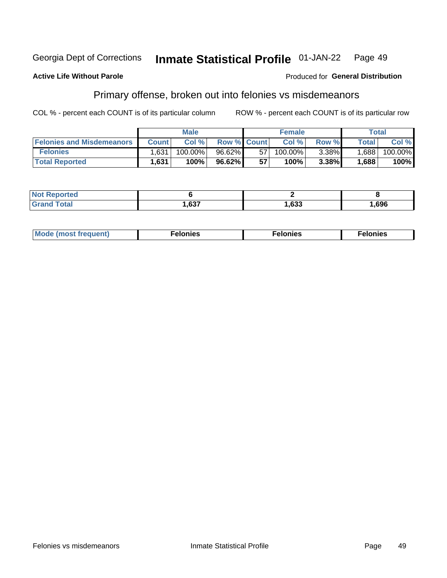#### Georgia Dept of Corrections Inmate Statistical Profile 01-JAN-22 Page 49

#### **Active Life Without Parole**

### Produced for General Distribution

## Primary offense, broken out into felonies vs misdemeanors

COL % - percent each COUNT is of its particular column

|                                  | <b>Male</b>  |            |                    | <b>Female</b> |            |          | Total        |         |
|----------------------------------|--------------|------------|--------------------|---------------|------------|----------|--------------|---------|
| <b>Felonies and Misdemeanors</b> | <b>Count</b> | Col%       | <b>Row % Count</b> |               | Col%       | Row %    | <b>Total</b> | Col %   |
| <b>Felonies</b>                  | 1,631        | $100.00\%$ | $96.62\%$          | 57            | $100.00\%$ | $3.38\%$ | 1,688        | 100.00% |
| <b>Total Reported</b>            | .631         | 100%       | 96.62%             | 57            | 100%       | 3.38%    | .688         | 100%    |

| <b>Not Reported</b>   |      |      |      |
|-----------------------|------|------|------|
| ™otal<br><b>Grand</b> | ,637 | ,633 | .696 |

| <b>Mode</b><br>frequent)<br>nies<br>≧ (most tr.<br>. | onies<br>. | lonies<br>ею<br>____ |
|------------------------------------------------------|------------|----------------------|
|------------------------------------------------------|------------|----------------------|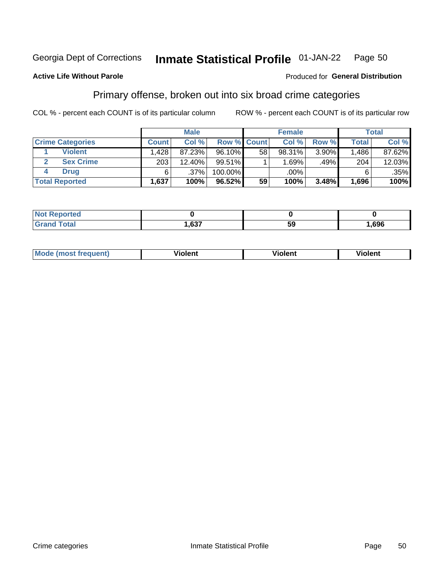#### Inmate Statistical Profile 01-JAN-22 Page 50

### **Active Life Without Parole**

### Produced for General Distribution

## Primary offense, broken out into six broad crime categories

COL % - percent each COUNT is of its particular column

|                         | <b>Male</b>  |        |                    | <b>Female</b> |        |       | Total        |         |
|-------------------------|--------------|--------|--------------------|---------------|--------|-------|--------------|---------|
| <b>Crime Categories</b> | <b>Count</b> | Col%   | <b>Row % Count</b> |               | Col %  | Row % | <b>Total</b> | Col %   |
| <b>Violent</b>          | $.428+$      | 87.23% | 96.10%             | 58            | 98.31% | 3.90% | 1,486        | 87.62%  |
| <b>Sex Crime</b>        | 203          | 12.40% | 99.51%             |               | 1.69%  | .49%  | 204          | 12.03%  |
| <b>Drug</b>             | 6            | .37%   | 100.00%            |               | .00%   |       | 6            | $.35\%$ |
| <b>Total Reported</b>   | 1,637        | 100%   | 96.52%             | 59            | 100%   | 3.48% | 1,696        | $100\%$ |

| .      |         |    |      |
|--------|---------|----|------|
| -      | 627     | 50 | .696 |
| ______ | ו כס. ו | -  |      |

| Mo<br>quenti | .<br>iolent<br>ΊΙ. | --<br>olent | .<br>'ent |
|--------------|--------------------|-------------|-----------|
|              |                    |             |           |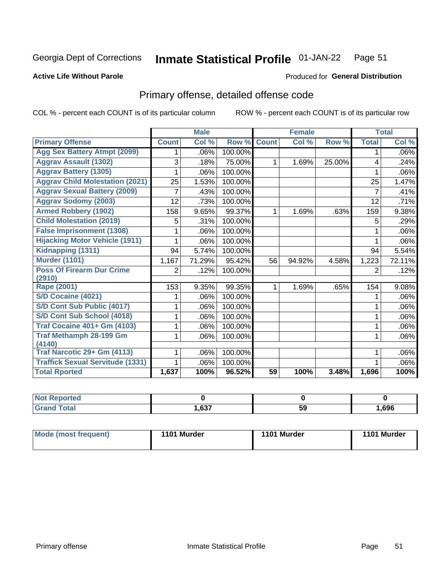#### **Inmate Statistical Profile 01-JAN-22** Page 51

#### **Active Life Without Parole**

### **Produced for General Distribution**

## Primary offense, detailed offense code

COL % - percent each COUNT is of its particular column

|                                         |              | <b>Male</b>                |         |              | <b>Female</b> |        |              | <b>Total</b> |
|-----------------------------------------|--------------|----------------------------|---------|--------------|---------------|--------|--------------|--------------|
| <b>Primary Offense</b>                  | <b>Count</b> | $\overline{\text{Col }^9}$ | Row %   | <b>Count</b> | Col %         | Row %  | <b>Total</b> | Col %        |
| <b>Agg Sex Battery Atmpt (2099)</b>     |              | .06%                       | 100.00% |              |               |        | 1            | .06%         |
| <b>Aggrav Assault (1302)</b>            | 3            | .18%                       | 75.00%  | 1            | 1.69%         | 25.00% | 4            | .24%         |
| <b>Aggrav Battery (1305)</b>            |              | .06%                       | 100.00% |              |               |        |              | .06%         |
| <b>Aggrav Child Molestation (2021)</b>  | 25           | 1.53%                      | 100.00% |              |               |        | 25           | 1.47%        |
| <b>Aggrav Sexual Battery (2009)</b>     |              | .43%                       | 100.00% |              |               |        | 7            | .41%         |
| <b>Aggrav Sodomy (2003)</b>             | 12           | .73%                       | 100.00% |              |               |        | 12           | .71%         |
| <b>Armed Robbery (1902)</b>             | 158          | 9.65%                      | 99.37%  | 1            | 1.69%         | .63%   | 159          | 9.38%        |
| <b>Child Molestation (2019)</b>         | 5            | .31%                       | 100.00% |              |               |        | 5            | .29%         |
| <b>False Imprisonment (1308)</b>        |              | .06%                       | 100.00% |              |               |        |              | .06%         |
| <b>Hijacking Motor Vehicle (1911)</b>   |              | .06%                       | 100.00% |              |               |        |              | .06%         |
| Kidnapping (1311)                       | 94           | 5.74%                      | 100.00% |              |               |        | 94           | 5.54%        |
| <b>Murder (1101)</b>                    | 1,167        | 71.29%                     | 95.42%  | 56           | 94.92%        | 4.58%  | 1,223        | 72.11%       |
| <b>Poss Of Firearm Dur Crime</b>        | 2            | .12%                       | 100.00% |              |               |        | 2            | .12%         |
| (2910)                                  |              |                            |         |              |               |        |              |              |
| Rape (2001)                             | 153          | 9.35%                      | 99.35%  |              | 1.69%         | .65%   | 154          | 9.08%        |
| S/D Cocaine (4021)                      |              | .06%                       | 100.00% |              |               |        |              | .06%         |
| S/D Cont Sub Public (4017)              |              | .06%                       | 100.00% |              |               |        |              | .06%         |
| S/D Cont Sub School (4018)              |              | .06%                       | 100.00% |              |               |        | 1            | .06%         |
| <b>Traf Cocaine 401+ Gm (4103)</b>      |              | .06%                       | 100.00% |              |               |        | 1            | .06%         |
| <b>Traf Methamph 28-199 Gm</b>          |              | .06%                       | 100.00% |              |               |        | 1            | .06%         |
| (4140)                                  |              |                            |         |              |               |        |              |              |
| Traf Narcotic 29+ Gm (4113)             |              | .06%                       | 100.00% |              |               |        |              | .06%         |
| <b>Traffick Sexual Servitude (1331)</b> |              | .06%                       | 100.00% |              |               |        |              | .06%         |
| <b>Total Rported</b>                    | 1,637        | 100%                       | 96.52%  | 59           | 100%          | 3.48%  | 1,696        | 100%         |

| <b>Not</b><br><b>orted</b><br>мени |                |          |      |
|------------------------------------|----------------|----------|------|
| <b>Total</b>                       | 627<br>/ 30, ا | --<br>59 | ,696 |

| Mode (most frequent) | 1101 Murder | 1101 Murder | 1101 Murder |
|----------------------|-------------|-------------|-------------|
|----------------------|-------------|-------------|-------------|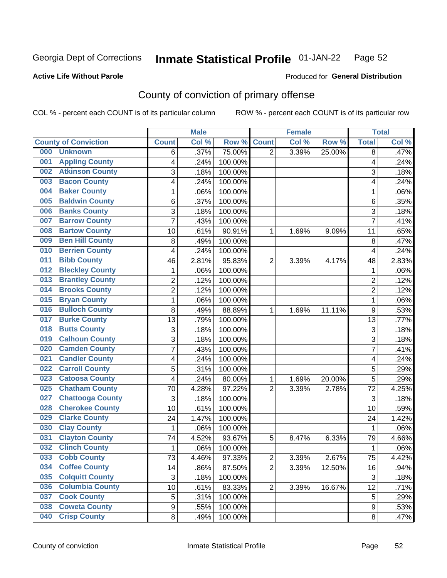#### **Inmate Statistical Profile 01-JAN-22** Page 52

**Active Life Without Parole** 

Produced for General Distribution

## County of conviction of primary offense

COL % - percent each COUNT is of its particular column

|                                |                | <b>Male</b> |         |                | <b>Female</b> |        |                | <b>Total</b> |
|--------------------------------|----------------|-------------|---------|----------------|---------------|--------|----------------|--------------|
| <b>County of Conviction</b>    | <b>Count</b>   | Col %       | Row %   | <b>Count</b>   | Col %         | Row %  | <b>Total</b>   | Col %        |
| 000<br><b>Unknown</b>          | 6              | .37%        | 75.00%  | $\overline{2}$ | 3.39%         | 25.00% | 8              | .47%         |
| <b>Appling County</b><br>001   | 4              | .24%        | 100.00% |                |               |        | 4              | .24%         |
| <b>Atkinson County</b><br>002  | 3              | .18%        | 100.00% |                |               |        | 3              | .18%         |
| <b>Bacon County</b><br>003     | 4              | .24%        | 100.00% |                |               |        | 4              | .24%         |
| <b>Baker County</b><br>004     | $\mathbf{1}$   | .06%        | 100.00% |                |               |        | 1              | .06%         |
| <b>Baldwin County</b><br>005   | 6              | .37%        | 100.00% |                |               |        | 6              | .35%         |
| <b>Banks County</b><br>006     | 3              | .18%        | 100.00% |                |               |        | 3              | .18%         |
| <b>Barrow County</b><br>007    | $\overline{7}$ | .43%        | 100.00% |                |               |        | $\overline{7}$ | .41%         |
| <b>Bartow County</b><br>008    | 10             | .61%        | 90.91%  | 1              | 1.69%         | 9.09%  | 11             | .65%         |
| <b>Ben Hill County</b><br>009  | 8              | .49%        | 100.00% |                |               |        | 8              | .47%         |
| <b>Berrien County</b><br>010   | 4              | .24%        | 100.00% |                |               |        | 4              | .24%         |
| <b>Bibb County</b><br>011      | 46             | 2.81%       | 95.83%  | $\overline{2}$ | 3.39%         | 4.17%  | 48             | 2.83%        |
| <b>Bleckley County</b><br>012  | $\mathbf{1}$   | .06%        | 100.00% |                |               |        | $\mathbf{1}$   | .06%         |
| <b>Brantley County</b><br>013  | $\overline{2}$ | .12%        | 100.00% |                |               |        | $\overline{2}$ | .12%         |
| <b>Brooks County</b><br>014    | $\overline{2}$ | .12%        | 100.00% |                |               |        | $\overline{2}$ | .12%         |
| <b>Bryan County</b><br>015     | $\mathbf{1}$   | .06%        | 100.00% |                |               |        | $\mathbf{1}$   | .06%         |
| <b>Bulloch County</b><br>016   | 8              | .49%        | 88.89%  | 1              | 1.69%         | 11.11% | 9              | .53%         |
| <b>Burke County</b><br>017     | 13             | .79%        | 100.00% |                |               |        | 13             | .77%         |
| <b>Butts County</b><br>018     | 3              | .18%        | 100.00% |                |               |        | 3              | .18%         |
| <b>Calhoun County</b><br>019   | 3              | .18%        | 100.00% |                |               |        | $\overline{3}$ | .18%         |
| <b>Camden County</b><br>020    | $\overline{7}$ | .43%        | 100.00% |                |               |        | $\overline{7}$ | .41%         |
| <b>Candler County</b><br>021   | 4              | .24%        | 100.00% |                |               |        | 4              | .24%         |
| <b>Carroll County</b><br>022   | 5              | .31%        | 100.00% |                |               |        | 5              | .29%         |
| <b>Catoosa County</b><br>023   | 4              | .24%        | 80.00%  | 1              | 1.69%         | 20.00% | 5              | .29%         |
| <b>Chatham County</b><br>025   | 70             | 4.28%       | 97.22%  | $\overline{2}$ | 3.39%         | 2.78%  | 72             | 4.25%        |
| <b>Chattooga County</b><br>027 | 3              | .18%        | 100.00% |                |               |        | 3              | .18%         |
| <b>Cherokee County</b><br>028  | 10             | .61%        | 100.00% |                |               |        | 10             | .59%         |
| <b>Clarke County</b><br>029    | 24             | 1.47%       | 100.00% |                |               |        | 24             | 1.42%        |
| <b>Clay County</b><br>030      | $\mathbf{1}$   | .06%        | 100.00% |                |               |        | $\mathbf{1}$   | .06%         |
| <b>Clayton County</b><br>031   | 74             | 4.52%       | 93.67%  | 5              | 8.47%         | 6.33%  | 79             | 4.66%        |
| <b>Clinch County</b><br>032    | 1              | .06%        | 100.00% |                |               |        | 1              | .06%         |
| 033<br><b>Cobb County</b>      | 73             | 4.46%       | 97.33%  | 2              | 3.39%         | 2.67%  | 75             | 4.42%        |
| <b>Coffee County</b><br>034    | 14             | .86%        | 87.50%  | $\overline{2}$ | 3.39%         | 12.50% | 16             | .94%         |
| <b>Colquitt County</b><br>035  | $\mathfrak{S}$ | .18%        | 100.00% |                |               |        | 3              | .18%         |
| <b>Columbia County</b><br>036  | 10             | .61%        | 83.33%  | $\overline{2}$ | 3.39%         | 16.67% | 12             | .71%         |
| <b>Cook County</b><br>037      | 5              | .31%        | 100.00% |                |               |        | 5              | .29%         |
| <b>Coweta County</b><br>038    | 9              | .55%        | 100.00% |                |               |        | 9              | .53%         |
| <b>Crisp County</b><br>040     | 8              | .49%        | 100.00% |                |               |        | 8              | .47%         |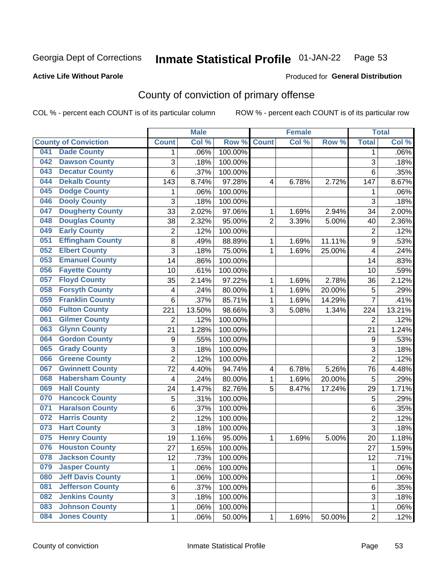#### **Inmate Statistical Profile 01-JAN-22** Page 53

### **Active Life Without Parole**

## Produced for General Distribution

## County of conviction of primary offense

COL % - percent each COUNT is of its particular column

|     |                             |                         | <b>Male</b> |         |                | <b>Female</b> |           |                  | <b>Total</b> |
|-----|-----------------------------|-------------------------|-------------|---------|----------------|---------------|-----------|------------------|--------------|
|     | <b>County of Conviction</b> | <b>Count</b>            | Col %       | Row %   | <b>Count</b>   | Col %         | Row %     | <b>Total</b>     | Col %        |
| 041 | <b>Dade County</b>          | 1                       | .06%        | 100.00% |                |               |           | 1                | .06%         |
| 042 | <b>Dawson County</b>        | 3                       | .18%        | 100.00% |                |               |           | $\overline{3}$   | .18%         |
| 043 | <b>Decatur County</b>       | $\overline{6}$          | .37%        | 100.00% |                |               |           | $6\phantom{1}$   | .35%         |
| 044 | <b>Dekalb County</b>        | 143                     | 8.74%       | 97.28%  | 4              | 6.78%         | 2.72%     | 147              | 8.67%        |
| 045 | <b>Dodge County</b>         | 1                       | .06%        | 100.00% |                |               |           | 1                | .06%         |
| 046 | <b>Dooly County</b>         | $\overline{3}$          | .18%        | 100.00% |                |               |           | $\overline{3}$   | .18%         |
| 047 | <b>Dougherty County</b>     | 33                      | 2.02%       | 97.06%  | 1              | 1.69%         | 2.94%     | 34               | 2.00%        |
| 048 | <b>Douglas County</b>       | 38                      | 2.32%       | 95.00%  | $\overline{2}$ | 3.39%         | 5.00%     | 40               | 2.36%        |
| 049 | <b>Early County</b>         | $\overline{c}$          | .12%        | 100.00% |                |               |           | $\overline{2}$   | .12%         |
| 051 | <b>Effingham County</b>     | 8                       | .49%        | 88.89%  | 1              | 1.69%         | 11.11%    | $\boldsymbol{9}$ | .53%         |
| 052 | <b>Elbert County</b>        | $\overline{3}$          | .18%        | 75.00%  | 1              | 1.69%         | 25.00%    | 4                | .24%         |
| 053 | <b>Emanuel County</b>       | 14                      | .86%        | 100.00% |                |               |           | 14               | .83%         |
| 056 | <b>Fayette County</b>       | 10                      | .61%        | 100.00% |                |               |           | 10               | .59%         |
| 057 | <b>Floyd County</b>         | 35                      | 2.14%       | 97.22%  | 1              | 1.69%         | 2.78%     | 36               | 2.12%        |
| 058 | <b>Forsyth County</b>       | $\overline{\mathbf{4}}$ | .24%        | 80.00%  | 1              | 1.69%         | 20.00%    | 5                | .29%         |
| 059 | <b>Franklin County</b>      | 6                       | .37%        | 85.71%  | 1              | 1.69%         | 14.29%    | $\overline{7}$   | .41%         |
| 060 | <b>Fulton County</b>        | 221                     | 13.50%      | 98.66%  | 3              | 5.08%         | 1.34%     | 224              | 13.21%       |
| 061 | <b>Gilmer County</b>        | $\overline{c}$          | .12%        | 100.00% |                |               |           | $\overline{2}$   | .12%         |
| 063 | <b>Glynn County</b>         | 21                      | 1.28%       | 100.00% |                |               |           | 21               | 1.24%        |
| 064 | <b>Gordon County</b>        | 9                       | .55%        | 100.00% |                |               |           | $\boldsymbol{9}$ | .53%         |
| 065 | <b>Grady County</b>         | 3                       | .18%        | 100.00% |                |               |           | 3                | .18%         |
| 066 | <b>Greene County</b>        | $\overline{2}$          | .12%        | 100.00% |                |               |           | $\overline{2}$   | .12%         |
| 067 | <b>Gwinnett County</b>      | $\overline{72}$         | 4.40%       | 94.74%  | 4              | 6.78%         | 5.26%     | 76               | 4.48%        |
| 068 | <b>Habersham County</b>     | $\overline{\mathbf{4}}$ | .24%        | 80.00%  | 1              | 1.69%         | 20.00%    | 5                | .29%         |
| 069 | <b>Hall County</b>          | 24                      | 1.47%       | 82.76%  | 5              | 8.47%         | 17.24%    | 29               | 1.71%        |
| 070 | <b>Hancock County</b>       | 5                       | .31%        | 100.00% |                |               |           | 5                | .29%         |
| 071 | <b>Haralson County</b>      | $\,6$                   | .37%        | 100.00% |                |               |           | $\,6\,$          | .35%         |
| 072 | <b>Harris County</b>        | $\overline{c}$          | .12%        | 100.00% |                |               |           | $\overline{2}$   | .12%         |
| 073 | <b>Hart County</b>          | 3                       | .18%        | 100.00% |                |               |           | 3                | .18%         |
| 075 | <b>Henry County</b>         | 19                      | 1.16%       | 95.00%  | 1              | 1.69%         | 5.00%     | 20               | 1.18%        |
| 076 | <b>Houston County</b>       | 27                      | 1.65%       | 100.00% |                |               |           | 27               | 1.59%        |
| 078 | <b>Jackson County</b>       | 12                      | .73%        | 100.00% |                |               |           | 12               | .71%         |
| 079 | <b>Jasper County</b>        | 1                       | .06%        | 100.00% |                |               |           | $\mathbf 1$      | .06%         |
| 080 | <b>Jeff Davis County</b>    | 1                       | .06%        | 100.00% |                |               |           | 1                | .06%         |
| 081 | <b>Jefferson County</b>     | 6                       | .37%        | 100.00% |                |               |           | $6\phantom{a}$   | .35%         |
| 082 | <b>Jenkins County</b>       | 3                       | .18%        | 100.00% |                |               |           | 3                | .18%         |
| 083 | <b>Johnson County</b>       | 1                       | .06%        | 100.00% |                |               |           | $\mathbf 1$      | .06%         |
| 084 | <b>Jones County</b>         | $\mathbf 1$             | .06%        | 50.00%  | 1              | 1.69%         | $50.00\%$ | $\overline{2}$   | .12%         |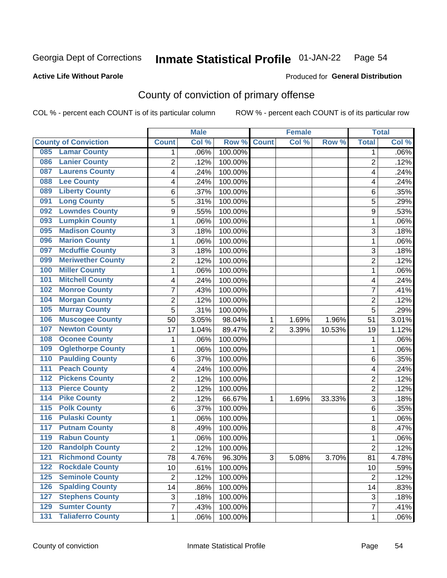#### **Inmate Statistical Profile 01-JAN-22** Page 54

**Active Life Without Parole** 

**Produced for General Distribution** 

## County of conviction of primary offense

COL % - percent each COUNT is of its particular column

|                                        |              |                 | <b>Male</b> |         |                | <b>Female</b> |        | <b>Total</b>    |         |
|----------------------------------------|--------------|-----------------|-------------|---------|----------------|---------------|--------|-----------------|---------|
| <b>County of Conviction</b>            | <b>Count</b> |                 | Col %       | Row %   | <b>Count</b>   | Col %         | Row %  | <b>Total</b>    | Col %   |
| <b>Lamar County</b><br>085             |              | 1               | .06%        | 100.00% |                |               |        | 1               | $.06\%$ |
| <b>Lanier County</b><br>086            |              | $\overline{2}$  | .12%        | 100.00% |                |               |        | $\overline{2}$  | .12%    |
| <b>Laurens County</b><br>087           |              | 4               | .24%        | 100.00% |                |               |        | 4               | .24%    |
| <b>Lee County</b><br>088               |              | 4               | .24%        | 100.00% |                |               |        | 4               | .24%    |
| <b>Liberty County</b><br>089           |              | 6               | .37%        | 100.00% |                |               |        | 6               | .35%    |
| <b>Long County</b><br>091              |              | 5               | .31%        | 100.00% |                |               |        | 5               | .29%    |
| <b>Lowndes County</b><br>092           |              | 9               | .55%        | 100.00% |                |               |        | 9               | .53%    |
| <b>Lumpkin County</b><br>093           |              | 1               | .06%        | 100.00% |                |               |        | 1               | .06%    |
| <b>Madison County</b><br>095           |              | 3               | .18%        | 100.00% |                |               |        | 3               | .18%    |
| <b>Marion County</b><br>096            |              | 1               | .06%        | 100.00% |                |               |        | 1               | .06%    |
| <b>Mcduffie County</b><br>097          |              | 3               | .18%        | 100.00% |                |               |        | 3               | .18%    |
| <b>Meriwether County</b><br>099        |              | $\overline{2}$  | .12%        | 100.00% |                |               |        | $\overline{2}$  | .12%    |
| <b>Miller County</b><br>100            |              | 1               | .06%        | 100.00% |                |               |        | 1               | .06%    |
| <b>Mitchell County</b><br>101          |              | 4               | .24%        | 100.00% |                |               |        | 4               | .24%    |
| <b>Monroe County</b><br>102            |              | 7               | .43%        | 100.00% |                |               |        | $\overline{7}$  | .41%    |
| <b>Morgan County</b><br>104            |              | $\overline{2}$  | .12%        | 100.00% |                |               |        | $\overline{2}$  | .12%    |
| <b>Murray County</b><br>105            |              | 5               | .31%        | 100.00% |                |               |        | 5               | .29%    |
| <b>Muscogee County</b><br>106          |              | 50              | 3.05%       | 98.04%  | 1              | 1.69%         | 1.96%  | 51              | 3.01%   |
| <b>Newton County</b><br>107            |              | 17              | 1.04%       | 89.47%  | $\overline{2}$ | 3.39%         | 10.53% | 19              | 1.12%   |
| <b>Oconee County</b><br>108            |              | 1               | .06%        | 100.00% |                |               |        | 1               | .06%    |
| <b>Oglethorpe County</b><br>109        |              | 1               | .06%        | 100.00% |                |               |        | 1               | .06%    |
| <b>Paulding County</b><br>110          |              | 6               | .37%        | 100.00% |                |               |        | 6               | .35%    |
| <b>Peach County</b><br>111             |              | 4               | .24%        | 100.00% |                |               |        | 4               | .24%    |
| <b>Pickens County</b><br>112           |              | $\overline{2}$  | .12%        | 100.00% |                |               |        | $\overline{2}$  | .12%    |
| <b>Pierce County</b><br>113            |              | 2               | .12%        | 100.00% |                |               |        | 2               | .12%    |
| <b>Pike County</b><br>$\overline{114}$ |              | $\overline{2}$  | .12%        | 66.67%  | 1              | 1.69%         | 33.33% | 3               | .18%    |
| <b>Polk County</b><br>$\overline{115}$ |              | 6               | .37%        | 100.00% |                |               |        | 6               | .35%    |
| <b>Pulaski County</b><br>116           |              | 1               | .06%        | 100.00% |                |               |        | 1               | .06%    |
| <b>Putnam County</b><br>117            |              | 8               | .49%        | 100.00% |                |               |        | 8               | .47%    |
| <b>Rabun County</b><br>119             |              | 1               | .06%        | 100.00% |                |               |        | 1               | .06%    |
| <b>Randolph County</b><br>120          |              | $\overline{2}$  | .12%        | 100.00% |                |               |        | 2               | .12%    |
| <b>121 Richmond County</b>             |              | $\overline{78}$ | 4.76%       | 96.30%  | З              | 5.08%         | 3.70%  | $\overline{81}$ | 4.78%   |
| <b>Rockdale County</b><br>122          |              | 10              | .61%        | 100.00% |                |               |        | 10              | .59%    |
| $125$<br><b>Seminole County</b>        |              | $\overline{2}$  | .12%        | 100.00% |                |               |        | $\overline{2}$  | .12%    |
| <b>Spalding County</b><br>126          |              | 14              | .86%        | 100.00% |                |               |        | 14              | .83%    |
| <b>Stephens County</b><br>127          |              | 3               | .18%        | 100.00% |                |               |        | 3               | .18%    |
| <b>Sumter County</b><br>129            |              | 7               | .43%        | 100.00% |                |               |        | $\overline{7}$  | .41%    |
| <b>Taliaferro County</b><br>131        |              | 1               | .06%        | 100.00% |                |               |        | 1               | .06%    |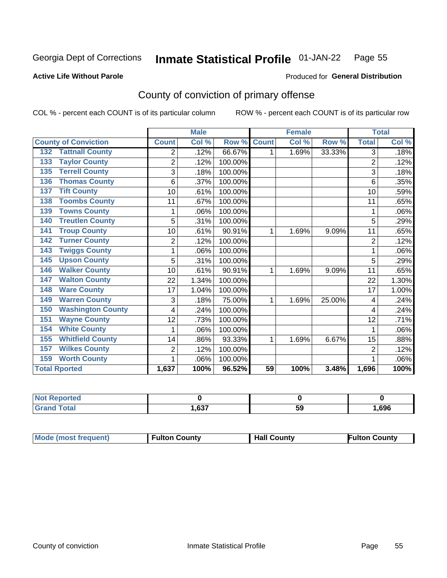#### **Inmate Statistical Profile 01-JAN-22** Page 55

**Produced for General Distribution** 

#### **Active Life Without Parole**

## County of conviction of primary offense

COL % - percent each COUNT is of its particular column

|                                 |                | <b>Male</b> |         |                 | <b>Female</b>             |        |                | <b>Total</b> |
|---------------------------------|----------------|-------------|---------|-----------------|---------------------------|--------|----------------|--------------|
| <b>County of Conviction</b>     | <b>Count</b>   | Col %       | Row %   | <b>Count</b>    | $\overline{\text{Col 9}}$ | Row %  | <b>Total</b>   | Col %        |
| <b>Tattnall County</b><br>132   | $\overline{2}$ | .12%        | 66.67%  | 1               | 1.69%                     | 33.33% | 3              | .18%         |
| <b>Taylor County</b><br>133     | $\overline{2}$ | .12%        | 100.00% |                 |                           |        | $\overline{2}$ | .12%         |
| <b>Terrell County</b><br>135    | 3              | .18%        | 100.00% |                 |                           |        | 3              | .18%         |
| <b>Thomas County</b><br>136     | 6              | .37%        | 100.00% |                 |                           |        | 6              | .35%         |
| <b>Tift County</b><br>137       | 10             | .61%        | 100.00% |                 |                           |        | 10             | .59%         |
| <b>Toombs County</b><br>138     | 11             | .67%        | 100.00% |                 |                           |        | 11             | .65%         |
| <b>Towns County</b><br>139      |                | .06%        | 100.00% |                 |                           |        | 1              | .06%         |
| <b>Treutlen County</b><br>140   | 5              | .31%        | 100.00% |                 |                           |        | 5              | .29%         |
| <b>Troup County</b><br>141      | 10             | .61%        | 90.91%  | 1               | 1.69%                     | 9.09%  | 11             | .65%         |
| <b>Turner County</b><br>142     | $\overline{2}$ | .12%        | 100.00% |                 |                           |        | $\overline{2}$ | .12%         |
| <b>Twiggs County</b><br>143     |                | .06%        | 100.00% |                 |                           |        | 1              | .06%         |
| <b>Upson County</b><br>145      | 5              | .31%        | 100.00% |                 |                           |        | 5              | .29%         |
| <b>Walker County</b><br>146     | 10             | .61%        | 90.91%  | 1               | 1.69%                     | 9.09%  | 11             | .65%         |
| <b>Walton County</b><br>147     | 22             | 1.34%       | 100.00% |                 |                           |        | 22             | 1.30%        |
| <b>Ware County</b><br>148       | 17             | 1.04%       | 100.00% |                 |                           |        | 17             | 1.00%        |
| <b>Warren County</b><br>149     | 3              | .18%        | 75.00%  | 1               | 1.69%                     | 25.00% | 4              | .24%         |
| <b>Washington County</b><br>150 | 4              | .24%        | 100.00% |                 |                           |        | 4              | .24%         |
| <b>Wayne County</b><br>151      | 12             | .73%        | 100.00% |                 |                           |        | 12             | .71%         |
| <b>White County</b><br>154      | 1              | .06%        | 100.00% |                 |                           |        | 1              | .06%         |
| <b>Whitfield County</b><br>155  | 14             | .86%        | 93.33%  | 1               | 1.69%                     | 6.67%  | 15             | .88%         |
| <b>Wilkes County</b><br>157     | $\overline{2}$ | .12%        | 100.00% |                 |                           |        | $\overline{2}$ | .12%         |
| <b>Worth County</b><br>159      | 1              | .06%        | 100.00% |                 |                           |        | 1              | .06%         |
| <b>Total Rported</b>            | 1,637          | 100%        | 96.52%  | $\overline{59}$ | 100%                      | 3.48%  | 1,696          | 100%         |

| rtea<br>æm |      |     |      |
|------------|------|-----|------|
| υιαι       | ,637 | -59 | ,696 |

| <b>Mode (most frequent)</b> | <b>Fulton County</b> | <b>Hall County</b> | Fulton Countv |
|-----------------------------|----------------------|--------------------|---------------|
|-----------------------------|----------------------|--------------------|---------------|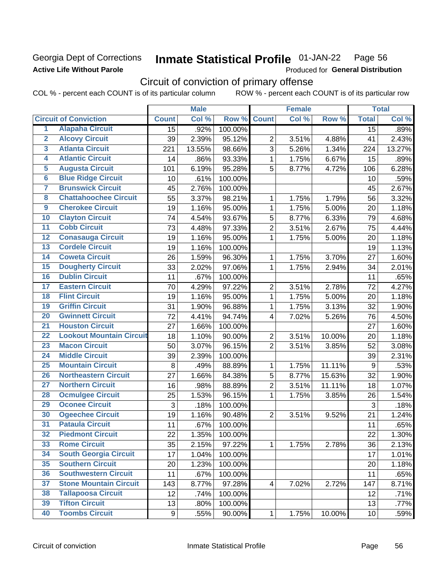## Georgia Dept of Corrections **Active Life Without Parole**

#### Inmate Statistical Profile 01-JAN-22 Page 56

Produced for General Distribution

## Circuit of conviction of primary offense

COL % - percent each COUNT is of its particular column ROW % - percent each COUNT is of its particular row

|                         |                                 |              | <b>Male</b> |                  |                         | <b>Female</b> |        |              | <b>Total</b> |
|-------------------------|---------------------------------|--------------|-------------|------------------|-------------------------|---------------|--------|--------------|--------------|
|                         | <b>Circuit of Conviction</b>    | <b>Count</b> | Col %       | Row <sup>%</sup> | <b>Count</b>            | Col %         | Row %  | <b>Total</b> | Col %        |
| 1                       | <b>Alapaha Circuit</b>          | 15           | .92%        | 100.00%          |                         |               |        | 15           | .89%         |
| $\overline{2}$          | <b>Alcovy Circuit</b>           | 39           | 2.39%       | 95.12%           | $\overline{2}$          | 3.51%         | 4.88%  | 41           | 2.43%        |
| $\overline{3}$          | <b>Atlanta Circuit</b>          | 221          | 13.55%      | 98.66%           | 3                       | 5.26%         | 1.34%  | 224          | 13.27%       |
| $\overline{4}$          | <b>Atlantic Circuit</b>         | 14           | .86%        | 93.33%           | 1                       | 1.75%         | 6.67%  | 15           | .89%         |
| $\overline{5}$          | <b>Augusta Circuit</b>          | 101          | 6.19%       | 95.28%           | 5                       | 8.77%         | 4.72%  | 106          | 6.28%        |
| $\overline{\bf{6}}$     | <b>Blue Ridge Circuit</b>       | 10           | .61%        | 100.00%          |                         |               |        | 10           | .59%         |
| 7                       | <b>Brunswick Circuit</b>        | 45           | 2.76%       | 100.00%          |                         |               |        | 45           | 2.67%        |
| $\overline{\mathbf{8}}$ | <b>Chattahoochee Circuit</b>    | 55           | 3.37%       | 98.21%           | 1                       | 1.75%         | 1.79%  | 56           | 3.32%        |
| $\overline{9}$          | <b>Cherokee Circuit</b>         | 19           | 1.16%       | 95.00%           | $\mathbf{1}$            | 1.75%         | 5.00%  | 20           | 1.18%        |
| 10                      | <b>Clayton Circuit</b>          | 74           | 4.54%       | 93.67%           | 5                       | 8.77%         | 6.33%  | 79           | 4.68%        |
| $\overline{11}$         | <b>Cobb Circuit</b>             | 73           | 4.48%       | 97.33%           | $\overline{2}$          | 3.51%         | 2.67%  | 75           | 4.44%        |
| $\overline{12}$         | <b>Conasauga Circuit</b>        | 19           | 1.16%       | 95.00%           | 1                       | 1.75%         | 5.00%  | 20           | 1.18%        |
| 13                      | <b>Cordele Circuit</b>          | 19           | 1.16%       | 100.00%          |                         |               |        | 19           | 1.13%        |
| 14                      | <b>Coweta Circuit</b>           | 26           | 1.59%       | 96.30%           | 1                       | 1.75%         | 3.70%  | 27           | 1.60%        |
| 15                      | <b>Dougherty Circuit</b>        | 33           | 2.02%       | 97.06%           | $\mathbf{1}$            | 1.75%         | 2.94%  | 34           | 2.01%        |
| 16                      | <b>Dublin Circuit</b>           | 11           | .67%        | 100.00%          |                         |               |        | 11           | .65%         |
| 17                      | <b>Eastern Circuit</b>          | 70           | 4.29%       | 97.22%           | $\overline{2}$          | 3.51%         | 2.78%  | 72           | 4.27%        |
| $\overline{18}$         | <b>Flint Circuit</b>            | 19           | 1.16%       | 95.00%           | $\mathbf 1$             | 1.75%         | 5.00%  | 20           | 1.18%        |
| 19                      | <b>Griffin Circuit</b>          | 31           | 1.90%       | 96.88%           | $\mathbf{1}$            | 1.75%         | 3.13%  | 32           | 1.90%        |
| $\overline{20}$         | <b>Gwinnett Circuit</b>         | 72           | 4.41%       | 94.74%           | 4                       | 7.02%         | 5.26%  | 76           | 4.50%        |
| $\overline{21}$         | <b>Houston Circuit</b>          | 27           | 1.66%       | 100.00%          |                         |               |        | 27           | 1.60%        |
| $\overline{22}$         | <b>Lookout Mountain Circuit</b> | 18           | 1.10%       | 90.00%           | $\overline{2}$          | 3.51%         | 10.00% | 20           | 1.18%        |
| 23                      | <b>Macon Circuit</b>            | 50           | 3.07%       | 96.15%           | $\overline{2}$          | 3.51%         | 3.85%  | 52           | 3.08%        |
| $\overline{24}$         | <b>Middle Circuit</b>           | 39           | 2.39%       | 100.00%          |                         |               |        | 39           | 2.31%        |
| $\overline{25}$         | <b>Mountain Circuit</b>         | 8            | .49%        | 88.89%           | $\mathbf{1}$            | 1.75%         | 11.11% | 9            | .53%         |
| 26                      | <b>Northeastern Circuit</b>     | 27           | 1.66%       | 84.38%           | $\overline{5}$          | 8.77%         | 15.63% | 32           | 1.90%        |
| $\overline{27}$         | <b>Northern Circuit</b>         | 16           | .98%        | 88.89%           | $\overline{2}$          | 3.51%         | 11.11% | 18           | 1.07%        |
| 28                      | <b>Ocmulgee Circuit</b>         | 25           | 1.53%       | 96.15%           | 1                       | 1.75%         | 3.85%  | 26           | 1.54%        |
| 29                      | <b>Oconee Circuit</b>           | 3            | .18%        | 100.00%          |                         |               |        | 3            | .18%         |
| 30                      | <b>Ogeechee Circuit</b>         | 19           | 1.16%       | 90.48%           | $\overline{2}$          | 3.51%         | 9.52%  | 21           | 1.24%        |
| 31                      | <b>Pataula Circuit</b>          | 11           | .67%        | 100.00%          |                         |               |        | 11           | .65%         |
| 32                      | <b>Piedmont Circuit</b>         | 22           | 1.35%       | 100.00%          |                         |               |        | 22           | 1.30%        |
| 33                      | <b>Rome Circuit</b>             | 35           | 2.15%       | 97.22%           | $\mathbf{1}$            | 1.75%         | 2.78%  | 36           | 2.13%        |
| 34                      | <b>South Georgia Circuit</b>    | 17           | 1.04%       | 100.00%          |                         |               |        | 17           | 1.01%        |
| 35                      | <b>Southern Circuit</b>         | 20           | 1.23%       | 100.00%          |                         |               |        | 20           | 1.18%        |
| 36                      | <b>Southwestern Circuit</b>     | 11           | .67%        | 100.00%          |                         |               |        | 11           | .65%         |
| 37                      | <b>Stone Mountain Circuit</b>   | 143          | 8.77%       | 97.28%           | $\overline{\mathbf{4}}$ | 7.02%         | 2.72%  | 147          | 8.71%        |
| 38                      | <b>Tallapoosa Circuit</b>       | 12           | .74%        | 100.00%          |                         |               |        | 12           | .71%         |
| 39                      | <b>Tifton Circuit</b>           | 13           | .80%        | 100.00%          |                         |               |        | 13           | .77%         |
| 40                      | <b>Toombs Circuit</b>           | 9            | .55%        | 90.00%           | 1                       | 1.75%         | 10.00% | 10           | .59%         |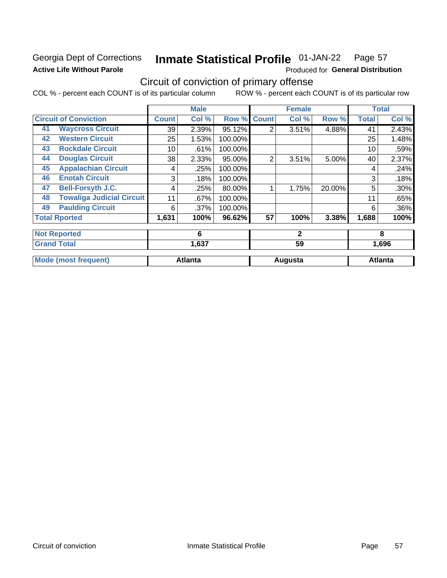## Georgia Dept of Corrections **Active Life Without Parole**

#### **Inmate Statistical Profile 01-JAN-22** Page 57

Produced for General Distribution

## Circuit of conviction of primary offense

COL % - percent each COUNT is of its particular column ROW % - percent each COUNT is of its particular row

|    |                                  |              | <b>Male</b>    |         |                | <b>Female</b> |        |              | <b>Total</b>   |
|----|----------------------------------|--------------|----------------|---------|----------------|---------------|--------|--------------|----------------|
|    | <b>Circuit of Conviction</b>     | <b>Count</b> | Col %          | Row %   | <b>Count</b>   | Col %         | Row %  | <b>Total</b> | Col %          |
| 41 | <b>Waycross Circuit</b>          | 39           | 2.39%          | 95.12%  | $\overline{2}$ | 3.51%         | 4.88%  | 41           | 2.43%          |
| 42 | <b>Western Circuit</b>           | 25           | 1.53%          | 100.00% |                |               |        | 25           | 1.48%          |
| 43 | <b>Rockdale Circuit</b>          | 10           | .61%           | 100.00% |                |               |        | 10           | .59%           |
| 44 | <b>Douglas Circuit</b>           | 38           | 2.33%          | 95.00%  | 2              | 3.51%         | 5.00%  | 40           | 2.37%          |
| 45 | <b>Appalachian Circuit</b>       | 4            | .25%           | 100.00% |                |               |        | 4            | .24%           |
| 46 | <b>Enotah Circuit</b>            | 3            | .18%           | 100.00% |                |               |        | 3            | .18%           |
| 47 | <b>Bell-Forsyth J.C.</b>         | 4            | .25%           | 80.00%  |                | 1.75%         | 20.00% | 5            | $.30\%$        |
| 48 | <b>Towaliga Judicial Circuit</b> | 11           | .67%           | 100.00% |                |               |        | 11           | .65%           |
| 49 | <b>Paulding Circuit</b>          | 6            | .37%           | 100.00% |                |               |        | 6            | $.36\%$        |
|    | <b>Total Rported</b>             | 1,631        | 100%           | 96.62%  | 57             | 100%          | 3.38%  | 1,688        | 100%           |
|    | <b>Not Reported</b>              |              | 6              |         |                | $\mathbf{2}$  |        |              | 8              |
|    | <b>Grand Total</b>               |              | 1,637          |         |                | 59            |        |              | 1,696          |
|    | <b>Mode (most frequent)</b>      |              | <b>Atlanta</b> |         |                | Augusta       |        |              | <b>Atlanta</b> |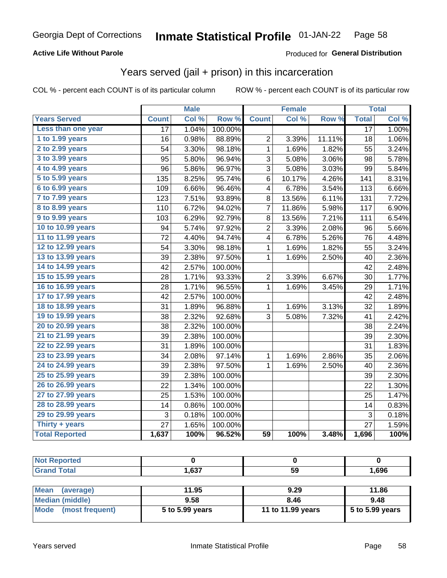## **Active Life Without Parole**

## Produced for General Distribution

## Years served (jail + prison) in this incarceration

COL % - percent each COUNT is of its particular column

|                        |                 | <b>Male</b> |                  |                 | <b>Female</b> |        |                 | <b>Total</b> |
|------------------------|-----------------|-------------|------------------|-----------------|---------------|--------|-----------------|--------------|
| <b>Years Served</b>    | <b>Count</b>    | Col %       | Row <sup>%</sup> | <b>Count</b>    | Col %         | Row %  | <b>Total</b>    | Col %        |
| Less than one year     | 17              | 1.04%       | 100.00%          |                 |               |        | $\overline{17}$ | 1.00%        |
| 1 to 1.99 years        | 16              | 0.98%       | 88.89%           | $\overline{2}$  | 3.39%         | 11.11% | 18              | 1.06%        |
| 2 to 2.99 years        | 54              | 3.30%       | 98.18%           | $\mathbf 1$     | 1.69%         | 1.82%  | 55              | 3.24%        |
| 3 to 3.99 years        | 95              | 5.80%       | 96.94%           | 3               | 5.08%         | 3.06%  | 98              | 5.78%        |
| 4 to 4.99 years        | 96              | 5.86%       | 96.97%           | 3               | 5.08%         | 3.03%  | 99              | 5.84%        |
| 5 to 5.99 years        | 135             | 8.25%       | 95.74%           | 6               | 10.17%        | 4.26%  | 141             | 8.31%        |
| 6 to 6.99 years        | 109             | 6.66%       | 96.46%           | 4               | 6.78%         | 3.54%  | 113             | 6.66%        |
| 7 to 7.99 years        | 123             | 7.51%       | 93.89%           | 8               | 13.56%        | 6.11%  | 131             | 7.72%        |
| <b>8 to 8.99 years</b> | 110             | 6.72%       | 94.02%           | 7               | 11.86%        | 5.98%  | 117             | 6.90%        |
| 9 to 9.99 years        | 103             | 6.29%       | 92.79%           | 8               | 13.56%        | 7.21%  | 111             | 6.54%        |
| 10 to 10.99 years      | 94              | 5.74%       | 97.92%           | $\overline{2}$  | 3.39%         | 2.08%  | 96              | 5.66%        |
| 11 to 11.99 years      | 72              | 4.40%       | 94.74%           | 4               | 6.78%         | 5.26%  | 76              | 4.48%        |
| 12 to 12.99 years      | 54              | 3.30%       | 98.18%           | 1               | 1.69%         | 1.82%  | 55              | 3.24%        |
| 13 to 13.99 years      | 39              | 2.38%       | 97.50%           | $\mathbf 1$     | 1.69%         | 2.50%  | 40              | 2.36%        |
| 14 to 14.99 years      | 42              | 2.57%       | 100.00%          |                 |               |        | 42              | 2.48%        |
| 15 to 15.99 years      | 28              | 1.71%       | 93.33%           | $\overline{c}$  | 3.39%         | 6.67%  | 30              | 1.77%        |
| 16 to 16.99 years      | 28              | 1.71%       | 96.55%           | 1               | 1.69%         | 3.45%  | 29              | 1.71%        |
| 17 to 17.99 years      | 42              | 2.57%       | 100.00%          |                 |               |        | 42              | 2.48%        |
| 18 to 18.99 years      | 31              | 1.89%       | 96.88%           | 1               | 1.69%         | 3.13%  | 32              | 1.89%        |
| 19 to 19.99 years      | 38              | 2.32%       | 92.68%           | 3               | 5.08%         | 7.32%  | 41              | 2.42%        |
| 20 to 20.99 years      | 38              | 2.32%       | 100.00%          |                 |               |        | 38              | 2.24%        |
| 21 to 21.99 years      | 39              | 2.38%       | 100.00%          |                 |               |        | 39              | 2.30%        |
| 22 to 22.99 years      | 31              | 1.89%       | 100.00%          |                 |               |        | 31              | 1.83%        |
| 23 to 23.99 years      | 34              | 2.08%       | 97.14%           | 1               | 1.69%         | 2.86%  | 35              | 2.06%        |
| 24 to 24.99 years      | 39              | 2.38%       | 97.50%           | 1               | 1.69%         | 2.50%  | 40              | 2.36%        |
| 25 to 25.99 years      | 39              | 2.38%       | 100.00%          |                 |               |        | 39              | 2.30%        |
| 26 to 26.99 years      | 22              | 1.34%       | 100.00%          |                 |               |        | 22              | 1.30%        |
| 27 to 27.99 years      | 25              | 1.53%       | 100.00%          |                 |               |        | 25              | 1.47%        |
| 28 to 28.99 years      | 14              | 0.86%       | 100.00%          |                 |               |        | 14              | 0.83%        |
| 29 to 29.99 years      | 3               | 0.18%       | 100.00%          |                 |               |        | 3               | 0.18%        |
| Thirty + years         | $\overline{27}$ | 1.65%       | 100.00%          |                 |               |        | $\overline{27}$ | 1.59%        |
| <b>Total Reported</b>  | 1,637           | 100%        | 96.52%           | $\overline{59}$ | 100%          | 3.48%  | 1,696           | 100%         |

| <b>Not Reported</b>      |                 |                   |                 |
|--------------------------|-----------------|-------------------|-----------------|
| <b>Grand Total</b>       | 1.637           | 59                | 1,696           |
|                          |                 |                   |                 |
| <b>Mean</b><br>(average) | 11.95           | 9.29              | 11.86           |
| <b>Median (middle)</b>   | 9.58            | 8.46              | 9.48            |
| Mode<br>(most frequent)  | 5 to 5.99 years | 11 to 11.99 years | 5 to 5.99 years |

| ledian (middle)      | 9.58            | 8.46              | 9.48              |
|----------------------|-----------------|-------------------|-------------------|
| lode (most frequent) | 5 to 5.99 years | 11 to 11.99 years | $5$ to 5.99 years |
|                      |                 |                   |                   |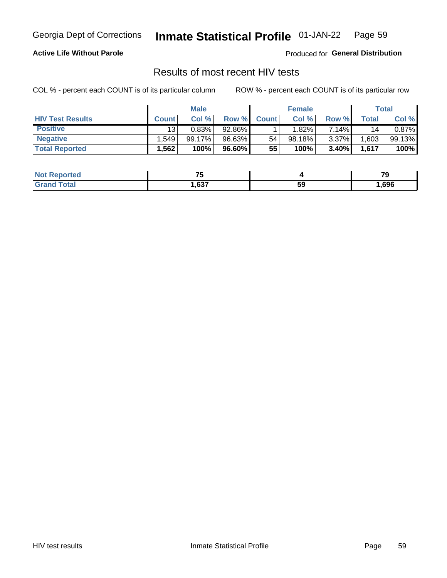#### **Inmate Statistical Profile 01-JAN-22** Page 59

### **Active Life Without Parole**

Produced for General Distribution

## Results of most recent HIV tests

COL % - percent each COUNT is of its particular column

|                         | <b>Male</b>     |         |        | <b>Female</b> |        |          | Total |        |
|-------------------------|-----------------|---------|--------|---------------|--------|----------|-------|--------|
| <b>HIV Test Results</b> | <b>Count</b>    | Col %   | Row %I | <b>Count</b>  | Col %  | Row %    | Total | Col %  |
| <b>Positive</b>         | 13 <sub>1</sub> | 0.83%   | 92.86% |               | 1.82%  | 7.14%    | 14    | 0.87%  |
| <b>Negative</b>         | .549            | 99.17%। | 96.63% | 54            | 98.18% | $3.37\%$ | .603  | 99.13% |
| <b>Total Reported</b>   | .562            | 100%    | 96.60% | 55            | 100%   | 3.40%    | 1,617 | 100%   |

| <b>Not Reported</b> | --<br>. w |    | --   |
|---------------------|-----------|----|------|
| <b>Total</b>        | .637      | 59 | ,696 |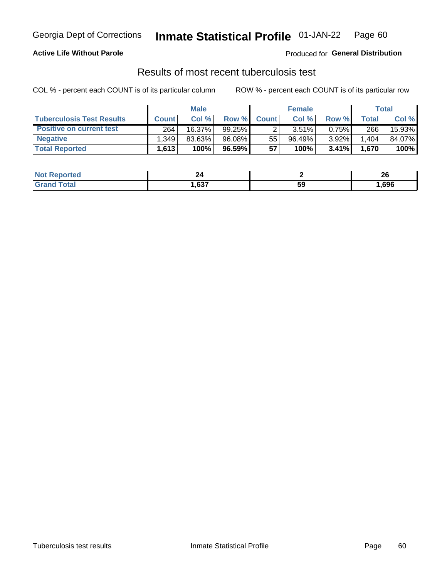## Georgia Dept of Corrections **Inmate Statistical Profile** 01-JAN-22 Page 60

### **Active Life Without Parole**

Produced for **General Distribution**

## Results of most recent tuberculosis test

COL % - percent each COUNT is of its particular column ROW % - percent each COUNT is of its particular row

|                                  | <b>Male</b>  |        |           | <b>Female</b> |        |       | Total |        |
|----------------------------------|--------------|--------|-----------|---------------|--------|-------|-------|--------|
| <b>Tuberculosis Test Results</b> | <b>Count</b> | Col%   | Row %I    | <b>Count</b>  | Col%   | Row % | Total | Col %  |
| <b>Positive on current test</b>  | 264          | 16.37% | $99.25\%$ |               | 3.51%  | 0.75% | 266   | 15.93% |
| <b>Negative</b>                  | .349         | 83.63% | 96.08%    | 55            | 96.49% | 3.92% | 1,404 | 84.07% |
| <b>Total Reported</b>            | 1,613        | 100%   | 96.59%    | 57            | 100%   | 3.41% | 1,670 | 100%   |

| <b>Not Reported</b> | 44.  |    | ኅር<br>ZV |
|---------------------|------|----|----------|
| <b>Total</b>        | .637 | 59 | ,696     |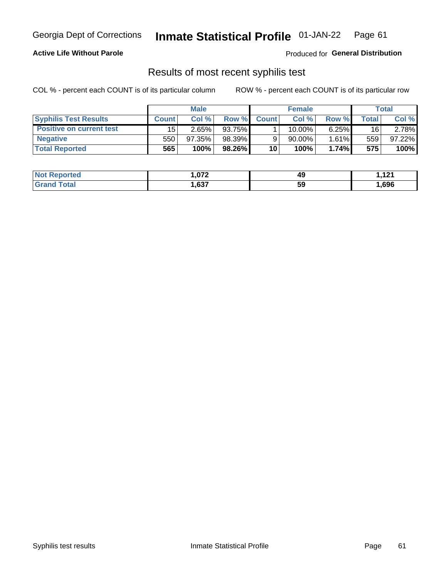## Georgia Dept of Corrections **Inmate Statistical Profile** 01-JAN-22 Page 61

### **Active Life Without Parole**

Produced for **General Distribution**

## Results of most recent syphilis test

COL % - percent each COUNT is of its particular column ROW % - percent each COUNT is of its particular row

|                                 | <b>Male</b>  |           |          | <b>Female</b> |             |          | Total   |        |
|---------------------------------|--------------|-----------|----------|---------------|-------------|----------|---------|--------|
| <b>Syphilis Test Results</b>    | <b>Count</b> | Col %     | Row %    | <b>Count</b>  | Col %       | Row %    | Total I | Col %  |
| <b>Positive on current test</b> | 15           | 2.65%     | 93.75%   |               | 10.00%      | 6.25%    | 16      | 2.78%  |
| <b>Negative</b>                 | 550          | $97.35\%$ | 98.39%   |               | 90.00%      | $1.61\%$ | 559     | 97.22% |
| <b>Total Reported</b>           | 565          | 100%      | 98.26% I | 10            | <b>100%</b> | 1.74%    | 575     | 100%   |

| <b>Not Reported</b>     | 072. ا | 49 | 101<br>$\cdots$ |
|-------------------------|--------|----|-----------------|
| <b>Total</b><br>' Grand | ,637   | 59 | ,696            |